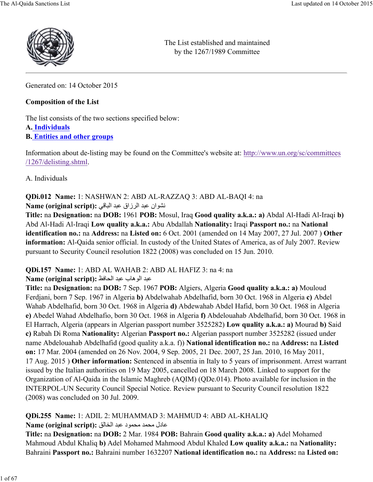

The List established and maintained by the 1267/1989 Committee

Generated on: 14 October 2015

### **Composition of the List**

The list consists of the two sections specified below:

### **A. Individuals**

**B. Entities and other groups**

Information about de-listing may be found on the Committee's website at: http://www.un.org/sc/committees /1267/delisting.shtml.

A. Individuals

# **QDi.012 Name:** 1: NASHWAN 2: ABD AL-RAZZAQ 3: ABD AL-BAQI 4: na

BCDان =9> ا:@زاق =9> ا6789: **:(script original (Name**

**Title:** na **Designation:** na **DOB:** 1961 **POB:** Mosul, Iraq **Good quality a.k.a.: a)** Abdal Al-Hadi Al-Iraqi **b)** Abd Al-Hadi Al-Iraqi **Low quality a.k.a.:** Abu Abdallah **Nationality:** Iraqi **Passport no.:** na **National identification no.:** na **Address:** na **Listed on:** 6 Oct. 2001 (amended on 14 May 2007, 27 Jul. 2007 ) **Other information:** Al-Qaida senior official. In custody of the United States of America, as of July 2007. Review pursuant to Security Council resolution 1822 (2008) was concluded on 15 Jun. 2010.

### **QDi.157 Name:** 1: ABD AL WAHAB 2: ABD AL HAFIZ 3: na 4: na

### Name (original script): عبد الوهاب عبد الحافظ

**Title:** na **Designation:** na **DOB:** 7 Sep. 1967 **POB:** Algiers, Algeria **Good quality a.k.a.: a)** Mouloud Ferdjani, born 7 Sep. 1967 in Algeria **b)** Abdelwahab Abdelhafid, born 30 Oct. 1968 in Algeria **c)** Abdel Wahab Abdelhafid, born 30 Oct. 1968 in Algeria **d)** Abdewahab Abdel Hafid, born 30 Oct. 1968 in Algeria **e)** Abedel Wahad Abdelhafio, born 30 Oct. 1968 in Algeria **f)** Abdelouahab Abdelhafid, born 30 Oct. 1968 in El Harrach, Algeria (appears in Algerian passport number 3525282) **Low quality a.k.a.: a)** Mourad **b)** Said **c)** Rabah Di Roma **Nationality:** Algerian **Passport no.:** Algerian passport number 3525282 (issued under name Abdelouahab Abdelhafid (good quality a.k.a. f)) **National identification no.:** na **Address:** na **Listed on:** 17 Mar. 2004 (amended on 26 Nov. 2004, 9 Sep. 2005, 21 Dec. 2007, 25 Jan. 2010, 16 May 2011, 17 Aug. 2015 ) **Other information:** Sentenced in absentia in Italy to 5 years of imprisonment. Arrest warrant issued by the Italian authorities on 19 May 2005, cancelled on 18 March 2008. Linked to support for the Organization of Al-Qaida in the Islamic Maghreb (AQIM) (QDe.014). Photo available for inclusion in the INTERPOL-UN Security Council Special Notice. Review pursuant to Security Council resolution 1822 (2008) was concluded on 30 Jul. 2009.

**QDi.255 Name:** 1: ADIL 2: MUHAMMAD 3: MAHMUD 4: ABD AL-KHALIQ

Name (original script): عادل محمد محمود عبد الخالق

**Title:** na **Designation:** na **DOB:** 2 Mar. 1984 **POB:** Bahrain **Good quality a.k.a.: a)** Adel Mohamed Mahmoud Abdul Khaliq **b)** Adel Mohamed Mahmood Abdul Khaled **Low quality a.k.a.:** na **Nationality:** Bahraini **Passport no.:** Bahraini number 1632207 **National identification no.:** na **Address:** na **Listed on:**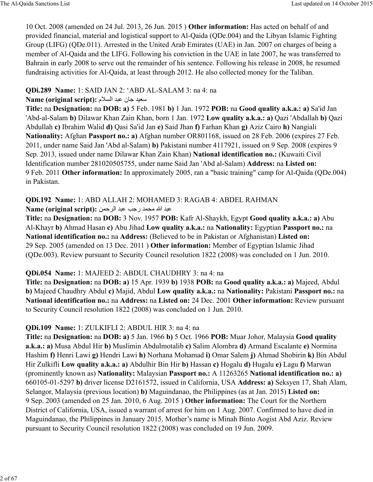10 Oct. 2008 (amended on 24 Jul. 2013, 26 Jun. 2015 ) **Other information:** Has acted on behalf of and provided financial, material and logistical support to Al-Qaida (QDe.004) and the Libyan Islamic Fighting Group (LIFG) (QDe.011). Arrested in the United Arab Emirates (UAE) in Jan. 2007 on charges of being a member of Al-Qaida and the LIFG. Following his conviction in the UAE in late 2007, he was transferred to Bahrain in early 2008 to serve out the remainder of his sentence. Following his release in 2008, he resumed fundraising activities for Al-Qaida, at least through 2012. He also collected money for the Taliban.

#### **QDi.289 Name:** 1: SAID JAN 2: 'ABD AL-SALAM 3: na 4: na

#### Name (original script): سعيد جان عبد السلام

**Title:** na **Designation:** na **DOB: a)** 5 Feb. 1981 **b)** 1 Jan. 1972 **POB:** na **Good quality a.k.a.: a)** Sa'id Jan 'Abd-al-Salam **b)** Dilawar Khan Zain Khan, born 1 Jan. 1972 **Low quality a.k.a.: a)** Qazi 'Abdallah **b)** Qazi Abdullah **c)** Ibrahim Walid **d)** Qasi Sa'id Jan **e)** Said Jhan **f)** Farhan Khan **g)** Aziz Cairo **h)** Nangiali **Nationality:** Afghan **Passport no.: a)** Afghan number OR801168, issued on 28 Feb. 2006 (expires 27 Feb. 2011, under name Said Jan 'Abd al-Salam) **b)** Pakistani number 4117921, issued on 9 Sep. 2008 (expires 9 Sep. 2013, issued under name Dilawar Khan Zain Khan) **National identification no.:** (Kuwaiti Civil Identification number 281020505755, under name Said Jan 'Abd al-Salam) **Address:** na **Listed on:** 9 Feb. 2011 **Other information:** In approximately 2005, ran a "basic training" camp for Al-Qaida (QDe.004) in Pakistan.

### **QDi.192 Name:** 1: ABD ALLAH 2: MOHAMED 3: RAGAB 4: ABDEL RAHMAN

Name (original script): عبد الله محمد رجب عبد الرحمن

**Title:** na **Designation:** na **DOB:** 3 Nov. 1957 **POB:** Kafr Al-Shaykh, Egypt **Good quality a.k.a.: a)** Abu Al-Khayr **b)** Ahmad Hasan **c)** Abu Jihad **Low quality a.k.a.:** na **Nationality:** Egyptian **Passport no.:** na **National identification no.:** na **Address:** (Believed to be in Pakistan or Afghanistan) **Listed on:** 29 Sep. 2005 (amended on 13 Dec. 2011 ) **Other information:** Member of Egyptian Islamic Jihad (QDe.003). Review pursuant to Security Council resolution 1822 (2008) was concluded on 1 Jun. 2010.

### **QDi.054 Name:** 1: MAJEED 2: ABDUL CHAUDHRY 3: na 4: na

**Title:** na **Designation:** na **DOB: a)** 15 Apr. 1939 **b)** 1938 **POB:** na **Good quality a.k.a.: a)** Majeed, Abdul **b)** Majeed Chaudhry Abdul **c)** Majid, Abdul **Low quality a.k.a.:** na **Nationality:** Pakistani **Passport no.:** na **National identification no.:** na **Address:** na **Listed on:** 24 Dec. 2001 **Other information:** Review pursuant to Security Council resolution 1822 (2008) was concluded on 1 Jun. 2010.

### **QDi.109 Name:** 1: ZULKIFLI 2: ABDUL HIR 3: na 4: na

**Title:** na **Designation:** na **DOB: a)** 5 Jan. 1966 **b)** 5 Oct. 1966 **POB:** Muar Johor, Malaysia **Good quality a.k.a.: a)** Musa Abdul Hir **b)** Muslimin Abdulmotalib **c)** Salim Alombra **d)** Armand Escalante **e)** Normina Hashim **f)** Henri Lawi **g)** Hendri Lawi **h)** Norhana Mohamad **i)** Omar Salem **j)** Ahmad Shobirin **k)** Bin Abdul Hir Zulkifli **Low quality a.k.a.: a)** Abdulhir Bin Hir **b)** Hassan **c)** Hogalu **d)** Hugalu **e)** Lagu **f)** Marwan (prominently known as) **Nationality:** Malaysian **Passport no.:** A 11263265 **National identification no.: a)** 660105-01-5297 **b)** driver license D2161572, issued in California, USA **Address: a)** Seksyen 17, Shah Alam, Selangor, Malaysia (previous location) **b)** Maguindanao, the Philippines (as at Jan. 2015) **Listed on:** 9 Sep. 2003 (amended on 25 Jan. 2010, 6 Aug. 2015 ) **Other information:** The Court for the Northern District of California, USA, issued a warrant of arrest for him on 1 Aug. 2007. Confirmed to have died in Maguindanao, the Philippines in January 2015. Mother's name is Minah Binto Aogist Abd Aziz. Review pursuant to Security Council resolution 1822 (2008) was concluded on 19 Jun. 2009.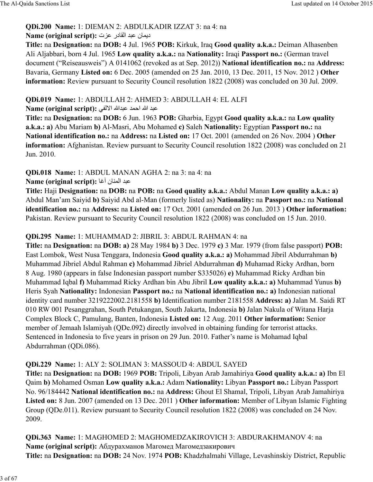### **QDi.200 Name:** 1: DIEMAN 2: ABDULKADIR IZZAT 3: na 4: na

### ديمان عبد القادر عزت: Name (original script):

**Title:** na **Designation:** na **DOB:** 4 Jul. 1965 **POB:** Kirkuk, Iraq **Good quality a.k.a.:** Deiman Alhasenben Ali Aljabbari, born 4 Jul. 1965 **Low quality a.k.a.:** na **Nationality:** Iraqi **Passport no.:** (German travel document ("Reiseausweis") A 0141062 (revoked as at Sep. 2012)) **National identification no.:** na **Address:** Bavaria, Germany **Listed on:** 6 Dec. 2005 (amended on 25 Jan. 2010, 13 Dec. 2011, 15 Nov. 2012 ) **Other information:** Review pursuant to Security Council resolution 1822 (2008) was concluded on 30 Jul. 2009.

### **QDi.019 Name:** 1: ABDULLAH 2: AHMED 3: ABDULLAH 4: EL ALFI

Name (original script): عبد الله احمد عبدالله الألفي

**Title:** na **Designation:** na **DOB:** 6 Jun. 1963 **POB:** Gharbia, Egypt **Good quality a.k.a.:** na **Low quality a.k.a.: a)** Abu Mariam **b)** Al-Masri, Abu Mohamed **c)** Saleh **Nationality:** Egyptian **Passport no.:** na **National identification no.:** na **Address:** na **Listed on:** 17 Oct. 2001 (amended on 26 Nov. 2004 ) **Other information:** Afghanistan. Review pursuant to Security Council resolution 1822 (2008) was concluded on 21 Jun. 2010.

# **QDi.018 Name:** 1: ABDUL MANAN AGHA 2: na 3: na 4: na

### **Name (original script):** عبد المنان آغا

**Title:** Haji **Designation:** na **DOB:** na **POB:** na **Good quality a.k.a.:** Abdul Manan **Low quality a.k.a.: a)** Abdul Man'am Saiyid **b)** Saiyid Abd al-Man (formerly listed as) **Nationality:** na **Passport no.:** na **National identification no.:** na **Address:** na **Listed on:** 17 Oct. 2001 (amended on 26 Jun. 2013 ) **Other information:** Pakistan. Review pursuant to Security Council resolution 1822 (2008) was concluded on 15 Jun. 2010.

# **QDi.295 Name:** 1: MUHAMMAD 2: JIBRIL 3: ABDUL RAHMAN 4: na

**Title:** na **Designation:** na **DOB: a)** 28 May 1984 **b)** 3 Dec. 1979 **c)** 3 Mar. 1979 (from false passport) **POB:** East Lombok, West Nusa Tenggara, Indonesia **Good quality a.k.a.: a)** Mohammad Jibril Abdurrahman **b)** Muhammad Jibriel Abdul Rahman **c)** Mohammad Jibriel Abdurrahman **d)** Muhamad Ricky Ardhan, born 8 Aug. 1980 (appears in false Indonesian passport number S335026) **e)** Muhammad Ricky Ardhan bin Muhammad Iqbal **f)** Muhammad Ricky Ardhan bin Abu Jibril **Low quality a.k.a.: a)** Muhammad Yunus **b)** Heris Syah **Nationality:** Indonesian **Passport no.:** na **National identification no.: a)** Indonesian national identity card number 3219222002.2181558 **b)** Identification number 2181558 **Address: a)** Jalan M. Saidi RT 010 RW 001 Pesanggrahan, South Petukangan, South Jakarta, Indonesia **b)** Jalan Nakula of Witana Harja Complex Block C, Pamulang, Banten, Indonesia **Listed on:** 12 Aug. 2011 **Other information:** Senior member of Jemaah Islamiyah (QDe.092) directly involved in obtaining funding for terrorist attacks. Sentenced in Indonesia to five years in prison on 29 Jun. 2010. Father's name is Mohamad Iqbal Abdurrahman (QDi.086).

# **QDi.229 Name:** 1: ALY 2: SOLIMAN 3: MASSOUD 4: ABDUL SAYED

**Title:** na **Designation:** na **DOB:** 1969 **POB:** Tripoli, Libyan Arab Jamahiriya **Good quality a.k.a.: a)** Ibn El Qaim **b)** Mohamed Osman **Low quality a.k.a.:** Adam **Nationality:** Libyan **Passport no.:** Libyan Passport No. 96/184442 **National identification no.:** na **Address:** Ghout El Shamal, Tripoli, Libyan Arab Jamahiriya **Listed on:** 8 Jun. 2007 (amended on 13 Dec. 2011 ) **Other information:** Member of Libyan Islamic Fighting Group (QDe.011). Review pursuant to Security Council resolution 1822 (2008) was concluded on 24 Nov. 2009.

**QDi.363 Name:** 1: MAGHOMED 2: MAGHOMEDZAKIROVICH 3: ABDURAKHMANOV 4: na **Name (original script):** Абдурахманов Магомед Магомедзакирович **Title:** na **Designation:** na **DOB:** 24 Nov. 1974 **POB:** Khadzhalmahi Village, Levashinskiy District, Republic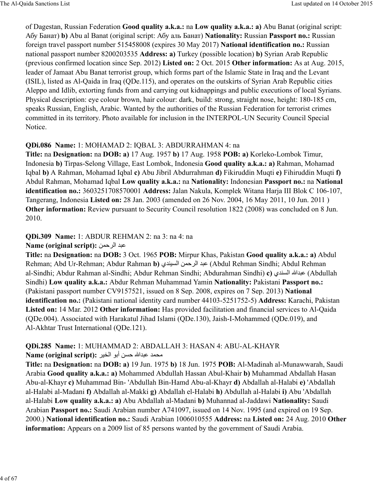of Dagestan, Russian Federation **Good quality a.k.a.:** na **Low quality a.k.a.: a)** Abu Banat (original script: Абу Банат) **b)** Abu al Banat (original script: Абу аль Банат) **Nationality:** Russian **Passport no.:** Russian foreign travel passport number 515458008 (expires 30 May 2017) **National identification no.:** Russian national passport number 8200203535 **Address: a)** Turkey (possible location) **b)** Syrian Arab Republic (previous confirmed location since Sep. 2012) **Listed on:** 2 Oct. 2015 **Other information:** As at Aug. 2015, leader of Jamaat Abu Banat terrorist group, which forms part of the Islamic State in Iraq and the Levant (ISIL), listed as Al-Qaida in Iraq (QDe.115), and operates on the outskirts of Syrian Arab Republic cities Aleppo and Idlib, extorting funds from and carrying out kidnappings and public executions of local Syrians. Physical description: eye colour brown, hair colour: dark, build: strong, straight nose, height: 180-185 cm, speaks Russian, English, Arabic. Wanted by the authorities of the Russian Federation for terrorist crimes committed in its territory. Photo available for inclusion in the INTERPOL-UN Security Council Special Notice.

#### **QDi.086 Name:** 1: MOHAMAD 2: IQBAL 3: ABDURRAHMAN 4: na

**Title:** na **Designation:** na **DOB: a)** 17 Aug. 1957 **b)** 17 Aug. 1958 **POB: a)** Korleko-Lombok Timur, Indonesia **b)** Tirpas-Selong Village, East Lombok, Indonesia **Good quality a.k.a.: a)** Rahman, Mohamad Iqbal **b)** A Rahman, Mohamad Iqbal **c)** Abu Jibril Abdurrahman **d)** Fikiruddin Muqti **e)** Fihiruddin Muqti **f)** Abdul Rahman, Mohamad Iqbal **Low quality a.k.a.:** na **Nationality:** Indonesian **Passport no.:** na **National identification no.:** 3603251708570001 **Address:** Jalan Nakula, Komplek Witana Harja III Blok C 106-107, Tangerang, Indonesia **Listed on:** 28 Jan. 2003 (amended on 26 Nov. 2004, 16 May 2011, 10 Jun. 2011 ) **Other information:** Review pursuant to Security Council resolution 1822 (2008) was concluded on 8 Jun. 2010.

#### **QDi.309 Name:** 1: ABDUR REHMAN 2: na 3: na 4: na

#### **Name (original script):** عبد الرحمن

**Title:** na **Designation:** na **DOB:** 3 Oct. 1965 **POB:** Mirpur Khas, Pakistan **Good quality a.k.a.: a)** Abdul Rehman; Abd Ur-Rehman; Abdur Rahman **b)** ي>yca:ا h[ح@:ا> 9) =Abdul Rehman Sindhi; Abdul Rehman al-Sindhi; Abdur Rahman al-Sindhi; Abdur Rehman Sindhi; Abdurahman Sindhi) **c**) **عبدالله السندي (Abdullah** Sindhi) **Low quality a.k.a.:** Abdur Rehman Muhammad Yamin **Nationality:** Pakistani **Passport no.:** (Pakistani passport number CV9157521, issued on 8 Sep. 2008, expires on 7 Sep. 2013) **National identification no.:** (Pakistani national identity card number 44103-5251752-5) **Address:** Karachi, Pakistan **Listed on:** 14 Mar. 2012 **Other information:** Has provided facilitation and financial services to Al-Qaida (QDe.004). Associated with Harakatul Jihad Islami (QDe.130), Jaish-I-Mohammed (QDe.019), and Al-Akhtar Trust International (QDe.121).

#### **QDi.285 Name:** 1: MUHAMMAD 2: ABDALLAH 3: HASAN 4: ABU-AL-KHAYR Name (original script): محمد عبدالله حسن أبو الخير

**Title:** na **Designation:** na **DOB: a)** 19 Jun. 1975 **b)** 18 Jun. 1975 **POB:** Al-Madinah al-Munawwarah, Saudi Arabia **Good quality a.k.a.: a)** Mohammed Abdullah Hassan Abul-Khair **b)** Muhammad Abdallah Hasan Abu-al-Khayr **c)** Muhammad Bin- 'Abdullah Bin-Hamd Abu-al-Khayr **d)** Abdallah al-Halabi **e)** 'Abdallah al-Halabi al-Madani **f)** Abdallah al-Makki **g)** Abdallah el-Halabi **h)** Abdullah al-Halabi **i)** Abu 'Abdallah al-Halabi **Low quality a.k.a.: a)** Abu Abdallah al-Madani **b)** Muhannad al-Jaddawi **Nationality:** Saudi Arabian **Passport no.:** Saudi Arabian number A741097, issued on 14 Nov. 1995 (and expired on 19 Sep. 2000.) **National identification no.:** Saudi Arabian 1006010555 **Address:** na **Listed on:** 24 Aug. 2010 **Other information:** Appears on a 2009 list of 85 persons wanted by the government of Saudi Arabia.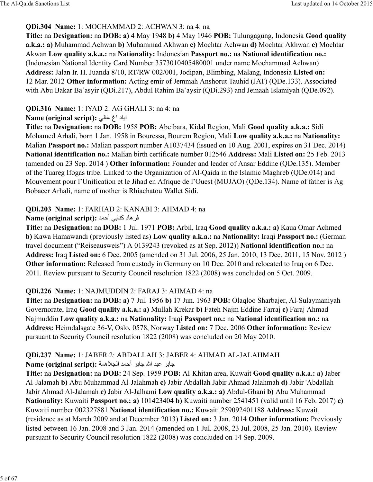### **QDi.304 Name:** 1: MOCHAMMAD 2: ACHWAN 3: na 4: na

**Title:** na **Designation:** na **DOB: a)** 4 May 1948 **b)** 4 May 1946 **POB:** Tulungagung, Indonesia **Good quality a.k.a.: a)** Muhammad Achwan **b)** Muhammad Akhwan **c)** Mochtar Achwan **d)** Mochtar Akhwan **e)** Mochtar Akwan **Low quality a.k.a.:** na **Nationality:** Indonesian **Passport no.:** na **National identification no.:** (Indonesian National Identity Card Number 3573010405480001 under name Mochammad Achwan) **Address:** Jalan Ir. H. Juanda 8/10, RT/RW 002/001, Jodipan, Blimbing, Malang, Indonesia **Listed on:** 12 Mar. 2012 **Other information:** Acting emir of Jemmah Anshorut Tauhid (JAT) (QDe.133). Associated with Abu Bakar Ba'asyir (QDi.217), Abdul Rahim Ba'aysir (QDi.293) and Jemaah Islamiyah (QDe.092).

### **QDi.316 Name:** 1: IYAD 2: AG GHALI 3: na 4: na

### **Name (original script):** اياد اغ غالى

**Title:** na **Designation:** na **DOB:** 1958 **POB:** Abeibara, Kidal Region, Mali **Good quality a.k.a.:** Sidi Mohamed Arhali, born 1 Jan. 1958 in Bouressa, Bourem Region, Mali **Low quality a.k.a.:** na **Nationality:** Malian **Passport no.:** Malian passport number A1037434 (issued on 10 Aug. 2001, expires on 31 Dec. 2014) **National identification no.:** Malian birth certificate number 012546 **Address:** Mali **Listed on:** 25 Feb. 2013 (amended on 23 Sep. 2014 ) **Other information:** Founder and leader of Ansar Eddine (QDe.135). Member of the Tuareg Ifogas tribe. Linked to the Organization of Al-Qaida in the Islamic Maghreb (QDe.014) and Mouvement pour l'Unification et le Jihad en Afrique de l'Ouest (MUJAO) (QDe.134). Name of father is Ag Bobacer Arhali, name of mother is Rhiachatou Wallet Sidi.

### **QDi.203 Name:** 1: FARHAD 2: KANABI 3: AHMAD 4: na

### لا هاد كنابي أحمد **Name (original script):**

**Title:** na **Designation:** na **DOB:** 1 Jul. 1971 **POB:** Arbil, Iraq **Good quality a.k.a.: a)** Kaua Omar Achmed **b)** Kawa Hamawandi (previously listed as) **Low quality a.k.a.:** na **Nationality:** Iraqi **Passport no.:** (German travel document ("Reiseausweis") A 0139243 (revoked as at Sep. 2012)) **National identification no.:** na **Address:** Iraq **Listed on:** 6 Dec. 2005 (amended on 31 Jul. 2006, 25 Jan. 2010, 13 Dec. 2011, 15 Nov. 2012 ) **Other information:** Released from custody in Germany on 10 Dec. 2010 and relocated to Iraq on 6 Dec. 2011. Review pursuant to Security Council resolution 1822 (2008) was concluded on 5 Oct. 2009.

### **QDi.226 Name:** 1: NAJMUDDIN 2: FARAJ 3: AHMAD 4: na

**Title:** na **Designation:** na **DOB: a)** 7 Jul. 1956 **b)** 17 Jun. 1963 **POB:** Olaqloo Sharbajer, Al-Sulaymaniyah Governorate, Iraq **Good quality a.k.a.: a)** Mullah Krekar **b)** Fateh Najm Eddine Farraj **c)** Faraj Ahmad Najmuddin **Low quality a.k.a.:** na **Nationality:** Iraqi **Passport no.:** na **National identification no.:** na **Address:** Heimdalsgate 36-V, Oslo, 0578, Norway **Listed on:** 7 Dec. 2006 **Other information:** Review pursuant to Security Council resolution 1822 (2008) was concluded on 20 May 2010.

#### **QDi.237 Name:** 1: JABER 2: ABDALLAH 3: JABER 4: AHMAD AL-JALAHMAH **Name (original script): جابر عبد الله جابر أحمد الجلاهمة**

**Title:** na **Designation:** na **DOB:** 24 Sep. 1959 **POB:** Al-Khitan area, Kuwait **Good quality a.k.a.: a)** Jaber Al-Jalamah **b)** Abu Muhammad Al-Jalahmah **c)** Jabir Abdallah Jabir Ahmad Jalahmah **d)** Jabir 'Abdallah Jabir Ahmad Al-Jalamah **e)** Jabir Al-Jalhami **Low quality a.k.a.: a)** Abdul-Ghani **b)** Abu Muhammad **Nationality:** Kuwaiti **Passport no.: a)** 101423404 **b)** Kuwaiti number 2541451 (valid until 16 Feb. 2017) **c)** Kuwaiti number 002327881 **National identification no.:** Kuwaiti 259092401188 **Address:** Kuwait (residence as at March 2009 and at December 2013) **Listed on:** 3 Jan. 2014 **Other information:** Previously listed between 16 Jan. 2008 and 3 Jan. 2014 (amended on 1 Jul. 2008, 23 Jul. 2008, 25 Jan. 2010). Review pursuant to Security Council resolution 1822 (2008) was concluded on 14 Sep. 2009.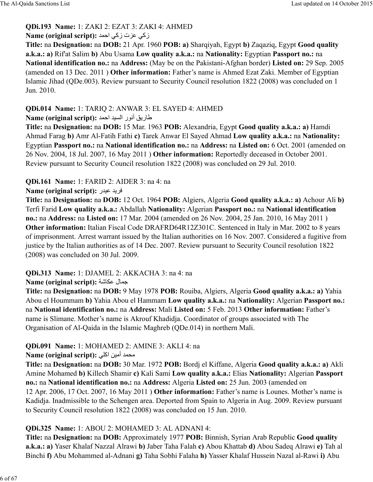# **QDi.193 Name:** 1: ZAKI 2: EZAT 3: ZAKI 4: AHMED

### **Name (original script): زکی عزت زکی احمد**

**Title:** na **Designation:** na **DOB:** 21 Apr. 1960 **POB: a)** Sharqiyah, Egypt **b)** Zaqaziq, Egypt **Good quality a.k.a.: a)** Rif'at Salim **b)** Abu Usama **Low quality a.k.a.:** na **Nationality:** Egyptian **Passport no.:** na **National identification no.:** na **Address:** (May be on the Pakistani-Afghan border) **Listed on:** 29 Sep. 2005 (amended on 13 Dec. 2011 ) **Other information:** Father's name is Ahmed Ezat Zaki. Member of Egyptian Islamic Jihad (QDe.003). Review pursuant to Security Council resolution 1822 (2008) was concluded on 1 Jun. 2010.

### **QDi.014 Name:** 1: TARIQ 2: ANWAR 3: EL SAYED 4: AHMED

# طاريق أنور السيد احمد : **Name (original script)**

**Title:** na **Designation:** na **DOB:** 15 Mar. 1963 **POB:** Alexandria, Egypt **Good quality a.k.a.: a)** Hamdi Ahmad Farag **b)** Amr Al-Fatih Fathi **c)** Tarek Anwar El Sayed Ahmad **Low quality a.k.a.:** na **Nationality:** Egyptian **Passport no.:** na **National identification no.:** na **Address:** na **Listed on:** 6 Oct. 2001 (amended on 26 Nov. 2004, 18 Jul. 2007, 16 May 2011 ) **Other information:** Reportedly deceased in October 2001. Review pursuant to Security Council resolution 1822 (2008) was concluded on 29 Jul. 2010.

# **QDi.161 Name:** 1: FARID 2: AIDER 3: na 4: na

# **Name (original script):** فريد عيدر

**Title:** na **Designation:** na **DOB:** 12 Oct. 1964 **POB:** Algiers, Algeria **Good quality a.k.a.: a)** Achour Ali **b)** Terfi Farid **Low quality a.k.a.:** Abdallah **Nationality:** Algerian **Passport no.:** na **National identification no.:** na **Address:** na **Listed on:** 17 Mar. 2004 (amended on 26 Nov. 2004, 25 Jan. 2010, 16 May 2011 ) **Other information:** Italian Fiscal Code DRAFRD64R12Z301C. Sentenced in Italy in Mar. 2002 to 8 years of imprisonment. Arrest warrant issued by the Italian authorities on 16 Nov. 2007. Considered a fugitive from justice by the Italian authorities as of 14 Dec. 2007. Review pursuant to Security Council resolution 1822 (2008) was concluded on 30 Jul. 2009.

# **QDi.313 Name:** 1: DJAMEL 2: AKKACHA 3: na 4: na

# **Name (original script):** جمال عكاشة

**Title:** na **Designation:** na **DOB:** 9 May 1978 **POB:** Rouiba, Algiers, Algeria **Good quality a.k.a.: a)** Yahia Abou el Hoummam **b)** Yahia Abou el Hammam **Low quality a.k.a.:** na **Nationality:** Algerian **Passport no.:** na **National identification no.:** na **Address:** Mali **Listed on:** 5 Feb. 2013 **Other information:** Father's name is Slimane. Mother's name is Akrouf Khadidja. Coordinator of groups associated with The Organisation of Al-Qaida in the Islamic Maghreb (QDe.014) in northern Mali.

# **QDi.091 Name:** 1: MOHAMED 2: AMINE 3: AKLI 4: na

### **Name (original script):** محمد أمين اكلي

**Title:** na **Designation:** na **DOB:** 30 Mar. 1972 **POB:** Bordj el Kiffane, Algeria **Good quality a.k.a.: a)** Akli Amine Mohamed **b)** Killech Shamir **c)** Kali Sami **Low quality a.k.a.:** Elias **Nationality:** Algerian **Passport no.:** na **National identification no.:** na **Address:** Algeria **Listed on:** 25 Jun. 2003 (amended on 12 Apr. 2006, 17 Oct. 2007, 16 May 2011 ) **Other information:** Father's name is Lounes. Mother's name is Kadidja. Inadmissible to the Schengen area. Deported from Spain to Algeria in Aug. 2009. Review pursuant to Security Council resolution 1822 (2008) was concluded on 15 Jun. 2010.

# **QDi.325 Name:** 1: ABOU 2: MOHAMED 3: AL ADNANI 4:

**Title:** na **Designation:** na **DOB:** Approximately 1977 **POB:** Binnish, Syrian Arab Republic **Good quality a.k.a.: a)** Yaser Khalaf Nazzal Alrawi **b)** Jaber Taha Falah **c)** Abou Khattab **d)** Abou Sadeq Alrawi **e)** Tah al Binchi **f)** Abu Mohammed al-Adnani **g)** Taha Sobhi Falaha **h)** Yasser Khalaf Hussein Nazal al-Rawi **i)** Abu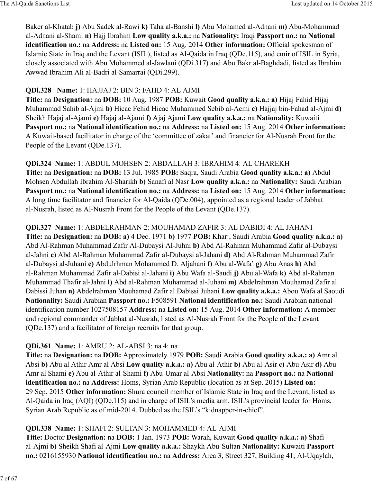Baker al-Khatab **j)** Abu Sadek al-Rawi **k)** Taha al-Banshi **l)** Abu Mohamed al-Adnani **m)** Abu-Mohammad al-Adnani al-Shami **n)** Hajj Ibrahim **Low quality a.k.a.:** na **Nationality:** Iraqi **Passport no.:** na **National identification no.:** na **Address:** na **Listed on:** 15 Aug. 2014 **Other information:** Official spokesman of Islamic State in Iraq and the Levant (ISIL), listed as Al-Qaida in Iraq (QDe.115), and emir of ISIL in Syria, closely associated with Abu Mohammed al-Jawlani (QDi.317) and Abu Bakr al-Baghdadi, listed as Ibrahim Awwad Ibrahim Ali al-Badri al-Samarrai (QDi.299).

### **QDi.328 Name:** 1: HAJJAJ 2: BIN 3: FAHD 4: AL AJMI

**Title:** na **Designation:** na **DOB:** 10 Aug. 1987 **POB:** Kuwait **Good quality a.k.a.: a)** Hijaj Fahid Hijaj Muhammad Sahib al-Ajmi **b)** Hicac Fehid Hicac Muhammed Sebib al-Acmi **c)** Hajjaj bin-Fahad al-Ajmi **d)** Sheikh Hajaj al-Ajami **e)** Hajaj al-Ajami **f)** Ajaj Ajami **Low quality a.k.a.:** na **Nationality:** Kuwaiti **Passport no.:** na **National identification no.:** na **Address:** na **Listed on:** 15 Aug. 2014 **Other information:** A Kuwait-based facilitator in charge of the 'committee of zakat' and financier for Al-Nusrah Front for the People of the Levant (QDe.137).

**QDi.324 Name:** 1: ABDUL MOHSEN 2: ABDALLAH 3: IBRAHIM 4: AL CHAREKH **Title:** na **Designation:** na **DOB:** 13 Jul. 1985 **POB:** Saqra, Saudi Arabia **Good quality a.k.a.: a)** Abdul Mohsen Abdullah Ibrahim Al-Sharikh **b)** Sanafi al Nasr **Low quality a.k.a.:** na **Nationality:** Saudi Arabian **Passport no.:** na **National identification no.:** na **Address:** na **Listed on:** 15 Aug. 2014 **Other information:** A long time facilitator and financier for Al-Qaida (QDe.004), appointed as a regional leader of Jabhat al-Nusrah, listed as Al-Nusrah Front for the People of the Levant (QDe.137).

**QDi.327 Name:** 1: ABDELRAHMAN 2: MOUHAMAD ZAFIR 3: AL DABIDI 4: AL JAHANI **Title:** na **Designation:** na **DOB: a)** 4 Dec. 1971 **b)** 1977 **POB:** Kharj, Saudi Arabia **Good quality a.k.a.: a)** Abd Al-Rahman Muhammad Zafir Al-Dubaysi Al-Juhni **b)** Abd Al-Rahman Muhammad Zafir al-Dubaysi al-Jahni **c)** Abd Al-Rahman Muhammad Zafir al-Dubaysi al-Jahani **d)** Abd Al-Rahman Muhammad Zafir al-Dubaysi al-Juhani **e)** Abdulrhman Mohammed D. Aljahani **f)** Abu al-Wafa' **g)** Abu Anas **h)** Abd al-Rahman Muhammad Zafir al-Dabisi al-Jahani **i)** Abu Wafa al-Saudi **j)** Abu al-Wafa **k)** Abd al-Rahman Muhammad Thafir al-Jahni **l)** Abd al-Rahman Muhammad al-Juhani **m)** Abdelrahman Mouhamad Zafir al Dabissi Juhan **n)** Abdelrahman Mouhamad Zafir al Dabissi Juhani **Low quality a.k.a.:** Abou Wafa al Saoudi **Nationality:** Saudi Arabian **Passport no.:** F508591 **National identification no.:** Saudi Arabian national identification number 1027508157 **Address:** na **Listed on:** 15 Aug. 2014 **Other information:** A member and regional commander of Jabhat al-Nusrah, listed as Al-Nusrah Front for the People of the Levant (QDe.137) and a facilitator of foreign recruits for that group.

### **QDi.361 Name:** 1: AMRU 2: AL-ABSI 3: na 4: na

**Title:** na **Designation:** na **DOB:** Approximately 1979 **POB:** Saudi Arabia **Good quality a.k.a.: a)** Amr al Absi **b)** Abu al Athir Amr al Absi **Low quality a.k.a.: a)** Abu al-Athir **b)** Abu al-Asir **c)** Abu Asir **d)** Abu Amr al Shami **e)** Abu al-Athir al-Shami **f)** Abu-Umar al-Absi **Nationality:** na **Passport no.:** na **National identification no.:** na **Address:** Homs, Syrian Arab Republic (location as at Sep. 2015) **Listed on:** 29 Sep. 2015 **Other information:** Shura council member of Islamic State in Iraq and the Levant, listed as Al-Qaida in Iraq (AQI) (QDe.115) and in charge of ISIL's media arm. ISIL's provincial leader for Homs, Syrian Arab Republic as of mid-2014. Dubbed as the ISIL's "kidnapper-in-chief".

### **QDi.338 Name:** 1: SHAFI 2: SULTAN 3: MOHAMMED 4: AL-AJMI

**Title:** Doctor **Designation:** na **DOB:** 1 Jan. 1973 **POB:** Warah, Kuwait **Good quality a.k.a.: a)** Shafi al-Ajmi **b)** Sheikh Shafi al-Ajmi **Low quality a.k.a.:** Shaykh Abu-Sultan **Nationality:** Kuwaiti **Passport no.:** 0216155930 **National identification no.:** na **Address:** Area 3, Street 327, Building 41, Al-Uqaylah,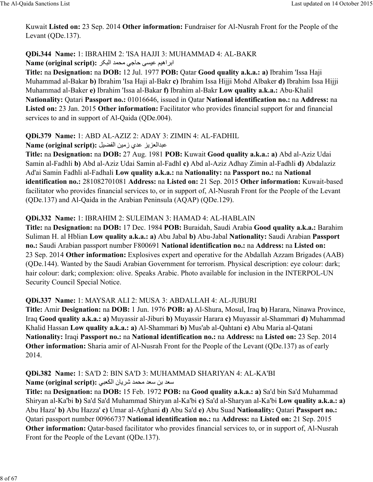Kuwait **Listed on:** 23 Sep. 2014 **Other information:** Fundraiser for Al-Nusrah Front for the People of the Levant (QDe.137).

**QDi.344 Name:** 1: IBRAHIM 2: 'ISA HAJJI 3: MUHAMMAD 4: AL-BAKR Name (original script): ابراهيم عيسى حاجي محمد البكر

**Title:** na **Designation:** na **DOB:** 12 Jul. 1977 **POB:** Qatar **Good quality a.k.a.: a)** Ibrahim 'Issa Haji Muhammad al-Bakar **b)** Ibrahim 'Isa Haji al-Bakr **c)** Ibrahim Issa Hijji Mohd Albaker **d)** Ibrahim Issa Hijji Muhammad al-Baker **e)** Ibrahim 'Issa al-Bakar **f)** Ibrahim al-Bakr **Low quality a.k.a.:** Abu-Khalil **Nationality:** Qatari **Passport no.:** 01016646, issued in Qatar **National identification no.:** na **Address:** na Listed on: 23 Jan. 2015 Other information: Facilitator who provides financial support for and financial services to and in support of Al-Qaida (QDe.004).

**QDi.379 Name:** 1: ABD AL-AZIZ 2: ADAY 3: ZIMIN 4: AL-FADHIL

Name (original script): عبدالعزيز عدى زمين الفضيل

**Title:** na **Designation:** na **DOB:** 27 Aug. 1981 **POB:** Kuwait **Good quality a.k.a.: a)** Abd al-Aziz Udai Samin al-Fadhli **b)** Abd al-Aziz Udai Samin al-Fadhl **c)** Abd al-Aziz Adhay Zimin al-Fadhli **d)** Abdalaziz Ad'ai Samin Fadhli al-Fadhali **Low quality a.k.a.:** na **Nationality:** na **Passport no.:** na **National identification no.:** 281082701081 **Address:** na **Listed on:** 21 Sep. 2015 **Other information:** Kuwait-based facilitator who provides financial services to, or in support of, Al-Nusrah Front for the People of the Levant (QDe.137) and Al-Qaida in the Arabian Peninsula (AQAP) (QDe.129).

### **QDi.332 Name:** 1: IBRAHIM 2: SULEIMAN 3: HAMAD 4: AL-HABLAIN

**Title:** na **Designation:** na **DOB:** 17 Dec. 1984 **POB:** Buraidah, Saudi Arabia **Good quality a.k.a.:** Barahim Suliman H. al Hblian **Low quality a.k.a.: a)** Abu Jabal **b)** Abu-Jabal **Nationality:** Saudi Arabian **Passport no.:** Saudi Arabian passport number F800691 **National identification no.:** na **Address:** na **Listed on:** 23 Sep. 2014 **Other information:** Explosives expert and operative for the Abdallah Azzam Brigades (AAB) (QDe.144). Wanted by the Saudi Arabian Government for terrorism. Physical description: eye colour: dark; hair colour: dark; complexion: olive. Speaks Arabic. Photo available for inclusion in the INTERPOL-UN Security Council Special Notice.

### **QDi.337 Name:** 1: MAYSAR ALI 2: MUSA 3: ABDALLAH 4: AL-JUBURI

**Title:** Amir **Designation:** na **DOB:** 1 Jun. 1976 **POB: a)** Al-Shura, Mosul, Iraq **b)** Harara, Ninawa Province, Iraq **Good quality a.k.a.: a)** Muyassir al-Jiburi **b)** Muyassir Harara **c)** Muyassir al-Shammari **d)** Muhammad Khalid Hassan **Low quality a.k.a.: a)** Al-Shammari **b)** Mus'ab al-Qahtani **c)** Abu Maria al-Qatani **Nationality:** Iraqi **Passport no.:** na **National identification no.:** na **Address:** na **Listed on:** 23 Sep. 2014 **Other information:** Sharia amir of Al-Nusrah Front for the People of the Levant (ODe.137) as of early 2014.

#### **QDi.382 Name:** 1: SA'D 2: BIN SA'D 3: MUHAMMAD SHARIYAN 4: AL-KA'BI Name (original script): سعد بن سعد محمد شريان الكعبي

**Title:** na **Designation:** na **DOB:** 15 Feb. 1972 **POB:** na **Good quality a.k.a.: a)** Sa'd bin Sa'd Muhammad Shiryan al-Ka'bi **b)** Sa'd Sa'd Muhammad Shiryan al-Ka'bi **c)** Sa'd al-Sharyan al-Ka'bi **Low quality a.k.a.: a)** Abu Haza' **b)** Abu Hazza' **c)** Umar al-Afghani **d)** Abu Sa'd **e)** Abu Suad **Nationality:** Qatari **Passport no.:** Qatari passport number 00966737 **National identification no.:** na **Address:** na **Listed on:** 21 Sep. 2015 **Other information:** Qatar-based facilitator who provides financial services to, or in support of, Al-Nusrah Front for the People of the Levant (QDe.137).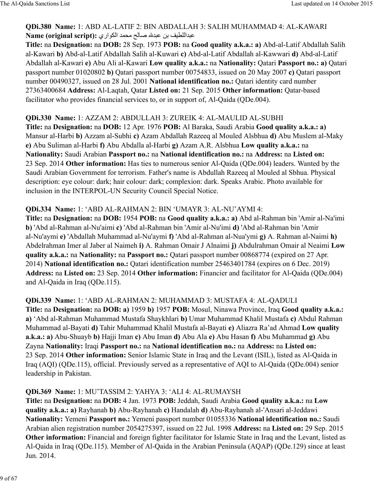### **QDi.380 Name:** 1: ABD AL-LATIF 2: BIN ABDALLAH 3: SALIH MUHAMMAD 4: AL-KAWARI Aame (original script): عبداللطيف بن عبدلله صـالح محمد الكواري

**Title:** na **Designation:** na **DOB:** 28 Sep. 1973 **POB:** na **Good quality a.k.a.: a)** Abd-al-Latif Abdallah Salih al-Kawari **b)** Abd-al-Latif Abdallah Salih al-Kuwari **c)** Abd-al-Latif Abdallah al-Kawwari **d)** Abd-al-Latif Abdallah al-Kawari **e)** Abu Ali al-Kawari **Low quality a.k.a.:** na **Nationality:** Qatari **Passport no.: a)** Qatari passport number 01020802 **b)** Qatari passport number 00754833, issued on 20 May 2007 **c)** Qatari passport number 00490327, issued on 28 Jul. 2001 **National identification no.:** Qatari identity card number 27363400684 **Address:** Al-Laqtah, Qatar **Listed on:** 21 Sep. 2015 **Other information:** Qatar-based facilitator who provides financial services to, or in support of, Al-Qaida (QDe.004).

### **QDi.330 Name:** 1: AZZAM 2: ABDULLAH 3: ZUREIK 4: AL-MAULID AL-SUBHI

**Title:** na **Designation:** na **DOB:** 12 Apr. 1976 **POB:** Al Baraka, Saudi Arabia **Good quality a.k.a.: a)** Mansur al-Harbi **b)** Azzam al-Subhi **c)** Azam Abdallah Razeeq al Mouled Alsbhua **d)** Abu Muslem al-Maky **e)** Abu Suliman al-Harbi **f)** Abu Abdalla al-Harbi **g)** Azam A.R. Alsbhua **Low quality a.k.a.:** na **Nationality:** Saudi Arabian **Passport no.:** na **National identification no.:** na **Address:** na **Listed on:** 23 Sep. 2014 **Other information:** Has ties to numerous senior Al-Qaida (QDe.004) leaders. Wanted by the Saudi Arabian Government for terrorism. Father's name is Abdullah Razeeq al Mouled al Sbhua. Physical description: eye colour: dark; hair colour: dark; complexion: dark. Speaks Arabic. Photo available for inclusion in the INTERPOL-UN Security Council Special Notice.

#### **QDi.334 Name:** 1: 'ABD AL-RAHMAN 2: BIN 'UMAYR 3: AL-NU'AYMI 4:

**Title:** na **Designation:** na **DOB:** 1954 **POB:** na **Good quality a.k.a.: a)** Abd al-Rahman bin 'Amir al-Na'imi **b)** 'Abd al-Rahman al-Nu'aimi **c)** 'Abd al-Rahman bin 'Amir al-Nu'imi **d)** 'Abd al-Rahman bin 'Amir al-Nu'aymi **e)** 'Abdallah Muhammad al-Nu'aymi **f)** 'Abd al-Rahman al-Nua'ymi **g)** A. Rahman al-Naimi **h)** Abdelrahman Imer al Jaber al Naimeh **i)** A. Rahman Omair J Alnaimi **j)** Abdulrahman Omair al Neaimi **Low quality a.k.a.:** na **Nationality:** na **Passport no.:** Qatari passport number 00868774 (expired on 27 Apr. 2014) **National identification no.:** Qatari identification number 25463401784 (expires on 6 Dec. 2019) **Address:** na **Listed on:** 23 Sep. 2014 **Other information:** Financier and facilitator for Al-Qaida (QDe.004) and Al-Qaida in Iraq (QDe.115).

**QDi.339 Name:** 1: 'ABD AL-RAHMAN 2: MUHAMMAD 3: MUSTAFA 4: AL-QADULI **Title:** na **Designation:** na **DOB: a)** 1959 **b)** 1957 **POB:** Mosul, Ninawa Province, Iraq **Good quality a.k.a.: a)** 'Abd al-Rahman Muhammad Mustafa Shaykhlari **b)** Umar Muhammad Khalil Mustafa **c)** Abdul Rahman Muhammad al-Bayati **d)** Tahir Muhammad Khalil Mustafa al-Bayati **e)** Aliazra Ra'ad Ahmad **Low quality a.k.a.: a)** Abu-Shuayb **b)** Hajji Iman **c)** Abu Iman **d)** Abu Ala **e)** Abu Hasan **f)** Abu Muhammad **g)** Abu Zayna **Nationality:** Iraqi **Passport no.:** na **National identification no.:** na **Address:** na **Listed on:** 23 Sep. 2014 **Other information:** Senior Islamic State in Iraq and the Levant (ISIL), listed as Al-Qaida in Iraq (AQI) (QDe.115), official. Previously served as a representative of AQI to Al-Qaida (QDe.004) senior leadership in Pakistan.

### **QDi.369 Name:** 1: MU'TASSIM 2: YAHYA 3: 'ALI 4: AL-RUMAYSH

**Title:** na **Designation:** na **DOB:** 4 Jan. 1973 **POB:** Jeddah, Saudi Arabia **Good quality a.k.a.:** na **Low quality a.k.a.: a)** Rayhanah **b)** Abu-Rayhanah **c)** Handalah **d)** Abu-Rayhanah al-'Ansari al-Jeddawi **Nationality:** Yemeni **Passport no.:** Yemeni passport number 01055336 **National identification no.:** Saudi Arabian alien registration number 2054275397, issued on 22 Jul. 1998 **Address:** na **Listed on:** 29 Sep. 2015 **Other information:** Financial and foreign fighter facilitator for Islamic State in Iraq and the Levant, listed as Al-Qaida in Iraq (QDe.115). Member of Al-Qaida in the Arabian Peninsula (AQAP) (QDe.129) since at least Jun. 2014.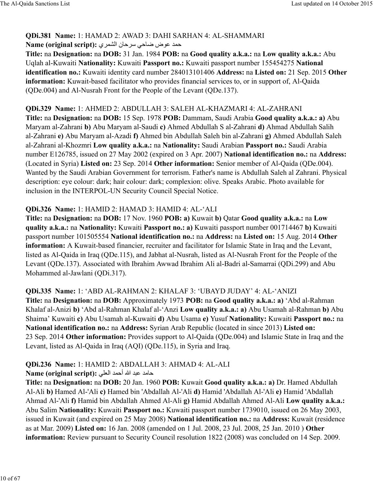### **QDi.381 Name:** 1: HAMAD 2: AWAD 3: DAHI SARHAN 4: AL-SHAMMARI حمد عوض ضاحي سرحان الشمري : Name (original script)

**Title:** na **Designation:** na **DOB:** 31 Jan. 1984 **POB:** na **Good quality a.k.a.:** na **Low quality a.k.a.:** Abu Uqlah al-Kuwaiti **Nationality:** Kuwaiti **Passport no.:** Kuwaiti passport number 155454275 **National identification no.:** Kuwaiti identity card number 284013101406 **Address:** na **Listed on:** 21 Sep. 2015 **Other information:** Kuwait-based facilitator who provides financial services to, or in support of, Al-Qaida (QDe.004) and Al-Nusrah Front for the People of the Levant (QDe.137).

# **QDi.329 Name:** 1: AHMED 2: ABDULLAH 3: SALEH AL-KHAZMARI 4: AL-ZAHRANI

**Title:** na **Designation:** na **DOB:** 15 Sep. 1978 **POB:** Dammam, Saudi Arabia **Good quality a.k.a.: a)** Abu Maryam al-Zahrani **b)** Abu Maryam al-Saudi **c)** Ahmed Abdullah S al-Zahrani **d)** Ahmad Abdullah Salih al-Zahrani **e)** Abu Maryam al-Azadi **f)** Ahmed bin Abdullah Saleh bin al-Zahrani **g)** Ahmed Abdullah Saleh al-Zahrani al-Khozmri **Low quality a.k.a.:** na **Nationality:** Saudi Arabian **Passport no.:** Saudi Arabia number E126785, issued on 27 May 2002 (expired on 3 Apr. 2007) **National identification no.:** na **Address:** (Located in Syria) **Listed on:** 23 Sep. 2014 **Other information:** Senior member of Al-Qaida (QDe.004). Wanted by the Saudi Arabian Government for terrorism. Father's name is Abdullah Saleh al Zahrani. Physical description: eye colour: dark; hair colour: dark; complexion: olive. Speaks Arabic. Photo available for inclusion in the INTERPOL-UN Security Council Special Notice.

### **QDi.326 Name:** 1: HAMID 2: HAMAD 3: HAMID 4: AL-'ALI

**Title:** na **Designation:** na **DOB:** 17 Nov. 1960 **POB: a)** Kuwait **b)** Qatar **Good quality a.k.a.:** na **Low quality a.k.a.:** na **Nationality:** Kuwaiti **Passport no.: a)** Kuwaiti passport number 001714467 **b)** Kuwaiti passport number 101505554 **National identification no.:** na **Address:** na **Listed on:** 15 Aug. 2014 **Other information:** A Kuwait-based financier, recruiter and facilitator for Islamic State in Iraq and the Levant, listed as Al-Qaida in Iraq (QDe.115), and Jabhat al-Nusrah, listed as Al-Nusrah Front for the People of the Levant (QDe.137). Associated with Ibrahim Awwad Ibrahim Ali al-Badri al-Samarrai (QDi.299) and Abu Mohammed al-Jawlani (QDi.317).

### **QDi.335 Name:** 1: 'ABD AL-RAHMAN 2: KHALAF 3: 'UBAYD JUDAY' 4: AL-'ANIZI **Title:** na **Designation:** na **DOB:** Approximately 1973 **POB:** na **Good quality a.k.a.: a)** 'Abd al-Rahman Khalaf al-Anizi **b)** 'Abd al-Rahman Khalaf al-'Anzi **Low quality a.k.a.: a)** Abu Usamah al-Rahman **b)** Abu Shaima' Kuwaiti **c)** Abu Usamah al-Kuwaiti **d)** Abu Usama **e)** Yusuf **Nationality:** Kuwaiti **Passport no.:** na **National identification no.:** na **Address:** Syrian Arab Republic (located in since 2013) **Listed on:** 23 Sep. 2014 **Other information:** Provides support to Al-Qaida (QDe.004) and Islamic State in Iraq and the Levant, listed as Al-Qaida in Iraq (AQI) (QDe.115), in Syria and Iraq.

# **QDi.236 Name:** 1: HAMID 2: ABDALLAH 3: AHMAD 4: AL-ALI

#### ح8\> =9> الله أح]> ا:úd6 **:)script original (Name**

**Title:** na **Designation:** na **DOB:** 20 Jan. 1960 **POB:** Kuwait **Good quality a.k.a.: a)** Dr. Hamed Abdullah Al-Ali **b)** Hamed Al-'Ali **c)** Hamed bin 'Abdallah Al-'Ali **d)** Hamid 'Abdallah Al-'Ali **e)** Hamid 'Abdallah Ahmad Al-'Ali **f)** Hamid bin Abdallah Ahmed Al-Ali **g)** Hamid Abdallah Ahmed Al-Ali **Low quality a.k.a.:** Abu Salim **Nationality:** Kuwaiti **Passport no.:** Kuwaiti passport number 1739010, issued on 26 May 2003, issued in Kuwait (and expired on 25 May 2008) **National identification no.:** na **Address:** Kuwait (residence as at Mar. 2009) **Listed on:** 16 Jan. 2008 (amended on 1 Jul. 2008, 23 Jul. 2008, 25 Jan. 2010 ) **Other information:** Review pursuant to Security Council resolution 1822 (2008) was concluded on 14 Sep. 2009.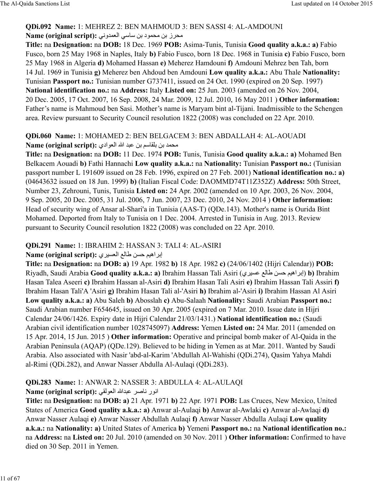### **QDi.092 Name:** 1: MEHREZ 2: BEN MAHMOUD 3: BEN SASSI 4: AL-AMDOUNI Name (original script): محرز بن محمود بن ساسي العمدوني

**Title:** na **Designation:** na **DOB:** 18 Dec. 1969 **POB:** Asima-Tunis, Tunisia **Good quality a.k.a.: a)** Fabio Fusco, born 25 May 1968 in Naples, Italy **b)** Fabio Fusco, born 18 Dec. 1968 in Tunisia **c)** Fabio Fusco, born 25 May 1968 in Algeria **d)** Mohamed Hassan **e)** Meherez Hamdouni **f)** Amdouni Mehrez ben Tah, born 14 Jul. 1969 in Tunisia **g)** Meherez ben Ahdoud ben Amdouni **Low quality a.k.a.:** Abu Thale **Nationality:** Tunisian **Passport no.:** Tunisian number G737411, issued on 24 Oct. 1990 (expired on 20 Sep. 1997) **National identification no.:** na **Address:** Italy **Listed on:** 25 Jun. 2003 (amended on 26 Nov. 2004, 20 Dec. 2005, 17 Oct. 2007, 16 Sep. 2008, 24 Mar. 2009, 12 Jul. 2010, 16 May 2011 ) **Other information:** Father's name is Mahmoud ben Sasi. Mother's name is Maryam bint al-Tijani. Inadmissible to the Schengen area. Review pursuant to Security Council resolution 1822 (2008) was concluded on 22 Apr. 2010.

### **QDi.060 Name:** 1: MOHAMED 2: BEN BELGACEM 3: BEN ABDALLAH 4: AL-AOUADI Name (original script): محمد بن بلقاسم بن عبد الله العوادي

**Title:** na **Designation:** na **DOB:** 11 Dec. 1974 **POB:** Tunis, Tunisia **Good quality a.k.a.: a)** Mohamed Ben Belkacem Aouadi **b)** Fathi Hannachi **Low quality a.k.a.:** na **Nationality:** Tunisian **Passport no.:** (Tunisian passport number L 191609 issued on 28 Feb. 1996, expired on 27 Feb. 2001) **National identification no.: a)** (04643632 issued on 18 Jun. 1999) **b)** (Italian Fiscal Code: DAOMMD74T11Z352Z) **Address:** 50th Street, Number 23, Zehrouni, Tunis, Tunisia **Listed on:** 24 Apr. 2002 (amended on 10 Apr. 2003, 26 Nov. 2004, 9 Sep. 2005, 20 Dec. 2005, 31 Jul. 2006, 7 Jun. 2007, 23 Dec. 2010, 24 Nov. 2014 ) **Other information:** Head of security wing of Ansar al-Shari'a in Tunisia (AAS-T) (QDe.143). Mother's name is Ourida Bint Mohamed. Deported from Italy to Tunisia on 1 Dec. 2004. Arrested in Tunisia in Aug. 2013. Review pursuant to Security Council resolution 1822 (2008) was concluded on 22 Apr. 2010.

# **QDi.291 Name:** 1: IBRAHIM 2: HASSAN 3: TALI 4: AL-ASIRI

# إبراهيم حسن طالع العسيري : Name (original script)

**Title:** na **Designation:** na **DOB: a)** 19 Apr. 1982 **b)** 18 Apr. 1982 **c)** (24/06/1402 (Hijri Calendar)) **POB:** Riyadh, Saudi Arabia **Good quality a.k.a.: a)** Ibrahim Hassan Tali Asiri (ي@ca= ™:8ط haح ücاھ@إب(**b)** Ibrahim Hasan Talea Aseeri **c)** Ibrahim Hassan al-Asiri **d)** Ibrahim Hasan Tali Asiri **e)** Ibrahim Hassan Tali Assiri **f)** Ibrahim Hasan Tali'A 'Asiri **g)** Ibrahim Hasan Tali al-'Asiri **h)** Ibrahim al-'Asiri **i)** Ibrahim Hassan Al Asiri **Low quality a.k.a.: a)** Abu Saleh **b)** Abosslah **c)** Abu-Salaah **Nationality:** Saudi Arabian **Passport no.:** Saudi Arabian number F654645, issued on 30 Apr. 2005 (expired on 7 Mar. 2010. Issue date in Hijri Calendar 24/06/1426. Expiry date in Hijri Calendar 21/03/1431.) **National identification no.:** (Saudi Arabian civil identification number 1028745097) **Address:** Yemen **Listed on:** 24 Mar. 2011 (amended on 15 Apr. 2014, 15 Jun. 2015 ) **Other information:** Operative and principal bomb maker of Al-Qaida in the Arabian Peninsula (AQAP) (QDe.129). Believed to be hiding in Yemen as at Mar. 2011. Wanted by Saudi Arabia. Also associated with Nasir 'abd-al-Karim 'Abdullah Al-Wahishi (QDi.274), Qasim Yahya Mahdi al-Rimi (QDi.282), and Anwar Nasser Abdulla Al-Aulaqi (QDi.283).

# **QDi.283 Name:** 1: ANWAR 2: NASSER 3: ABDULLA 4: AL-AULAQI

# Name (original script): انور ناصر عبدالله العولقي

**Title:** na **Designation:** na **DOB: a)** 21 Apr. 1971 **b)** 22 Apr. 1971 **POB:** Las Cruces, New Mexico, United States of America **Good quality a.k.a.: a)** Anwar al-Aulaqi **b)** Anwar al-Awlaki **c)** Anwar al-Awlaqi **d)** Anwar Nasser Aulaqi **e)** Anwar Nasser Abdullah Aulaqi **f)** Anwar Nasser Abdulla Aulaqi **Low quality a.k.a.:** na **Nationality: a)** United States of America **b)** Yemeni **Passport no.:** na **National identification no.:** na **Address:** na **Listed on:** 20 Jul. 2010 (amended on 30 Nov. 2011 ) **Other information:** Confirmed to have died on 30 Sep. 2011 in Yemen.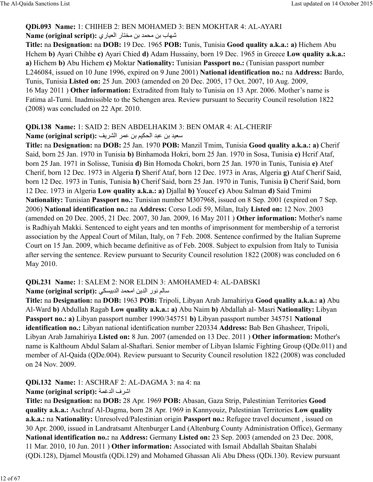### **QDi.093 Name:** 1: CHIHEB 2: BEN MOHAMED 3: BEN MOKHTAR 4: AL-AYARI Kame (original script): شهاب بن محمد بن مختار العياري

**Title:** na **Designation:** na **DOB:** 19 Dec. 1965 **POB:** Tunis, Tunisia **Good quality a.k.a.: a)** Hichem Abu Hchem **b)** Ayari Chihbe **c)** Ayari Chied **d)** Adam Hussainy, born 19 Dec. 1965 in Greece **Low quality a.k.a.: a)** Hichem **b)** Abu Hichem **c)** Moktar **Nationality:** Tunisian **Passport no.:** (Tunisian passport number L246084, issued on 10 June 1996, expired on 9 June 2001) **National identification no.:** na **Address:** Bardo, Tunis, Tunisia **Listed on:** 25 Jun. 2003 (amended on 20 Dec. 2005, 17 Oct. 2007, 10 Aug. 2009, 16 May 2011 ) **Other information:** Extradited from Italy to Tunisia on 13 Apr. 2006. Mother's name is Fatima al-Tumi. Inadmissible to the Schengen area. Review pursuant to Security Council resolution 1822 (2008) was concluded on 22 Apr. 2010.

#### **QDi.138 Name:** 1: SAID 2: BEN ABDELHAKIM 3: BEN OMAR 4: AL-CHERIF Name (original script): سعيد بن عبد الحكيم بن عمر الشريف

**Title:** na **Designation:** na **DOB:** 25 Jan. 1970 **POB:** Manzil Tmim, Tunisia **Good quality a.k.a.: a)** Cherif Said, born 25 Jan. 1970 in Tunisia **b)** Binhamoda Hokri, born 25 Jan. 1970 in Sosa, Tunisia **c)** Hcrif Ataf, born 25 Jan. 1971 in Solisse, Tunisia **d)** Bin Homoda Chokri, born 25 Jan. 1970 in Tunis, Tunisia **e)** Atef Cherif, born 12 Dec. 1973 in Algeria **f)** Sherif Ataf, born 12 Dec. 1973 in Aras, Algeria **g)** Ataf Cherif Said, born 12 Dec. 1973 in Tunis, Tunisia **h)** Cherif Said, born 25 Jan. 1970 in Tunis, Tunisia **i)** Cherif Said, born 12 Dec. 1973 in Algeria **Low quality a.k.a.: a)** Djallal **b)** Youcef **c)** Abou Salman **d)** Said Tmimi **Nationality:** Tunisian **Passport no.:** Tunisian number M307968, issued on 8 Sep. 2001 (expired on 7 Sep. 2006) **National identification no.:** na **Address:** Corso Lodi 59, Milan, Italy **Listed on:** 12 Nov. 2003 (amended on 20 Dec. 2005, 21 Dec. 2007, 30 Jan. 2009, 16 May 2011 ) **Other information:** Mother's name is Radhiyah Makki. Sentenced to eight years and ten months of imprisonment for membership of a terrorist association by the Appeal Court of Milan, Italy, on 7 Feb. 2008. Sentence confirmed by the Italian Supreme Court on 15 Jan. 2009, which became definitive as of Feb. 2008. Subject to expulsion from Italy to Tunisia after serving the sentence. Review pursuant to Security Council resolution 1822 (2008) was concluded on 6 May 2010.

# **QDi.231 Name:** 1: SALEM 2: NOR ELDIN 3: AMOHAMED 4: AL-DABSKI

Mame (original script): سالم نور الدين امحمد الدبيسكي

**Title:** na **Designation:** na **DOB:** 1963 **POB:** Tripoli, Libyan Arab Jamahiriya **Good quality a.k.a.: a)** Abu Al-Ward **b)** Abdullah Ragab **Low quality a.k.a.: a)** Abu Naim **b)** Abdallah al- Masri **Nationality:** Libyan **Passport no.: a)** Libyan passport number 1990/345751 **b)** Libyan passport number 345751 **National identification no.:** Libyan national identification number 220334 **Address:** Bab Ben Ghasheer, Tripoli, Libyan Arab Jamahiriya **Listed on:** 8 Jun. 2007 (amended on 13 Dec. 2011 ) **Other information:** Mother's name is Kalthoum Abdul Salam al-Shaftari. Senior member of Libyan Islamic Fighting Group (QDe.011) and member of Al-Qaida (QDe.004). Review pursuant to Security Council resolution 1822 (2008) was concluded on 24 Nov. 2009.

# **QDi.132 Name:** 1: ASCHRAF 2: AL-DAGMA 3: na 4: na

# **Name (original script):** اشرف الدغمة

**Title:** na **Designation:** na **DOB:** 28 Apr. 1969 **POB:** Abasan, Gaza Strip, Palestinian Territories **Good quality a.k.a.:** Aschraf Al-Dagma, born 28 Apr. 1969 in Kannyouiz, Palestinian Territories **Low quality a.k.a.:** na **Nationality:** Unresolved/Palestinian origin **Passport no.:** Refugee travel document , issued on 30 Apr. 2000, issued in Landratsamt Altenburger Land (Altenburg County Administration Office), Germany **National identification no.:** na **Address:** Germany **Listed on:** 23 Sep. 2003 (amended on 23 Dec. 2008, 11 Mar. 2010, 10 Jun. 2011 ) **Other information:** Associated with Ismail Abdallah Sbaitan Shalabi (QDi.128), Djamel Moustfa (QDi.129) and Mohamed Ghassan Ali Abu Dhess (QDi.130). Review pursuant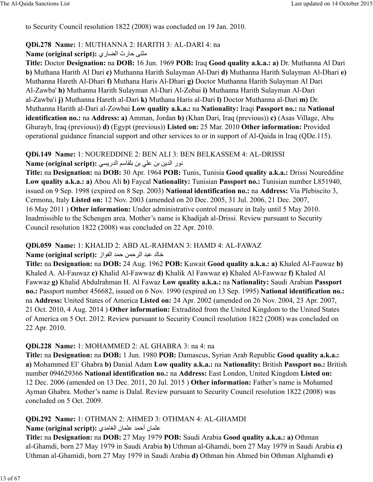to Security Council resolution 1822 (2008) was concluded on 19 Jan. 2010.

### **QDi.278 Name:** 1: MUTHANNA 2: HARITH 3: AL-DARI 4: na

\±y° ح8رث ا8°:ري **:(script original (Name**

**Title:** Doctor **Designation:** na **DOB:** 16 Jun. 1969 **POB:** Iraq **Good quality a.k.a.: a)** Dr. Muthanna Al Dari **b)** Muthana Harith Al Dari **c)** Muthanna Harith Sulayman Al-Dari **d)** Muthanna Harith Sulayman Al-Dhari **e)** Muthanna Hareth Al-Dhari **f)** Muthana Haris Al-Dhari **g)** Doctor Muthanna Harith Sulayman Al Dari Al-Zawba' **h)** Muthanna Harith Sulayman Al-Dari Al-Zobai **i)** Muthanna Harith Sulayman Al-Dari al-Zawba'i **j)** Muthanna Hareth al-Dari **k)** Muthana Haris al-Dari **l)** Doctor Muthanna al-Dari **m)** Dr. Muthanna Harith al-Dari al-Zowbai **Low quality a.k.a.:** na **Nationality:** Iraqi **Passport no.:** na **National identification no.:** na **Address: a)** Amman, Jordan **b)** (Khan Dari, Iraq (previous)) **c)** (Asas Village, Abu Ghurayb, Iraq (previous)) **d)** (Egypt (previous)) **Listed on:** 25 Mar. 2010 **Other information:** Provided operational guidance financial support and other services to or in support of Al-Qaida in Iraq (QDe.115).

### **QDi.149 Name:** 1: NOUREDDINE 2: BEN ALI 3: BEN BELKASSEM 4: AL-DRISSI Name (original script): نور الدين بن على بن بلقاسم الدريسي

**Title:** na **Designation:** na **DOB:** 30 Apr. 1964 **POB:** Tunis, Tunisia **Good quality a.k.a.:** Drissi Noureddine **Low quality a.k.a.: a)** Abou Ali **b)** Faycal **Nationality:** Tunisian **Passport no.:** Tunisian number L851940, issued on 9 Sep. 1998 (expired on 8 Sep. 2003) **National identification no.:** na **Address:** Via Plebiscito 3, Cermona, Italy **Listed on:** 12 Nov. 2003 (amended on 20 Dec. 2005, 31 Jul. 2006, 21 Dec. 2007, 16 May 2011 ) **Other information:** Under administrative control measure in Italy until 5 May 2010. Inadmissible to the Schengen area. Mother's name is Khadijah al-Drissi. Review pursuant to Security Council resolution 1822 (2008) was concluded on 22 Apr. 2010.

### **QDi.059 Name:** 1: KHALID 2: ABD AL-RAHMAN 3: HAMD 4: AL-FAWAZ

#### خ:8> =9> ا:@ح]h ح]> ا:Buاز **:(script original (Name**

**Title:** na **Designation:** na **DOB:** 24 Aug. 1962 **POB:** Kuwait **Good quality a.k.a.: a)** Khaled Al-Fauwaz **b)** Khaled A. Al-Fauwaz **c)** Khalid Al-Fawwaz **d)** Khalik Al Fawwaz **e)** Khaled Al-Fawwaz **f)** Khaled Al Fawwaz **g)** Khalid Abdulrahman H. Al Fawaz **Low quality a.k.a.:** na **Nationality:** Saudi Arabian **Passport no.:** Passport number 456682, issued on 6 Nov. 1990 (expired on 13 Sep. 1995) **National identification no.:** na **Address:** United States of America **Listed on:** 24 Apr. 2002 (amended on 26 Nov. 2004, 23 Apr. 2007, 21 Oct. 2010, 4 Aug. 2014 ) **Other information:** Extradited from the United Kingdom to the United States of America on 5 Oct. 2012. Review pursuant to Security Council resolution 1822 (2008) was concluded on 22 Apr. 2010.

#### **QDi.228 Name:** 1: MOHAMMED 2: AL GHABRA 3: na 4: na

**Title:** na **Designation:** na **DOB:** 1 Jun. 1980 **POB:** Damascus, Syrian Arab Republic **Good quality a.k.a.: a)** Mohammed El' Ghabra **b)** Danial Adam **Low quality a.k.a.:** na **Nationality:** British **Passport no.:** British number 094629366 **National identification no.:** na **Address:** East London, United Kingdom **Listed on:** 12 Dec. 2006 (amended on 13 Dec. 2011, 20 Jul. 2015 ) **Other information:** Father's name is Mohamed Ayman Ghabra. Mother's name is Dalal. Review pursuant to Security Council resolution 1822 (2008) was concluded on 5 Oct. 2009.

# **QDi.292 Name:** 1: OTHMAN 2: AHMED 3: OTHMAN 4: AL-GHAMDI

#### =±]8ن أح]> =±]8ن ا8³:\>ي **:(script original (Name**

**Title:** na **Designation:** na **DOB:** 27 May 1979 **POB:** Saudi Arabia **Good quality a.k.a.: a)** Othman al-Ghamdi, born 27 May 1979 in Saudi Arabia **b)** Uthman al-Ghamdi, born 27 May 1979 in Saudi Arabia **c)** Uthman al-Ghamidi, born 27 May 1979 in Saudi Arabia **d)** Othman bin Ahmed bin Othman Alghamdi **e)**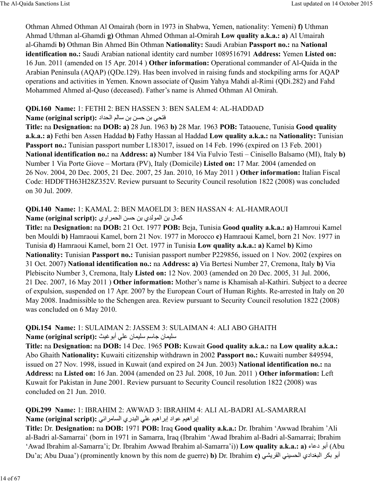Othman Ahmed Othman Al Omairah (born in 1973 in Shabwa, Yemen, nationality: Yemeni) **f)** Uthman Ahmad Uthman al-Ghamdi **g)** Othman Ahmed Othman al-Omirah **Low quality a.k.a.: a)** Al Umairah al-Ghamdi **b)** Othman Bin Ahmed Bin Othman **Nationality:** Saudi Arabian **Passport no.:** na **National identification no.:** Saudi Arabian national identity card number 1089516791 **Address:** Yemen **Listed on:** 16 Jun. 2011 (amended on 15 Apr. 2014 ) **Other information:** Operational commander of Al-Qaida in the Arabian Peninsula (AQAP) (QDe.129). Has been involved in raising funds and stockpiling arms for AQAP operations and activities in Yemen. Known associate of Qasim Yahya Mahdi al-Rimi (QDi.282) and Fahd Mohammed Ahmed al-Quso (deceased). Father's name is Ahmed Othman Al Omirah.

#### **QDi.160 Name:** 1: FETHI 2: BEN HASSEN 3: BEN SALEM 4: AL-HADDAD

### Name (original script): افتحى بن حسن بن سالم الحداد

**Title:** na **Designation:** na **DOB: a)** 28 Jun. 1963 **b)** 28 Mar. 1963 **POB:** Tataouene, Tunisia **Good quality a.k.a.: a)** Fethi ben Assen Haddad **b)** Fathy Hassan al Haddad **Low quality a.k.a.:** na **Nationality:** Tunisian Passport no.: Tunisian passport number L183017, issued on 14 Feb. 1996 (expired on 13 Feb. 2001) **National identification no.:** na **Address: a)** Number 184 Via Fulvio Testi – Cinisello Balsamo (MI), Italy **b)** Number 1 Via Porte Giove – Mortara (PV), Italy (Domicile) **Listed on:** 17 Mar. 2004 (amended on 26 Nov. 2004, 20 Dec. 2005, 21 Dec. 2007, 25 Jan. 2010, 16 May 2011 ) **Other information:** Italian Fiscal Code: HDDFTH63H28Z352V. Review pursuant to Security Council resolution 1822 (2008) was concluded on 30 Jul. 2009.

#### **QDi.140 Name:** 1: KAMAL 2: BEN MAOELDI 3: BEN HASSAN 4: AL-HAMRAOUI كمال بن المولدي بن حسن الحمر اوي :Name (original script)

**Title:** na **Designation:** na **DOB:** 21 Oct. 1977 **POB:** Beja, Tunisia **Good quality a.k.a.: a)** Hamroui Kamel ben Mouldi **b)** Hamraoui Kamel, born 21 Nov. 1977 in Morocco **c)** Hamraoui Kamel, born 21 Nov. 1977 in Tunisia **d)** Hamraoui Kamel, born 21 Oct. 1977 in Tunisia **Low quality a.k.a.: a)** Kamel **b)** Kimo **Nationality:** Tunisian **Passport no.:** Tunisian passport number P229856, issued on 1 Nov. 2002 (expires on 31 Oct. 2007) **National identification no.:** na **Address: a)** Via Bertesi Number 27, Cremona, Italy **b)** Via Plebiscito Number 3, Cremona, Italy **Listed on:** 12 Nov. 2003 (amended on 20 Dec. 2005, 31 Jul. 2006, 21 Dec. 2007, 16 May 2011 ) **Other information:** Mother's name is Khamisah al-Kathiri. Subject to a decree of expulsion, suspended on 17 Apr. 2007 by the European Court of Human Rights. Re-arrested in Italy on 20 May 2008. Inadmissible to the Schengen area. Review pursuant to Security Council resolution 1822 (2008) was concluded on 6 May 2010.

### **QDi.154 Name:** 1: SULAIMAN 2: JASSEM 3: SULAIMAN 4: ALI ABO GHAITH Name (original script): سليمان جاسم سليمان على أبو غيث

**Title:** na **Designation:** na **DOB:** 14 Dec. 1965 **POB:** Kuwait **Good quality a.k.a.:** na **Low quality a.k.a.:** Abo Ghaith **Nationality:** Kuwaiti citizenship withdrawn in 2002 **Passport no.:** Kuwaiti number 849594, issued on 27 Nov. 1998, issued in Kuwait (and expired on 24 Jun. 2003) **National identification no.:** na **Address:** na **Listed on:** 16 Jan. 2004 (amended on 23 Jul. 2008, 10 Jun. 2011 ) **Other information:** Left Kuwait for Pakistan in June 2001. Review pursuant to Security Council resolution 1822 (2008) was concluded on 21 Jun. 2010.

### **QDi.299 Name:** 1: IBRAHIM 2: AWWAD 3: IBRAHIM 4: ALI AL-BADRI AL-SAMARRAI إبر اھيم عواد إبر اھيم على البدري السامر ائي **:Name (original script)**

**Title:** Dr. **Designation:** na **DOB:** 1971 **POB:** Iraq **Good quality a.k.a.:** Dr. Ibrahim 'Awwad Ibrahim 'Ali al-Badri al-Samarrai' (born in 1971 in Samarra, Iraq (Ibrahim 'Awad Ibrahim al-Badri al-Samarrai; Ibrahim 'Awad Ibrahim al-Samarra'i; Dr. Ibrahim Awwad Ibrahim al-Samarra'i)) **Low quality a.k.a.: a)** أبو دعاء (Abu Du'a; Abu Duaa') (prominently known by this nom de guerre) **b)** Dr. Ibrahim **c)** الجندادي الحسيني القريشي (be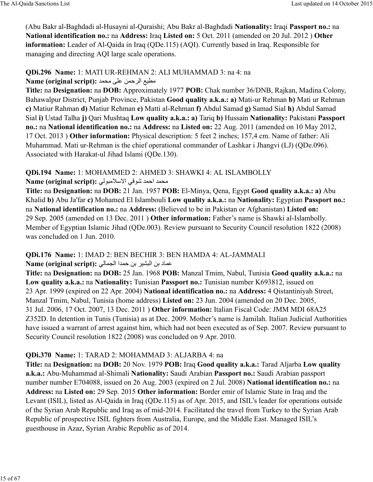(Abu Bakr al-Baghdadi al-Husayni al-Quraishi; Abu Bakr al-Baghdadi **Nationality:** Iraqi **Passport no.:** na **National identification no.:** na **Address:** Iraq **Listed on:** 5 Oct. 2011 (amended on 20 Jul. 2012 ) **Other information:** Leader of Al-Qaida in Iraq (QDe.115) (AQI). Currently based in Iraq. Responsible for managing and directing AQI large scale operations.

### **QDi.296 Name:** 1: MATI UR-REHMAN 2: ALI MUHAMMAD 3: na 4: na Name (original script): مطيع الرحمن على محمد

**Title:** na **Designation:** na **DOB:** Approximately 1977 **POB:** Chak number 36/DNB, Rajkan, Madina Colony, Bahawalpur District, Punjab Province, Pakistan **Good quality a.k.a.: a)** Mati-ur Rehman **b)** Mati ur Rehman **c)** Matiur Rahman **d)** Matiur Rehman **e)** Matti al-Rehman **f)** Abdul Samad **g)** Samad Sial **h)** Abdul Samad Sial **i)** Ustad Talha **j)** Qari Mushtaq **Low quality a.k.a.: a)** Tariq **b)** Hussain **Nationality:** Pakistani **Passport no.:** na **National identification no.:** na **Address:** na **Listed on:** 22 Aug. 2011 (amended on 10 May 2012, 17 Oct. 2013 ) **Other information:** Physical description: 5 feet 2 inches; 157,4 cm. Name of father: Ali Muhammad. Mati ur-Rehman is the chief operational commander of Lashkar i Jhangvi (LJ) (QDe.096). Associated with Harakat-ul Jihad Islami (QDe.130).

### **QDi.194 Name:** 1: MOHAMMED 2: AHMED 3: SHAWKI 4: AL ISLAMBOLLY Name (original script): محمد احمد شوقي الاسلامبولي

**Title:** na **Designation:** na **DOB:** 21 Jan. 1957 **POB:** El-Minya, Qena, Egypt **Good quality a.k.a.: a)** Abu Khalid **b)** Abu Ja'far **c)** Mohamed El Islambouli **Low quality a.k.a.:** na **Nationality:** Egyptian **Passport no.:** na **National identification no.:** na **Address:** (Believed to be in Pakistan or Afghanistan) **Listed on:** 29 Sep. 2005 (amended on 13 Dec. 2011 ) **Other information:** Father's name is Shawki al-Islambolly. Member of Egyptian Islamic Jihad (QDe.003). Review pursuant to Security Council resolution 1822 (2008) was concluded on 1 Jun. 2010.

# **QDi.176 Name:** 1: IMAD 2: BEN BECHIR 3: BEN HAMDA 4: AL-JAMMALI

=]8د بh ا9:cC @بh ح]>ا ا:ò[6:8 **:)script original (Name**

**Title:** na **Designation:** na **DOB:** 25 Jan. 1968 **POB:** Manzal Tmim, Nabul, Tunisia **Good quality a.k.a.:** na **Low quality a.k.a.:** na **Nationality:** Tunisian **Passport no.:** Tunisian number K693812, issued on 23 Apr. 1999 (expired on 22 Apr. 2004) **National identification no.:** na **Address:** 4 Qistantiniyah Street, Manzal Tmim, Nabul, Tunisia (home address) **Listed on:** 23 Jun. 2004 (amended on 20 Dec. 2005, 31 Jul. 2006, 17 Oct. 2007, 13 Dec. 2011 ) **Other information:** Italian Fiscal Code: JMM MDI 68A25 Z352D. In detention in Tunis (Tunisia) as at Dec. 2009. Mother's name is Jamilah. Italian Judicial Authorities have issued a warrant of arrest against him, which had not been executed as of Sep. 2007. Review pursuant to Security Council resolution 1822 (2008) was concluded on 9 Apr. 2010.

# **QDi.370 Name:** 1: TARAD 2: MOHAMMAD 3: ALJARBA 4: na

**Title:** na **Designation:** na **DOB:** 20 Nov. 1979 **POB:** Iraq **Good quality a.k.a.:** Tarad Aljarba **Low quality a.k.a.:** Abu-Muhammad al-Shimali **Nationality:** Saudi Arabian **Passport no.:** Saudi Arabian passport number number E704088, issued on 26 Aug. 2003 (expired on 2 Jul. 2008) **National identification no.:** na **Address:** na **Listed on:** 29 Sep. 2015 **Other information:** Border emir of Islamic State in Iraq and the Levant (ISIL), listed as Al-Qaida in Iraq (QDe.115) as of Apr. 2015, and ISIL's leader for operations outside of the Syrian Arab Republic and Iraq as of mid-2014. Facilitated the travel from Turkey to the Syrian Arab Republic of prospective ISIL fighters from Australia, Europe, and the Middle East. Managed ISIL's guesthouse in Azaz, Syrian Arabic Republic as of 2014.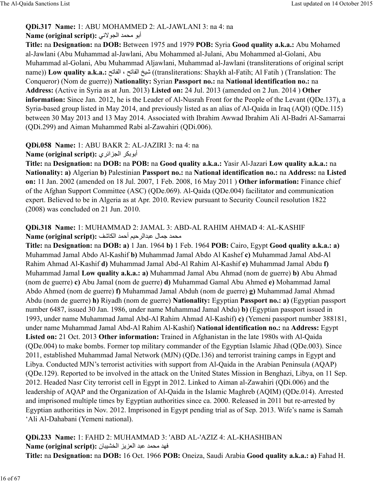### **QDi.317 Name:** 1: ABU MOHAMMED 2: AL-JAWLANI 3: na 4: na

#### Name (original script): أبو محمد الجولاني

**Title:** na **Designation:** na **DOB:** Between 1975 and 1979 **POB:** Syria **Good quality a.k.a.:** Abu Mohamed al-Jawlani (Abu Muhammad al-Jawlani, Abu Mohammed al-Julani, Abu Mohammed al-Golani, Abu Muhammad al-Golani, Abu Muhammad Aljawlani, Muhammad al-Jawlani (transliterations of original script name)) **Low quality a.k.a.:** و (transliterations: Shaykh al-Fatih; Al Fatih ) (Translation: The Conqueror) (Nom de guerre)) **Nationality:** Syrian **Passport no.:** na **National identification no.:** na **Address:** (Active in Syria as at Jun. 2013) **Listed on:** 24 Jul. 2013 (amended on 2 Jun. 2014 ) **Other information:** Since Jan. 2012, he is the Leader of Al-Nusrah Front for the People of the Levant (QDe.137), a Syria-based group listed in May 2014, and previously listed as an alias of Al-Qaida in Iraq (AQI) (QDe.115) between 30 May 2013 and 13 May 2014. Associated with Ibrahim Awwad Ibrahim Ali Al-Badri Al-Samarrai (QDi.299) and Aiman Muhammed Rabi al-Zawahiri (QDi.006).

### **QDi.058 Name:** 1: ABU BAKR 2: AL-JAZIRI 3: na 4: na

البوبكر الجزائري **Name (original script):** 

**Title:** na **Designation:** na **DOB:** na **POB:** na **Good quality a.k.a.:** Yasir Al-Jazari **Low quality a.k.a.:** na **Nationality: a)** Algerian **b)** Palestinian **Passport no.:** na **National identification no.:** na **Address:** na **Listed on:** 11 Jan. 2002 (amended on 18 Jul. 2007, 1 Feb. 2008, 16 May 2011 ) **Other information:** Finance chief of the Afghan Support Committee (ASC) (QDe.069). Al-Qaida (QDe.004) facilitator and communication expert. Believed to be in Algeria as at Apr. 2010. Review pursuant to Security Council resolution 1822 (2008) was concluded on 21 Jun. 2010.

### **QDi.318 Name:** 1: MUHAMMAD 2: JAMAL 3: ABD-AL RAHIM AHMAD 4: AL-KASHIF Name (original script): محمد جمال عبدالرحيم أحمد الكاشف

**Title:** na **Designation:** na **DOB: a)** 1 Jan. 1964 **b)** 1 Feb. 1964 **POB:** Cairo, Egypt **Good quality a.k.a.: a)** Muhammad Jamal Abdo Al-Kashif **b)** Muhammad Jamal Abdo Al Kashef **c)** Muhammad Jamal Abd-Al Rahim Ahmad Al-Kashif **d)** Muhammad Jamal Abd-Al Rahim Al-Kashif **e)** Muhammad Jamal Abdu **f)** Muhammad Jamal **Low quality a.k.a.: a)** Muhammad Jamal Abu Ahmad (nom de guerre) **b)** Abu Ahmad (nom de guerre) **c)** Abu Jamal (nom de guerre) **d)** Muhammad Gamal Abu Ahmed **e)** Mohammad Jamal Abdo Ahmed (nom de guerre) **f)** Muhammad Jamal Abduh (nom de guerre) **g)** Muhammad Jamal Ahmad Abdu (nom de guerre) **h)** Riyadh (nom de guerre) **Nationality:** Egyptian **Passport no.: a)** (Egyptian passport number 6487, issued 30 Jan. 1986, under name Muhammad Jamal Abdu) **b)** (Egyptian passport issued in 1993, under name Muhammad Jamal Abd-Al Rahim Ahmad Al-Kashif) **c)** (Yemeni passport number 388181, under name Muhammad Jamal Abd-Al Rahim Al-Kashif) **National identification no.:** na **Address:** Egypt **Listed on:** 21 Oct. 2013 **Other information:** Trained in Afghanistan in the late 1980s with Al-Qaida (QDe.004) to make bombs. Former top military commander of the Egyptian Islamic Jihad (QDe.003). Since 2011, established Muhammad Jamal Network (MJN) (QDe.136) and terrorist training camps in Egypt and Libya. Conducted MJN's terrorist activities with support from Al-Qaida in the Arabian Peninsula (AQAP) (QDe.129). Reported to be involved in the attack on the United States Mission in Benghazi, Libya, on 11 Sep. 2012. Headed Nasr City terrorist cell in Egypt in 2012. Linked to Aiman al-Zawahiri (QDi.006) and the leadership of AQAP and the Organization of Al-Qaida in the Islamic Maghreb (AQIM) (QDe.014). Arrested and imprisoned multiple times by Egyptian authorities since ca. 2000. Released in 2011 but re-arrested by Egyptian authorities in Nov. 2012. Imprisoned in Egypt pending trial as of Sep. 2013. Wife's name is Samah 'Ali Al-Dahabani (Yemeni national).

**QDi.233 Name:** 1: FAHD 2: MUHAMMAD 3: 'ABD AL-'AZIZ 4: AL-KHASHIBAN Name (original script): فهد محمد عبد العزيز الخشيبان **Title:** na **Designation:** na **DOB:** 16 Oct. 1966 **POB:** Oneiza, Saudi Arabia **Good quality a.k.a.: a)** Fahad H.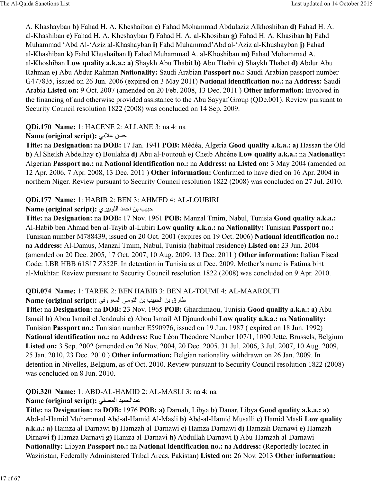A. Khashayban **b)** Fahad H. A. Kheshaiban **c)** Fahad Mohammad Abdulaziz Alkhoshiban **d)** Fahad H. A. al-Khashiban **e)** Fahad H. A. Kheshayban **f)** Fahad H. A. al-Khosiban **g)** Fahad H. A. Khasiban **h)** Fahd Muhammad 'Abd Al-'Aziz al-Khashayban **i)** Fahd Muhammad'Abd al-'Aziz al-Khushayban **j)** Fahad al-Khashiban **k)** Fahd Khushaiban **l)** Fahad Muhammad A. al-Khoshiban **m)** Fahad Mohammad A. al-Khoshiban **Low quality a.k.a.: a)** Shaykh Abu Thabit **b)** Abu Thabit **c)** Shaykh Thabet **d)** Abdur Abu Rahman **e)** Abu Abdur Rahman **Nationality:** Saudi Arabian **Passport no.:** Saudi Arabian passport number G477835, issued on 26 Jun. 2006 (expired on 3 May 2011) **National identification no.:** na **Address:** Saudi Arabia **Listed on:** 9 Oct. 2007 (amended on 20 Feb. 2008, 13 Dec. 2011 ) **Other information:** Involved in the financing of and otherwise provided assistance to the Abu Sayyaf Group (QDe.001). Review pursuant to Security Council resolution 1822 (2008) was concluded on 14 Sep. 2009.

### **QDi.170 Name:** 1: HACENE 2: ALLANE 3: na 4: na

### **Name (original script):** حسن علانی

**Title:** na **Designation:** na **DOB:** 17 Jan. 1941 **POB:** Médéa, Algeria **Good quality a.k.a.: a)** Hassan the Old **b)** Al Sheikh Abdelhay **c)** Boulahia **d)** Abu al-Foutouh **e)** Cheib Ahcéne **Low quality a.k.a.:** na **Nationality:** Algerian **Passport no.:** na **National identification no.:** na **Address:** na **Listed on:** 3 May 2004 (amended on 12 Apr. 2006, 7 Apr. 2008, 13 Dec. 2011 ) **Other information:** Confirmed to have died on 16 Apr. 2004 in northern Niger. Review pursuant to Security Council resolution 1822 (2008) was concluded on 27 Jul. 2010.

### **QDi.177 Name:** 1: HABIB 2: BEN 3: AHMED 4: AL-LOUBIRI

### **Name (original script):** حبيب بن احمد اللوبير ي

**Title:** na **Designation:** na **DOB:** 17 Nov. 1961 **POB:** Manzal Tmim, Nabul, Tunisia **Good quality a.k.a.:** Al-Habib ben Ahmad ben al-Tayib al-Lubiri **Low quality a.k.a.:** na **Nationality:** Tunisian **Passport no.:** Tunisian number M788439, issued on 20 Oct. 2001 (expires on 19 Oct. 2006) **National identification no.:** na **Address:** Al-Damus, Manzal Tmim, Nabul, Tunisia (habitual residence) **Listed on:** 23 Jun. 2004 (amended on 20 Dec. 2005, 17 Oct. 2007, 10 Aug. 2009, 13 Dec. 2011 ) **Other information:** Italian Fiscal Code: LBR HBB 61S17 Z352F. In detention in Tunisia as at Dec. 2009. Mother's name is Fatima bint al-Mukhtar. Review pursuant to Security Council resolution 1822 (2008) was concluded on 9 Apr. 2010.

#### **QDi.074 Name:** 1: TAREK 2: BEN HABIB 3: BEN AL-TOUMI 4: AL-MAAROUFI طارق بن الحبيب بن التومي المعروفي : Name (original script)

**Title:** na **Designation:** na **DOB:** 23 Nov. 1965 **POB:** Ghardimaou, Tunisia **Good quality a.k.a.: a)** Abu Ismail **b)** Abou Ismail el Jendoubi **c)** Abou Ismail Al Djoundoubi **Low quality a.k.a.:** na **Nationality:** Tunisian **Passport no.:** Tunisian number E590976, issued on 19 Jun. 1987 ( expired on 18 Jun. 1992) **National identification no.:** na **Address:** Rue Léon Théodore Number 107/1, 1090 Jette, Brussels, Belgium **Listed on:** 3 Sep. 2002 (amended on 26 Nov. 2004, 20 Dec. 2005, 31 Jul. 2006, 3 Jul. 2007, 10 Aug. 2009, 25 Jan. 2010, 23 Dec. 2010 ) **Other information:** Belgian nationality withdrawn on 26 Jan. 2009. In detention in Nivelles, Belgium, as of Oct. 2010. Review pursuant to Security Council resolution 1822 (2008) was concluded on 8 Jun. 2010.

### **QDi.320 Name:** 1: ABD-AL-HAMID 2: AL-MASLI 3: na 4: na

### Name (original script): عبدالحميد المصلي

**Title:** na **Designation:** na **DOB:** 1976 **POB: a)** Darnah, Libya **b)** Danar, Libya **Good quality a.k.a.: a)** Abd-al-Hamid Muhammad Abd-al-Hamid Al-Masli **b)** Abd-al-Hamid Musalli **c)** Hamid Masli **Low quality a.k.a.: a)** Hamza al-Darnawi **b)** Hamzah al-Darnawi **c)** Hamza Darnawi **d)** Hamzah Darnawi **e)** Hamzah Dirnawi **f)** Hamza Darnavi **g)** Hamza al-Darnavi **h)** Abdullah Darnawi **i)** Abu-Hamzah al-Darnawi **Nationality:** Libyan **Passport no.:** na **National identification no.:** na **Address:** (Reportedly located in Waziristan, Federally Administered Tribal Areas, Pakistan) **Listed on:** 26 Nov. 2013 **Other information:**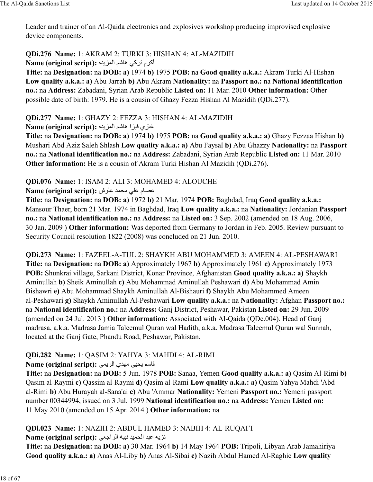Leader and trainer of an Al-Qaida electronics and explosives workshop producing improvised explosive device components.

**QDi.276 Name:** 1: AKRAM 2: TURKI 3: HISHAN 4: AL-MAZIDIH أكرم تركي هاشم المزيده :Name (original script)

**Title:** na **Designation:** na **DOB: a)** 1974 **b)** 1975 **POB:** na **Good quality a.k.a.:** Akram Turki Al-Hishan **Low quality a.k.a.: a)** Abu Jarrah **b)** Abu Akram **Nationality:** na **Passport no.:** na **National identification no.:** na **Address:** Zabadani, Syrian Arab Republic **Listed on:** 11 Mar. 2010 **Other information:** Other possible date of birth: 1979. He is a cousin of Ghazy Fezza Hishan Al Mazidih (QDi.277).

**QDi.277 Name:** 1: GHAZY 2: FEZZA 3: HISHAN 4: AL-MAZIDIH

غازي فيزا هاشم المزيده :Name (original script)

**Title:** na **Designation:** na **DOB: a)** 1974 **b)** 1975 **POB:** na **Good quality a.k.a.: a)** Ghazy Fezzaa Hishan **b)** Mushari Abd Aziz Saleh Shlash **Low quality a.k.a.: a)** Abu Faysal **b)** Abu Ghazzy **Nationality:** na **Passport no.:** na **National identification no.:** na **Address:** Zabadani, Syrian Arab Republic **Listed on:** 11 Mar. 2010 **Other information:** He is a cousin of Akram Turki Hishan Al Mazidih (QDi.276).

**QDi.076 Name:** 1: ISAM 2: ALI 3: MOHAMED 4: ALOUCHE

**Name (original script):** عصام على محمد علوش

**Title:** na **Designation:** na **DOB: a)** 1972 **b)** 21 Mar. 1974 **POB:** Baghdad, Iraq **Good quality a.k.a.:** Mansour Thaer, born 21 Mar. 1974 in Baghdad, Iraq **Low quality a.k.a.:** na **Nationality:** Jordanian **Passport no.:** na **National identification no.:** na **Address:** na **Listed on:** 3 Sep. 2002 (amended on 18 Aug. 2006, 30 Jan. 2009 ) **Other information:** Was deported from Germany to Jordan in Feb. 2005. Review pursuant to Security Council resolution 1822 (2008) was concluded on 21 Jun. 2010.

**QDi.273 Name:** 1: FAZEEL-A-TUL 2: SHAYKH ABU MOHAMMED 3: AMEEN 4: AL-PESHAWARI **Title:** na **Designation:** na **DOB: a)** Approximately 1967 **b)** Approximately 1961 **c)** Approximately 1973 **POB:** Shunkrai village, Sarkani District, Konar Province, Afghanistan **Good quality a.k.a.: a)** Shaykh Aminullah **b)** Sheik Aminullah **c)** Abu Mohammad Aminullah Peshawari **d)** Abu Mohammad Amin Bishawri **e)** Abu Mohammad Shaykh Aminullah Al-Bishauri **f)** Shaykh Abu Mohammed Ameen al-Peshawari **g)** Shaykh Aminullah Al-Peshawari **Low quality a.k.a.:** na **Nationality:** Afghan **Passport no.:** na **National identification no.:** na **Address:** Ganj District, Peshawar, Pakistan **Listed on:** 29 Jun. 2009 (amended on 24 Jul. 2013 ) **Other information:** Associated with Al-Qaida (QDe.004). Head of Ganj madrasa, a.k.a. Madrasa Jamia Taleemul Quran wal Hadith, a.k.a. Madrasa Taleemul Quran wal Sunnah, located at the Ganj Gate, Phandu Road, Peshawar, Pakistan.

# **QDi.282 Name:** 1: QASIM 2: YAHYA 3: MAHDI 4: AL-RIMI

**Name (original script):** 6[ي@:ا ي> \°cOي üe87

**Title:** na **Designation:** na **DOB:** 5 Jun. 1978 **POB:** Sanaa, Yemen **Good quality a.k.a.: a)** Qasim Al-Rimi **b)** Qasim al-Raymi **c)** Qassim al-Raymi **d)** Qasim al-Rami **Low quality a.k.a.: a)** Qasim Yahya Mahdi 'Abd al-Rimi **b)** Abu Hurayah al-Sana'ai **c)** Abu 'Ammar **Nationality:** Yemeni **Passport no.:** Yemeni passport number 00344994, issued on 3 Jul. 1999 **National identification no.:** na **Address:** Yemen **Listed on:** 11 May 2010 (amended on 15 Apr. 2014 ) **Other information:** na

**QDi.023 Name:** 1: NAZIH 2: ABDUL HAMED 3: NABIH 4: AL-RUQAI'I

Name (original script): نزيه عبد الحميد نبيه الراجعي

**Title:** na **Designation:** na **DOB: a)** 30 Mar. 1964 **b)** 14 May 1964 **POB:** Tripoli, Libyan Arab Jamahiriya **Good quality a.k.a.: a)** Anas Al-Liby **b)** Anas Al-Sibai **c)** Nazih Abdul Hamed Al-Raghie **Low quality**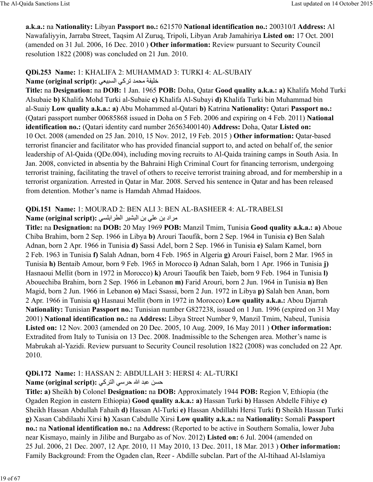**a.k.a.:** na **Nationality:** Libyan **Passport no.:** 621570 **National identification no.:** 200310/I **Address:** Al Nawafaliyyin, Jarraba Street, Taqsim Al Zuruq, Tripoli, Libyan Arab Jamahiriya **Listed on:** 17 Oct. 2001 (amended on 31 Jul. 2006, 16 Dec. 2010 ) **Other information:** Review pursuant to Security Council resolution 1822 (2008) was concluded on 21 Jun. 2010.

#### **QDi.253 Name:** 1: KHALIFA 2: MUHAMMAD 3: TURKI 4: AL-SUBAIY **Name (original script):** 6dc9a:ا 6ñ@ت]> O\ óucúخ

**Title:** na **Designation:** na **DOB:** 1 Jan. 1965 **POB:** Doha, Qatar **Good quality a.k.a.: a)** Khalifa Mohd Turki Alsubaie **b)** Khalifa Mohd Turki al-Subaie **c)** Khalifa Al-Subayi **d)** Khalifa Turki bin Muhammad bin al-Suaiy **Low quality a.k.a.: a)** Abu Mohammed al-Qatari **b)** Katrina **Nationality:** Qatari **Passport no.:** (Qatari passport number 00685868 issued in Doha on 5 Feb. 2006 and expiring on 4 Feb. 2011) **National identification no.:** (Qatari identity card number 26563400140) **Address:** Doha, Qatar **Listed on:** 10 Oct. 2008 (amended on 25 Jan. 2010, 15 Nov. 2012, 19 Feb. 2015 ) **Other information:** Qatar-based terrorist financier and facilitator who has provided financial support to, and acted on behalf of, the senior leadership of Al-Qaida (QDe.004), including moving recruits to Al-Qaida training camps in South Asia. In Jan. 2008, convicted in absentia by the Bahraini High Criminal Court for financing terrorism, undergoing terrorist training, facilitating the travel of others to receive terrorist training abroad, and for membership in a terrorist organization. Arrested in Qatar in Mar. 2008. Served his sentence in Qatar and has been released from detention. Mother's name is Hamdah Ahmad Haidoos.

#### **QDi.151 Name:** 1: MOURAD 2: BEN ALI 3: BEN AL-BASHEER 4: AL-TRABELSI Name (original script): مراد بن على بن البشير الطرابلسي

**Title:** na **Designation:** na **DOB:** 20 May 1969 **POB:** Manzil Tmim, Tunisia **Good quality a.k.a.: a)** Aboue Chiba Brahim, born 2 Sep. 1966 in Libya **b)** Arouri Taoufik, born 2 Sep. 1964 in Tunisia **c)** Ben Salah Adnan, born 2 Apr. 1966 in Tunisia **d)** Sassi Adel, born 2 Sep. 1966 in Tunisia **e)** Salam Kamel, born 2 Feb. 1963 in Tunisia **f)** Salah Adnan, born 4 Feb. 1965 in Algeria **g)** Arouri Faisel, born 2 Mar. 1965 in Tunisia **h)** Bentaib Amour, born 9 Feb. 1965 in Morocco **i)** Adnan Salah, born 1 Apr. 1966 in Tunisia **j)** Hasnaoui Mellit (born in 1972 in Morocco) **k)** Arouri Taoufik ben Taieb, born 9 Feb. 1964 in Tunisia **l)** Abouechiba Brahim, born 2 Sep. 1966 in Lebanon **m)** Farid Arouri, born 2 Jun. 1964 in Tunisia **n)** Ben Magid, born 2 Jun. 1966 in Lebanon **o)** Maci Ssassi, born 2 Jun. 1972 in Libya **p)** Salah ben Anan, born 2 Apr. 1966 in Tunisia **q)** Hasnaui Mellit (born in 1972 in Morocco) **Low quality a.k.a.:** Abou Djarrah **Nationality:** Tunisian **Passport no.:** Tunisian number G827238, issued on 1 Jun. 1996 (expired on 31 May 2001) **National identification no.:** na **Address:** Libya Street Number 9, Manzil Tmim, Nabeul, Tunisia **Listed on:** 12 Nov. 2003 (amended on 20 Dec. 2005, 10 Aug. 2009, 16 May 2011 ) **Other information:** Extradited from Italy to Tunisia on 13 Dec. 2008. Inadmissible to the Schengen area. Mother's name is Mabrukah al-Yazidi. Review pursuant to Security Council resolution 1822 (2008) was concluded on 22 Apr. 2010.

# **QDi.172 Name:** 1: HASSAN 2: ABDULLAH 3: HERSI 4: AL-TURKI

### **Name (original script): حسن عبد الله حرسي التركي**

**Title: a)** Sheikh **b)** Colonel **Designation:** na **DOB:** Approximately 1944 **POB:** Region V, Ethiopia (the Ogaden Region in eastern Ethiopia) **Good quality a.k.a.: a)** Hassan Turki **b)** Hassen Abdelle Fihiye **c)** Sheikh Hassan Abdullah Fahaih **d)** Hassan Al-Turki **e)** Hassan Abdillahi Hersi Turki **f)** Sheikh Hassan Turki **g)** Xasan Cabdilaahi Xirsi **h)** Xasan Cabdulle Xirsi **Low quality a.k.a.:** na **Nationality:** Somali **Passport no.:** na **National identification no.:** na **Address:** (Reported to be active in Southern Somalia, lower Juba near Kismayo, mainly in Jilibe and Burgabo as of Nov. 2012) **Listed on:** 6 Jul. 2004 (amended on 25 Jul. 2006, 21 Dec. 2007, 12 Apr. 2010, 11 May 2010, 13 Dec. 2011, 18 Mar. 2013 ) **Other information:** Family Background: From the Ogaden clan, Reer - Abdille subclan. Part of the Al-Itihaad Al-Islamiya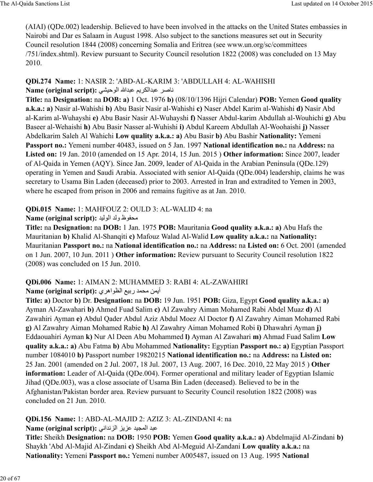(AIAI) (QDe.002) leadership. Believed to have been involved in the attacks on the United States embassies in Nairobi and Dar es Salaam in August 1998. Also subject to the sanctions measures set out in Security Council resolution 1844 (2008) concerning Somalia and Eritrea (see www.un.org/sc/committees /751/index.shtml). Review pursuant to Security Council resolution 1822 (2008) was concluded on 13 May 2010.

### **QDi.274 Name:** 1: NASIR 2: 'ABD-AL-KARIM 3: 'ABDULLAH 4: AL-WAHISHI **Name (original script):** 6CcحB:ا الله>9 =üي@õ:ا>9@ =£8D

**Title:** na **Designation:** na **DOB: a)** 1 Oct. 1976 **b)** (08/10/1396 Hijri Calendar) **POB:** Yemen **Good quality a.k.a.: a)** Nasir al-Wahishi **b)** Abu Basir Nasir al-Wahishi **c)** Naser Abdel Karim al-Wahishi **d)** Nasir Abd al-Karim al-Wuhayshi **e)** Abu Basir Nasir Al-Wuhayshi **f)** Nasser Abdul-karim Abdullah al-Wouhichi **g)** Abu Baseer al-Wehaishi **h)** Abu Basir Nasser al-Wuhishi **i)** Abdul Kareem Abdullah Al-Woohaishi **j)** Nasser Abdelkarim Saleh Al Wahichi **Low quality a.k.a.: a)** Abu Basir **b)** Abu Bashir **Nationality:** Yemeni **Passport no.:** Yemeni number 40483, issued on 5 Jan. 1997 **National identification no.:** na **Address:** na **Listed on:** 19 Jan. 2010 (amended on 15 Apr. 2014, 15 Jun. 2015 ) **Other information:** Since 2007, leader of Al-Qaida in Yemen (AQY). Since Jan. 2009, leader of Al-Qaida in the Arabian Peninsula (QDe.129) operating in Yemen and Saudi Arabia. Associated with senior Al-Qaida (QDe.004) leadership, claims he was secretary to Usama Bin Laden (deceased) prior to 2003. Arrested in Iran and extradited to Yemen in 2003, where he escaped from prison in 2006 and remains fugitive as at Jan. 2010.

# **QDi.015 Name:** 1: MAHFOUZ 2: OULD 3: AL-WALID 4: na

### Name (original script): محفوظ ولد الوليد

**Title:** na **Designation:** na **DOB:** 1 Jan. 1975 **POB:** Mauritania **Good quality a.k.a.: a)** Abu Hafs the Mauritanian **b)** Khalid Al-Shanqiti **c)** Mafouz Walad Al-Walid **Low quality a.k.a.:** na **Nationality:** Mauritanian **Passport no.:** na **National identification no.:** na **Address:** na **Listed on:** 6 Oct. 2001 (amended on 1 Jun. 2007, 10 Jun. 2011 ) **Other information:** Review pursuant to Security Council resolution 1822 (2008) was concluded on 15 Jun. 2010.

# **QDi.006 Name:** 1: AIMAN 2: MUHAMMED 3: RABI 4: AL-ZAWAHIRI

# Name (original script): أيمن محمد ربيع الظواهري

**Title: a)** Doctor **b)** Dr. **Designation:** na **DOB:** 19 Jun. 1951 **POB:** Giza, Egypt **Good quality a.k.a.: a)** Ayman Al-Zawahari **b)** Ahmed Fuad Salim **c)** Al Zawahry Aiman Mohamed Rabi Abdel Muaz **d)** Al Zawahiri Ayman **e)** Abdul Qader Abdul Aziz Abdul Moez Al Doctor **f)** Al Zawahry Aiman Mohamed Rabi **g)** Al Zawahry Aiman Mohamed Rabie **h)** Al Zawahry Aiman Mohamed Robi **i)** Dhawahri Ayman **j)** Eddaouahiri Ayman **k)** Nur Al Deen Abu Mohammed **l)** Ayman Al Zawahari **m)** Ahmad Fuad Salim **Low quality a.k.a.: a)** Abu Fatma **b)** Abu Mohammed **Nationality:** Egyptian **Passport no.: a)** Egyptian Passport number 1084010 **b)** Passport number 19820215 **National identification no.:** na **Address:** na **Listed on:** 25 Jan. 2001 (amended on 2 Jul. 2007, 18 Jul. 2007, 13 Aug. 2007, 16 Dec. 2010, 22 May 2015 ) **Other information:** Leader of Al-Qaida (QDe.004). Former operational and military leader of Egyptian Islamic Jihad (QDe.003), was a close associate of Usama Bin Laden (deceased). Believed to be in the Afghanistan/Pakistan border area. Review pursuant to Security Council resolution 1822 (2008) was concluded on 21 Jun. 2010.

# **QDi.156 Name:** 1: ABD-AL-MAJID 2: AZIZ 3: AL-ZINDANI 4: na

### Name (original script): عبد المجيد عزيز الزنداني

**Title:** Sheikh **Designation:** na **DOB:** 1950 **POB:** Yemen **Good quality a.k.a.: a)** Abdelmajid Al-Zindani **b)** Shaykh 'Abd Al-Majid Al-Zindani **c)** Sheikh Abd Al-Meguid Al-Zandani **Low quality a.k.a.:** na **Nationality:** Yemeni **Passport no.:** Yemeni number A005487, issued on 13 Aug. 1995 **National**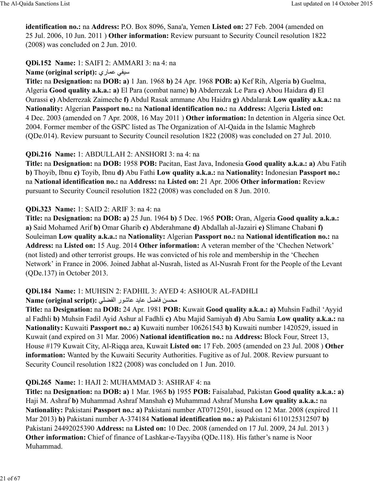**identification no.:** na **Address:** P.O. Box 8096, Sana'a, Yemen **Listed on:** 27 Feb. 2004 (amended on 25 Jul. 2006, 10 Jun. 2011 ) **Other information:** Review pursuant to Security Council resolution 1822 (2008) was concluded on 2 Jun. 2010.

# **QDi.152 Name:** 1: SAIFI 2: AMMARI 3: na 4: na

### **Name (original script): سيفى عمارى**

**Title:** na **Designation:** na **DOB: a)** 1 Jan. 1968 **b)** 24 Apr. 1968 **POB: a)** Kef Rih, Algeria **b)** Guelma, Algeria **Good quality a.k.a.: a)** El Para (combat name) **b)** Abderrezak Le Para **c)** Abou Haidara **d)** El Ourassi **e)** Abderrezak Zaimeche **f)** Abdul Rasak ammane Abu Haidra **g)** Abdalarak **Low quality a.k.a.:** na **Nationality:** Algerian **Passport no.:** na **National identification no.:** na **Address:** Algeria **Listed on:** 4 Dec. 2003 (amended on 7 Apr. 2008, 16 May 2011 ) **Other information:** In detention in Algeria since Oct. 2004. Former member of the GSPC listed as The Organization of Al-Qaida in the Islamic Maghreb (QDe.014). Review pursuant to Security Council resolution 1822 (2008) was concluded on 27 Jul. 2010.

# **QDi.216 Name:** 1: ABDULLAH 2: ANSHORI 3: na 4: na

**Title:** na **Designation:** na **DOB:** 1958 **POB:** Pacitan, East Java, Indonesia **Good quality a.k.a.: a)** Abu Fatih **b)** Thoyib, Ibnu **c)** Toyib, Ibnu **d)** Abu Fathi **Low quality a.k.a.:** na **Nationality:** Indonesian **Passport no.:** na **National identification no.:** na **Address:** na **Listed on:** 21 Apr. 2006 **Other information:** Review pursuant to Security Council resolution 1822 (2008) was concluded on 8 Jun. 2010.

### **QDi.323 Name:** 1: SAID 2: ARIF 3: na 4: na

**Title:** na **Designation:** na **DOB: a)** 25 Jun. 1964 **b)** 5 Dec. 1965 **POB:** Oran, Algeria **Good quality a.k.a.: a)** Said Mohamed Arif **b)** Omar Gharib **c)** Abderahmane **d)** Abdallah al-Jazairi **e)** Slimane Chabani **f)** Souleiman **Low quality a.k.a.:** na **Nationality:** Algerian **Passport no.:** na **National identification no.:** na **Address:** na **Listed on:** 15 Aug. 2014 **Other information:** A veteran member of the 'Chechen Network' (not listed) and other terrorist groups. He was convicted of his role and membership in the 'Chechen Network' in France in 2006. Joined Jabhat al-Nusrah, listed as Al-Nusrah Front for the People of the Levant (QDe.137) in October 2013.

# **QDi.184 Name:** 1: MUHSIN 2: FADHIL 3: AYED 4: ASHOUR AL-FADHLI

Name (original script): محسن فاضل عايد عاشور الفضلي

**Title:** na **Designation:** na **DOB:** 24 Apr. 1981 **POB:** Kuwait **Good quality a.k.a.: a)** Muhsin Fadhil 'Ayyid al Fadhli **b)** Muhsin Fadil Ayid Ashur al Fadhli **c)** Abu Majid Samiyah **d)** Abu Samia **Low quality a.k.a.:** na **Nationality:** Kuwaiti **Passport no.: a)** Kuwaiti number 106261543 **b)** Kuwaiti number 1420529, issued in Kuwait (and expired on 31 Mar. 2006) **National identification no.:** na **Address:** Block Four, Street 13, House #179 Kuwait City, Al-Riqqa area, Kuwait **Listed on:** 17 Feb. 2005 (amended on 23 Jul. 2008 ) **Other information:** Wanted by the Kuwaiti Security Authorities. Fugitive as of Jul. 2008. Review pursuant to Security Council resolution 1822 (2008) was concluded on 1 Jun. 2010.

# **QDi.265 Name:** 1: HAJI 2: MUHAMMAD 3: ASHRAF 4: na

**Title:** na **Designation:** na **DOB: a)** 1 Mar. 1965 **b)** 1955 **POB:** Faisalabad, Pakistan **Good quality a.k.a.: a)** Haji M. Ashraf **b)** Muhammad Ashraf Manshah **c)** Muhammad Ashraf Munsha **Low quality a.k.a.:** na **Nationality:** Pakistani **Passport no.: a)** Pakistani number AT0712501, issued on 12 Mar. 2008 (expired 11 Mar 2013) **b)** Pakistani number A-374184 **National identification no.: a)** Pakistani 6110125312507 **b)** Pakistani 24492025390 **Address:** na **Listed on:** 10 Dec. 2008 (amended on 17 Jul. 2009, 24 Jul. 2013 ) **Other information:** Chief of finance of Lashkar-e-Tayyiba (QDe.118). His father's name is Noor Muhammad.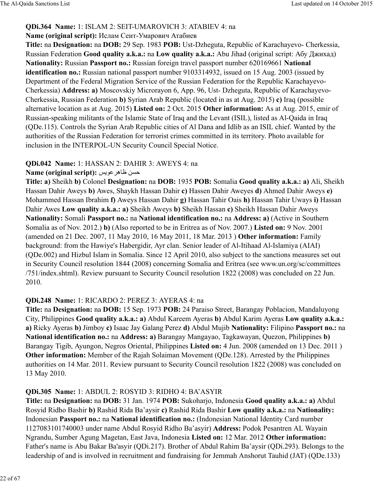#### **QDi.364 Name:** 1: ISLAM 2: SEIT-UMAROVICH 3: ATABIEV 4: na

#### **Name (original script):** Ислам Сеит-Умарович Атабиев

**Title:** na **Designation:** na **DOB:** 29 Sep. 1983 **POB:** Ust-Dzheguta, Republic of Karachayevo- Cherkessia, Russian Federation **Good quality a.k.a.:** na **Low quality a.k.a.:** Abu Jihad (original script: Абу Джихад) **Nationality:** Russian **Passport no.:** Russian foreign travel passport number 620169661 **National identification no.:** Russian national passport number 9103314932, issued on 15 Aug. 2003 (issued by Department of the Federal Migration Service of the Russian Federation for the Republic Karachayevo-Cherkessia) **Address: a)** Moscovskiy Microrayon 6, App. 96, Ust- Dzheguta, Republic of Karachayevo-Cherkessia, Russian Federation **b)** Syrian Arab Republic (located in as at Aug. 2015) **c)** Iraq (possible alternative location as at Aug. 2015) **Listed on:** 2 Oct. 2015 **Other information:** As at Aug. 2015, emir of Russian-speaking militants of the Islamic State of Iraq and the Levant (ISIL), listed as Al-Qaida in Iraq (QDe.115). Controls the Syrian Arab Republic cities of Al Dana and Idlib as an ISIL chief. Wanted by the authorities of the Russian Federation for terrorist crimes committed in its territory. Photo available for inclusion in the INTERPOL-UN Security Council Special Notice.

### **QDi.042 Name:** 1: HASSAN 2: DAHIR 3: AWEYS 4: na

### **Name (original script):** حسن ظاهر عويس

**Title: a)** Sheikh **b)** Colonel **Designation:** na **DOB:** 1935 **POB:** Somalia **Good quality a.k.a.: a)** Ali, Sheikh Hassan Dahir Aweys **b)** Awes, Shaykh Hassan Dahir **c)** Hassen Dahir Aweyes **d)** Ahmed Dahir Aweys **e)** Mohammed Hassan Ibrahim **f)** Aweys Hassan Dahir **g)** Hassan Tahir Oais **h)** Hassan Tahir Uways **i)** Hassan Dahir Awes **Low quality a.k.a.: a)** Sheikh Aweys **b)** Sheikh Hassan **c)** Sheikh Hassan Dahir Aweys **Nationality:** Somali **Passport no.:** na **National identification no.:** na **Address: a)** (Active in Southern Somalia as of Nov. 2012.) **b)** (Also reported to be in Eritrea as of Nov. 2007.) **Listed on:** 9 Nov. 2001 (amended on 21 Dec. 2007, 11 May 2010, 16 May 2011, 18 Mar. 2013 ) **Other information:** Family background: from the Hawiye's Habergidir, Ayr clan. Senior leader of Al-Itihaad Al-Islamiya (AIAI) (QDe.002) and Hizbul Islam in Somalia. Since 12 April 2010, also subject to the sanctions measures set out in Security Council resolution 1844 (2008) concerning Somalia and Eritrea (see www.un.org/sc/committees /751/index.shtml). Review pursuant to Security Council resolution 1822 (2008) was concluded on 22 Jun. 2010.

### **QDi.248 Name:** 1: RICARDO 2: PEREZ 3: AYERAS 4: na

**Title:** na **Designation:** na **DOB:** 15 Sep. 1973 **POB:** 24 Paraiso Street, Barangay Poblacion, Mandaluyong City, Philippines **Good quality a.k.a.: a)** Abdul Kareem Ayeras **b)** Abdul Karim Ayeras **Low quality a.k.a.: a)** Ricky Ayeras **b)** Jimboy **c)** Isaac Jay Galang Perez **d)** Abdul Mujib **Nationality:** Filipino **Passport no.:** na **National identification no.:** na **Address: a)** Barangay Mangayao, Tagkawayan, Quezon, Philippines **b)** Barangay Tigib, Ayungon, Negros Oriental, Philippines **Listed on:** 4 Jun. 2008 (amended on 13 Dec. 2011 ) **Other information:** Member of the Rajah Solaiman Movement (ODe.128). Arrested by the Philippines authorities on 14 Mar. 2011. Review pursuant to Security Council resolution 1822 (2008) was concluded on 13 May 2010.

### **QDi.305 Name:** 1: ABDUL 2: ROSYID 3: RIDHO 4: BA'ASYIR

**Title:** na **Designation:** na **DOB:** 31 Jan. 1974 **POB:** Sukoharjo, Indonesia **Good quality a.k.a.: a)** Abdul Rosyid Ridho Bashir **b)** Rashid Rida Ba'aysir **c)** Rashid Rida Bashir **Low quality a.k.a.:** na **Nationality:** Indonesian **Passport no.:** na **National identification no.:** (Indonesian National Identity Card number 1127083101740003 under name Abdul Rosyid Ridho Ba'asyir) **Address:** Podok Pesantren AL Wayain Ngrandu, Sumber Agung Magetan, East Java, Indonesia **Listed on:** 12 Mar. 2012 **Other information:** Father's name is Abu Bakar Ba'asyir (QDi.217). Brother of Abdul Rahim Ba'aysir (QDi.293). Belongs to the leadership of and is involved in recruitment and fundraising for Jemmah Anshorut Tauhid (JAT) (QDe.133)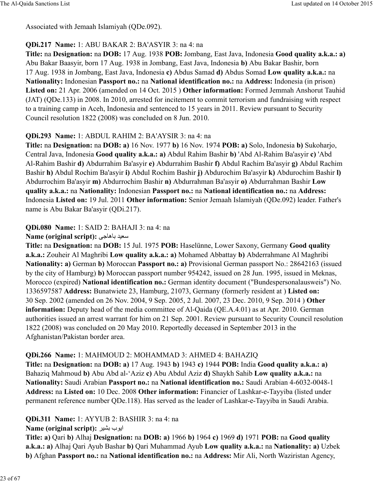Associated with Jemaah Islamiyah (QDe.092).

#### **QDi.217 Name:** 1: ABU BAKAR 2: BA'ASYIR 3: na 4: na

**Title:** na **Designation:** na **DOB:** 17 Aug. 1938 **POB:** Jombang, East Java, Indonesia **Good quality a.k.a.: a)** Abu Bakar Baasyir, born 17 Aug. 1938 in Jombang, East Java, Indonesia **b)** Abu Bakar Bashir, born 17 Aug. 1938 in Jombang, East Java, Indonesia **c)** Abdus Samad **d)** Abdus Somad **Low quality a.k.a.:** na **Nationality:** Indonesian **Passport no.:** na **National identification no.:** na **Address:** Indonesia (in prison) **Listed on:** 21 Apr. 2006 (amended on 14 Oct. 2015 ) **Other information:** Formed Jemmah Anshorut Tauhid (JAT) (QDe.133) in 2008. In 2010, arrested for incitement to commit terrorism and fundraising with respect to a training camp in Aceh, Indonesia and sentenced to 15 years in 2011. Review pursuant to Security Council resolution 1822 (2008) was concluded on 8 Jun. 2010.

#### **QDi.293 Name:** 1: ABDUL RAHIM 2: BA'AYSIR 3: na 4: na

**Title:** na **Designation:** na **DOB: a)** 16 Nov. 1977 **b)** 16 Nov. 1974 **POB: a)** Solo, Indonesia **b)** Sukoharjo, Central Java, Indonesia **Good quality a.k.a.: a)** Abdul Rahim Bashir **b)** 'Abd Al-Rahim Ba'asyir **c)** 'Abd Al-Rahim Bashir **d)** Abdurrahim Ba'asyir **e)** Abdurrahim Bashir **f)** Abdul Rachim Ba'asyir **g)** Abdul Rachim Bashir **h)** Abdul Rochim Ba'asyir **i)** Abdul Rochim Bashir **j)** Abdurochim Ba'asyir **k)** Abdurochim Bashir **l)** Abdurrochim Ba'asyir **m)** Abdurrochim Bashir **n)** Abdurrahman Ba'asyir **o)** Abdurrahman Bashir **Low quality a.k.a.:** na **Nationality:** Indonesian **Passport no.:** na **National identification no.:** na **Address:** Indonesia **Listed on:** 19 Jul. 2011 **Other information:** Senior Jemaah Islamiyah (QDe.092) leader. Father's name is Abu Bakar Ba'asyir (QDi.217).

#### **QDi.080 Name:** 1: SAID 2: BAHAJI 3: na 4: na

#### **Name (original script): سعيد باهاجي**

**Title:** na **Designation:** na **DOB:** 15 Jul. 1975 **POB:** Haselünne, Lower Saxony, Germany **Good quality a.k.a.:** Zouheir Al Maghribi **Low quality a.k.a.: a)** Mohamed Abbattay **b)** Abderrahmane Al Maghribi **Nationality: a)** German **b)** Moroccan **Passport no.: a)** Provisional German passport No.: 28642163 (issued by the city of Hamburg) **b)** Moroccan passport number 954242, issued on 28 Jun. 1995, issued in Meknas, Morocco (expired) **National identification no.:** German identity document ("Bundespersonalausweis") No. 1336597587 **Address:** Bunatwiete 23, Hamburg, 21073, Germany (formerly resident at ) **Listed on:** 30 Sep. 2002 (amended on 26 Nov. 2004, 9 Sep. 2005, 2 Jul. 2007, 23 Dec. 2010, 9 Sep. 2014 ) **Other information:** Deputy head of the media committee of Al-Qaida (QE.A.4.01) as at Apr. 2010. German authorities issued an arrest warrant for him on 21 Sep. 2001. Review pursuant to Security Council resolution 1822 (2008) was concluded on 20 May 2010. Reportedly deceased in September 2013 in the Afghanistan/Pakistan border area.

#### **QDi.266 Name:** 1: MAHMOUD 2: MOHAMMAD 3: AHMED 4: BAHAZIQ

**Title:** na **Designation:** na **DOB: a)** 17 Aug. 1943 **b)** 1943 **c)** 1944 **POB:** India **Good quality a.k.a.: a)** Bahaziq Mahmoud **b)** Abu Abd al-'Aziz **c)** Abu Abdul Aziz **d)** Shaykh Sahib **Low quality a.k.a.:** na **Nationality:** Saudi Arabian **Passport no.:** na **National identification no.:** Saudi Arabian 4-6032-0048-1 **Address:** na **Listed on:** 10 Dec. 2008 **Other information:** Financier of Lashkar-e-Tayyiba (listed under permanent reference number QDe.118). Has served as the leader of Lashkar-e-Tayyiba in Saudi Arabia.

### **QDi.311 Name:** 1: AYYUB 2: BASHIR 3: na 4: na

### **Name (original script):** ايوب بشير

**Title: a)** Qari **b)** Alhaj **Designation:** na **DOB: a)** 1966 **b)** 1964 **c)** 1969 **d)** 1971 **POB:** na **Good quality a.k.a.: a)** Alhaj Qari Ayub Bashar **b)** Qari Muhammad Ayub **Low quality a.k.a.:** na **Nationality: a)** Uzbek **b)** Afghan **Passport no.:** na **National identification no.:** na **Address:** Mir Ali, North Waziristan Agency,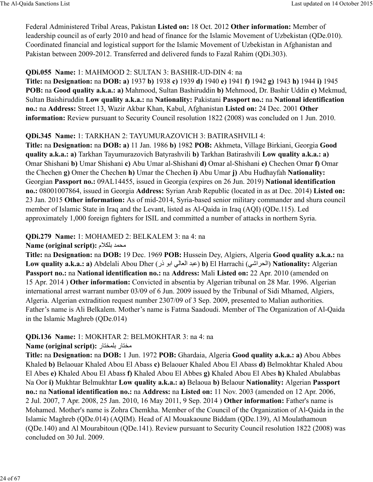Federal Administered Tribal Areas, Pakistan **Listed on:** 18 Oct. 2012 **Other information:** Member of leadership council as of early 2010 and head of finance for the Islamic Movement of Uzbekistan (QDe.010). Coordinated financial and logistical support for the Islamic Movement of Uzbekistan in Afghanistan and Pakistan between 2009-2012. Transferred and delivered funds to Fazal Rahim (QDi.303).

### **QDi.055 Name:** 1: MAHMOOD 2: SULTAN 3: BASHIR-UD-DIN 4: na

**Title:** na **Designation:** na **DOB: a)** 1937 **b)** 1938 **c)** 1939 **d)** 1940 **e)** 1941 **f)** 1942 **g)** 1943 **h)** 1944 **i)** 1945 **POB:** na **Good quality a.k.a.: a)** Mahmood, Sultan Bashiruddin **b)** Mehmood, Dr. Bashir Uddin **c)** Mekmud, Sultan Baishiruddin **Low quality a.k.a.:** na **Nationality:** Pakistani **Passport no.:** na **National identification no.:** na **Address:** Street 13, Wazir Akbar Khan, Kabul, Afghanistan **Listed on:** 24 Dec. 2001 **Other information:** Review pursuant to Security Council resolution 1822 (2008) was concluded on 1 Jun. 2010.

### **QDi.345 Name:** 1: TARKHAN 2: TAYUMURAZOVICH 3: BATIRASHVILI 4:

**Title:** na **Designation:** na **DOB: a)** 11 Jan. 1986 **b)** 1982 **POB:** Akhmeta, Village Birkiani, Georgia **Good quality a.k.a.: a)** Tarkhan Tayumurazovich Batyrashvili **b)** Tarkhan Batirashvili **Low quality a.k.a.: a)** Omar Shishani **b)** Umar Shishani **c)** Abu Umar al-Shishani **d)** Omar al-Shishani **e)** Chechen Omar **f)** Omar the Chechen **g)** Omer the Chechen **h)** Umar the Chechen **i)** Abu Umar **j)** Abu Hudhayfah **Nationality:** Georgian **Passport no.:** 09AL14455, issued in Georgia (expires on 26 Jun. 2019) **National identification no.:** 08001007864, issued in Georgia **Address:** Syrian Arab Republic (located in as at Dec. 2014) **Listed on:** 23 Jan. 2015 **Other information:** As of mid-2014, Syria-based senior military commander and shura council member of Islamic State in Iraq and the Levant, listed as Al-Qaida in Iraq (AQI) (QDe.115). Led approximately 1,000 foreign fighters for ISIL and committed a number of attacks in northern Syria.

### **QDi.279 Name:** 1: MOHAMED 2: BELKALEM 3: na 4: na

#### **Name (original script): محمد بلكلام**

**Title:** na **Designation:** na **DOB:** 19 Dec. 1969 **POB:** Hussein Dey, Algiers, Algeria **Good quality a.k.a.:** na **Low quality a.k.a.: a)** Abdelali Abou Dher (عبد العالي ابو ذر) **b**) El Harrachi (الحراشي) **Nationality:** Algerian **Passport no.:** na **National identification no.:** na **Address:** Mali **Listed on:** 22 Apr. 2010 (amended on 15 Apr. 2014 ) **Other information:** Convicted in absentia by Algerian tribunal on 28 Mar. 1996. Algerian international arrest warrant number 03/09 of 6 Jun. 2009 issued by the Tribunal of Sidi Mhamed, Algiers, Algeria. Algerian extradition request number 2307/09 of 3 Sep. 2009, presented to Malian authorities. Father's name is Ali Belkalem. Mother's name is Fatma Saadoudi. Member of The Organization of Al-Qaida in the Islamic Maghreb (QDe.014)

# **QDi.136 Name:** 1: MOKHTAR 2: BELMOKHTAR 3: na 4: na

#### Name (original script): مختار بلمختار

**Title:** na **Designation:** na **DOB:** 1 Jun. 1972 **POB:** Ghardaia, Algeria **Good quality a.k.a.: a)** Abou Abbes Khaled **b)** Belaouar Khaled Abou El Abass **c)** Belaouer Khaled Abou El Abass **d)** Belmokhtar Khaled Abou El Abes **e)** Khaled Abou El Abass **f)** Khaled Abou El Abbes **g)** Khaled Abou El Abes **h)** Khaled Abulabbas Na Oor **i)** Mukhtar Belmukhtar **Low quality a.k.a.: a)** Belaoua **b)** Belaour **Nationality:** Algerian **Passport no.:** na **National identification no.:** na **Address:** na **Listed on:** 11 Nov. 2003 (amended on 12 Apr. 2006, 2 Jul. 2007, 7 Apr. 2008, 25 Jan. 2010, 16 May 2011, 9 Sep. 2014 ) **Other information:** Father's name is Mohamed. Mother's name is Zohra Chemkha. Member of the Council of the Organization of Al-Qaida in the Islamic Maghreb (QDe.014) (AQIM). Head of Al Mouakaoune Biddam (QDe.139), Al Moulathamoun (QDe.140) and Al Mourabitoun (QDe.141). Review pursuant to Security Council resolution 1822 (2008) was concluded on 30 Jul. 2009.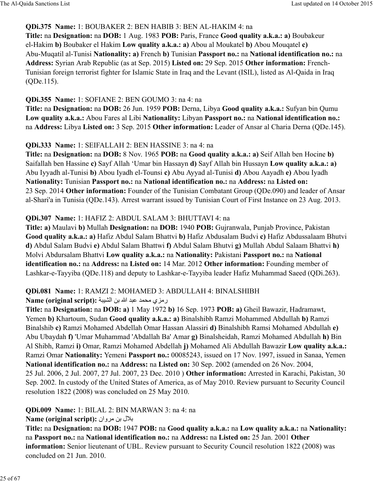#### **QDi.375 Name:** 1: BOUBAKER 2: BEN HABIB 3: BEN AL-HAKIM 4: na

**Title:** na **Designation:** na **DOB:** 1 Aug. 1983 **POB:** Paris, France **Good quality a.k.a.: a)** Boubakeur el-Hakim **b)** Boubaker el Hakim **Low quality a.k.a.: a)** Abou al Moukatel **b)** Abou Mouqatel **c)** Abu-Muqatil al-Tunisi **Nationality: a)** French **b)** Tunisian **Passport no.:** na **National identification no.:** na **Address:** Syrian Arab Republic (as at Sep. 2015) **Listed on:** 29 Sep. 2015 **Other information:** French-Tunisian foreign terrorist fighter for Islamic State in Iraq and the Levant (ISIL), listed as Al-Qaida in Iraq (QDe.115).

### **QDi.355 Name:** 1: SOFIANE 2: BEN GOUMO 3: na 4: na

**Title:** na **Designation:** na **DOB:** 26 Jun. 1959 **POB:** Derna, Libya **Good quality a.k.a.:** Sufyan bin Qumu **Low quality a.k.a.:** Abou Fares al Libi **Nationality:** Libyan **Passport no.:** na **National identification no.:** na **Address:** Libya **Listed on:** 3 Sep. 2015 **Other information:** Leader of Ansar al Charia Derna (QDe.145).

### **QDi.333 Name:** 1: SEIFALLAH 2: BEN HASSINE 3: na 4: na

**Title:** na **Designation:** na **DOB:** 8 Nov. 1965 **POB:** na **Good quality a.k.a.: a)** Seif Allah ben Hocine **b)** Saifallah ben Hassine **c)** Sayf Allah 'Umar bin Hassayn **d)** Sayf Allah bin Hussayn **Low quality a.k.a.: a)** Abu Iyyadh al-Tunisi **b)** Abou Iyadh el-Tounsi **c)** Abu Ayyad al-Tunisi **d)** Abou Aayadh **e)** Abou Iyadh **Nationality:** Tunisian **Passport no.:** na **National identification no.:** na **Address:** na **Listed on:** 23 Sep. 2014 **Other information:** Founder of the Tunisian Combatant Group (QDe.090) and leader of Ansar al-Shari'a in Tunisia (QDe.143). Arrest warrant issued by Tunisian Court of First Instance on 23 Aug. 2013.

### **QDi.307 Name:** 1: HAFIZ 2: ABDUL SALAM 3: BHUTTAVI 4: na

**Title: a)** Maulavi **b)** Mullah **Designation:** na **DOB:** 1940 **POB:** Gujranwala, Punjab Province, Pakistan **Good quality a.k.a.: a)** Hafiz Abdul Salam Bhattvi **b)** Hafiz Abdusalam Budvi **c)** Hafiz Abdussalaam Bhutvi **d)** Abdul Salam Budvi **e)** Abdul Salam Bhattwi **f)** Abdul Salam Bhutvi **g)** Mullah Abdul Salaam Bhattvi **h)** Molvi Abdursalam Bhattvi **Low quality a.k.a.:** na **Nationality:** Pakistani **Passport no.:** na **National identification no.:** na **Address:** na **Listed on:** 14 Mar. 2012 **Other information:** Founding member of Lashkar-e-Tayyiba (QDe.118) and deputy to Lashkar-e-Tayyiba leader Hafiz Muhammad Saeed (QDi.263).

### **QDi.081 Name:** 1: RAMZI 2: MOHAMED 3: ABDULLAH 4: BINALSHIBH

**Name (original script):** رمزى محمد عبد الله بن الشبية

**Title:** na **Designation:** na **DOB: a)** 1 May 1972 **b)** 16 Sep. 1973 **POB: a)** Gheil Bawazir, Hadramawt, Yemen **b)** Khartoum, Sudan **Good quality a.k.a.: a)** Binalshibh Ramzi Mohammed Abdullah **b)** Ramzi Binalshib **c)** Ramzi Mohamed Abdellah Omar Hassan Alassiri **d)** Binalshibh Ramsi Mohamed Abdullah **e)** Abu Ubaydah **f)** 'Umar Muhammad 'Abdallah Ba' Amar **g)** Binalsheidah, Ramzi Mohamed Abdullah **h)** Bin Al Shibh, Ramzi **i)** Omar, Ramzi Mohamed Abdellah **j)** Mohamed Ali Abdullah Bawazir **Low quality a.k.a.:** Ramzi Omar **Nationality:** Yemeni **Passport no.:** 00085243, issued on 17 Nov. 1997, issued in Sanaa, Yemen **National identification no.:** na **Address:** na **Listed on:** 30 Sep. 2002 (amended on 26 Nov. 2004, 25 Jul. 2006, 2 Jul. 2007, 27 Jul. 2007, 23 Dec. 2010 ) **Other information:** Arrested in Karachi, Pakistan, 30 Sep. 2002. In custody of the United States of America, as of May 2010. Review pursuant to Security Council resolution 1822 (2008) was concluded on 25 May 2010.

### **QDi.009 Name:** 1: BILAL 2: BIN MARWAN 3: na 4: na

### **بلال بن مروان :Name (original script)**

**Title:** na **Designation:** na **DOB:** 1947 **POB:** na **Good quality a.k.a.:** na **Low quality a.k.a.:** na **Nationality:** na **Passport no.:** na **National identification no.:** na **Address:** na **Listed on:** 25 Jan. 2001 **Other information:** Senior lieutenant of UBL. Review pursuant to Security Council resolution 1822 (2008) was concluded on 21 Jun. 2010.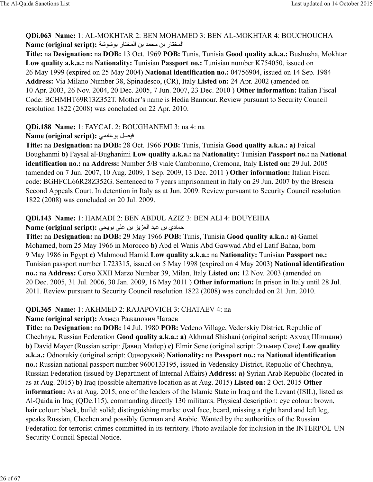**QDi.063 Name:** 1: AL-MOKHTAR 2: BEN MOHAMED 3: BEN AL-MOKHTAR 4: BOUCHOUCHA المختار بن محمد بن المختار بوشوشة : Name (original script)

**Title:** na **Designation:** na **DOB:** 13 Oct. 1969 **POB:** Tunis, Tunisia **Good quality a.k.a.:** Bushusha, Mokhtar **Low quality a.k.a.:** na **Nationality:** Tunisian **Passport no.:** Tunisian number K754050, issued on 26 May 1999 (expired on 25 May 2004) **National identification no.:** 04756904, issued on 14 Sep. 1984 **Address:** Via Milano Number 38, Spinadesco, (CR), Italy **Listed on:** 24 Apr. 2002 (amended on 10 Apr. 2003, 26 Nov. 2004, 20 Dec. 2005, 7 Jun. 2007, 23 Dec. 2010 ) **Other information:** Italian Fiscal Code: BCHMHT69R13Z352T. Mother's name is Hedia Bannour. Review pursuant to Security Council resolution 1822 (2008) was concluded on 22 Apr. 2010.

#### **QDi.188 Name:** 1: FAYCAL 2: BOUGHANEMI 3: na 4: na

### **Name (original script):** فيصل بوغانمي

**Title:** na **Designation:** na **DOB:** 28 Oct. 1966 **POB:** Tunis, Tunisia **Good quality a.k.a.: a)** Faical Boughanmi **b)** Faysal al-Bughanimi **Low quality a.k.a.:** na **Nationality:** Tunisian **Passport no.:** na **National identification no.:** na **Address:** Number 5/B viale Cambonino, Cremona, Italy **Listed on:** 29 Jul. 2005 (amended on 7 Jun. 2007, 10 Aug. 2009, 1 Sep. 2009, 13 Dec. 2011 ) **Other information:** Italian Fiscal code: BGHFCL66R28Z352G. Sentenced to 7 years imprisonment in Italy on 29 Jun. 2007 by the Brescia Second Appeals Court. In detention in Italy as at Jun. 2009. Review pursuant to Security Council resolution 1822 (2008) was concluded on 20 Jul. 2009.

# **QDi.143 Name:** 1: HAMADI 2: BEN ABDUL AZIZ 3: BEN ALI 4: BOUYEHIA

### **Name (original script): حمادي بن عبد العزيز بن على بويحي**

**Title:** na **Designation:** na **DOB:** 29 May 1966 **POB:** Tunis, Tunisia **Good quality a.k.a.: a)** Gamel Mohamed, born 25 May 1966 in Morocco **b)** Abd el Wanis Abd Gawwad Abd el Latif Bahaa, born 9 May 1986 in Egypt **c)** Mahmoud Hamid **Low quality a.k.a.:** na **Nationality:** Tunisian **Passport no.:** Tunisian passport number L723315, issued on 5 May 1998 (expired on 4 May 2003) **National identification no.:** na **Address:** Corso XXII Marzo Number 39, Milan, Italy **Listed on:** 12 Nov. 2003 (amended on 20 Dec. 2005, 31 Jul. 2006, 30 Jan. 2009, 16 May 2011 ) **Other information:** In prison in Italy until 28 Jul. 2011. Review pursuant to Security Council resolution 1822 (2008) was concluded on 21 Jun. 2010.

### **QDi.365 Name:** 1: AKHMED 2: RAJAPOVICH 3: CHATAEV 4: na

### **Name (original script):** Ахмед Ражапович Чатаев

**Title:** na **Designation:** na **DOB:** 14 Jul. 1980 **POB:** Vedeno Village, Vedenskiy District, Republic of Chechnya, Russian Federation **Good quality a.k.a.: a)** Akhmad Shishani (original script: Ахмад Шишани) **b)** David Mayer (Russian script: Давид Майер) **c)** Elmir Sene (original script: Эльмир Сене) **Low quality a.k.a.:** Odnorukiy (original script: Однорукий) **Nationality:** na **Passport no.:** na **National identification no.:** Russian national passport number 9600133195, issued in Vedensiky District, Republic of Chechnya, Russian Federation (issued by Department of Internal Affairs) **Address: a)** Syrian Arab Republic (located in as at Aug. 2015) **b)** Iraq (possible alternative location as at Aug. 2015) **Listed on:** 2 Oct. 2015 **Other information:** As at Aug. 2015, one of the leaders of the Islamic State in Iraq and the Levant (ISIL), listed as Al-Qaida in Iraq (QDe.115), commanding directly 130 militants. Physical description: eye colour: brown, hair colour: black, build: solid; distinguishing marks: oval face, beard, missing a right hand and left leg, speaks Russian, Chechen and possibly German and Arabic. Wanted by the authorities of the Russian Federation for terrorist crimes committed in its territory. Photo available for inclusion in the INTERPOL-UN Security Council Special Notice.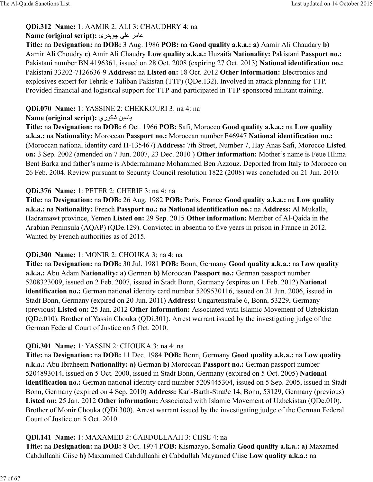### **QDi.312 Name:** 1: AAMIR 2: ALI 3: CHAUDHRY 4: na

#### **Name (original script):** ری÷>B× ûú= @\8=

**Title:** na **Designation:** na **DOB:** 3 Aug. 1986 **POB:** na **Good quality a.k.a.: a)** Aamir Ali Chaudary **b)** Aamir Ali Choudry **c)** Amir Ali Chaudry **Low quality a.k.a.:** Huzaifa **Nationality:** Pakistani **Passport no.:** Pakistani number BN 4196361, issued on 28 Oct. 2008 (expiring 27 Oct. 2013) **National identification no.:** Pakistani 33202-7126636-9 **Address:** na **Listed on:** 18 Oct. 2012 **Other information:** Electronics and explosives expert for Tehrik-e Taliban Pakistan (TTP) (QDe.132). Involved in attack planning for TTP. Provided financial and logistical support for TTP and participated in TTP-sponsored militant training.

#### **QDi.070 Name:** 1: YASSINE 2: CHEKKOURI 3: na 4: na

### **Name (original script):** ياسين شكوري

**Title:** na **Designation:** na **DOB:** 6 Oct. 1966 **POB:** Safi, Morocco **Good quality a.k.a.:** na **Low quality a.k.a.:** na **Nationality:** Moroccan **Passport no.:** Moroccan number F46947 **National identification no.:** (Moroccan national identity card H-135467) **Address:** 7th Street, Number 7, Hay Anas Safi, Morocco **Listed on:** 3 Sep. 2002 (amended on 7 Jun. 2007, 23 Dec. 2010 ) **Other information:** Mother's name is Feue Hlima Bent Barka and father's name is Abderrahmane Mohammed Ben Azzouz. Deported from Italy to Morocco on 26 Feb. 2004. Review pursuant to Security Council resolution 1822 (2008) was concluded on 21 Jun. 2010.

### **QDi.376 Name:** 1: PETER 2: CHERIF 3: na 4: na

**Title:** na **Designation:** na **DOB:** 26 Aug. 1982 **POB:** Paris, France **Good quality a.k.a.:** na **Low quality a.k.a.:** na **Nationality:** French **Passport no.:** na **National identification no.:** na **Address:** Al Mukalla, Hadramawt province, Yemen **Listed on:** 29 Sep. 2015 **Other information:** Member of Al-Qaida in the Arabian Peninsula (AQAP) (QDe.129). Convicted in absentia to five years in prison in France in 2012. Wanted by French authorities as of 2015.

#### **QDi.300 Name:** 1: MONIR 2: CHOUKA 3: na 4: na

**Title:** na **Designation:** na **DOB:** 30 Jul. 1981 **POB:** Bonn, Germany **Good quality a.k.a.:** na **Low quality a.k.a.:** Abu Adam **Nationality: a)** German **b)** Moroccan **Passport no.:** German passport number 5208323009, issued on 2 Feb. 2007, issued in Stadt Bonn, Germany (expires on 1 Feb. 2012) **National identification no.:** German national identity card number 5209530116, issued on 21 Jun. 2006, issued in Stadt Bonn, Germany (expired on 20 Jun. 2011) **Address:** Ungartenstraße 6, Bonn, 53229, Germany (previous) **Listed on:** 25 Jan. 2012 **Other information:** Associated with Islamic Movement of Uzbekistan (QDe.010). Brother of Yassin Chouka (QDi.301). Arrest warrant issued by the investigating judge of the German Federal Court of Justice on 5 Oct. 2010.

### **QDi.301 Name:** 1: YASSIN 2: CHOUKA 3: na 4: na

**Title:** na **Designation:** na **DOB:** 11 Dec. 1984 **POB:** Bonn, Germany **Good quality a.k.a.:** na **Low quality a.k.a.:** Abu Ibraheem **Nationality: a)** German **b)** Moroccan **Passport no.:** German passport number 5204893014, issued on 5 Oct. 2000, issued in Stadt Bonn, Germany (expired on 5 Oct. 2005) **National identification no.:** German national identity card number 5209445304, issued on 5 Sep. 2005, issued in Stadt Bonn, Germany (expired on 4 Sep. 2010) **Address:** Karl-Barth-Straße 14, Bonn, 53129, Germany (previous) **Listed on:** 25 Jan. 2012 **Other information:** Associated with Islamic Movement of Uzbekistan (QDe.010). Brother of Monir Chouka (QDi.300). Arrest warrant issued by the investigating judge of the German Federal Court of Justice on 5 Oct. 2010.

#### **QDi.141 Name:** 1: MAXAMED 2: CABDULLAAH 3: CIISE 4: na

**Title:** na **Designation:** na **DOB:** 8 Oct. 1974 **POB:** Kismaayo, Somalia **Good quality a.k.a.: a)** Maxamed Cabdullaahi Ciise **b)** Maxammed Cabdullaahi **c)** Cabdullah Mayamed Ciise **Low quality a.k.a.:** na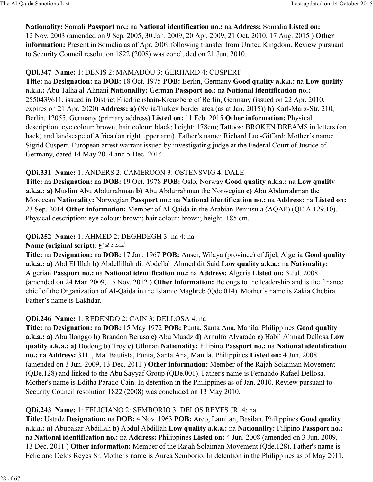### **Nationality:** Somali **Passport no.:** na **National identification no.:** na **Address:** Somalia **Listed on:** 12 Nov. 2003 (amended on 9 Sep. 2005, 30 Jan. 2009, 20 Apr. 2009, 21 Oct. 2010, 17 Aug. 2015 ) **Other information:** Present in Somalia as of Apr. 2009 following transfer from United Kingdom. Review pursuant to Security Council resolution 1822 (2008) was concluded on 21 Jun. 2010.

### **QDi.347 Name:** 1: DENIS 2: MAMADOU 3: GERHARD 4: CUSPERT

**Title:** na **Designation:** na **DOB:** 18 Oct. 1975 **POB:** Berlin, Germany **Good quality a.k.a.:** na **Low quality a.k.a.:** Abu Talha al-Almani **Nationality:** German **Passport no.:** na **National identification no.:** 2550439611, issued in District Friedrichshain-Kreuzberg of Berlin, Germany (issued on 22 Apr. 2010, expires on 21 Apr. 2020) **Address: a)** (Syria/Turkey border area (as at Jan. 2015)) **b)** Karl-Marx-Str. 210, Berlin, 12055, Germany (primary address) **Listed on:** 11 Feb. 2015 **Other information:** Physical description: eye colour: brown; hair colour: black; height: 178cm; Tattoos: BROKEN DREAMS in letters (on back) and landscape of Africa (on right upper arm). Father's name: Richard Luc-Giffard; Mother's name: Sigrid Cuspert. European arrest warrant issued by investigating judge at the Federal Court of Justice of Germany, dated 14 May 2014 and 5 Dec. 2014.

### **QDi.331 Name:** 1: ANDERS 2: CAMEROON 3: OSTENSVIG 4: DALE

**Title:** na **Designation:** na **DOB:** 19 Oct. 1978 **POB:** Oslo, Norway **Good quality a.k.a.:** na **Low quality a.k.a.: a)** Muslim Abu Abdurrahman **b)** Abu Abdurrahman the Norwegian **c)** Abu Abdurrahman the Moroccan **Nationality:** Norwegian **Passport no.:** na **National identification no.:** na **Address:** na **Listed on:** 23 Sep. 2014 **Other information:** Member of Al-Qaida in the Arabian Peninsula (AQAP) (QE.A.129.10). Physical description: eye colour: brown; hair colour: brown; height: 185 cm.

### **QDi.252 Name:** 1: AHMED 2: DEGHDEGH 3: na 4: na

#### **Name (original script): أحمد دغداغ)**

**Title:** na **Designation:** na **DOB:** 17 Jan. 1967 **POB:** Anser, Wilaya (province) of Jijel, Algeria **Good quality a.k.a.: a)** Abd El Illah **b)** Abdellillah dit Abdellah Ahmed dit Said **Low quality a.k.a.:** na **Nationality:** Algerian **Passport no.:** na **National identification no.:** na **Address:** Algeria **Listed on:** 3 Jul. 2008 (amended on 24 Mar. 2009, 15 Nov. 2012 ) **Other information:** Belongs to the leadership and is the finance chief of the Organization of Al-Qaida in the Islamic Maghreb (Qde.014). Mother's name is Zakia Chebira. Father's name is Lakhdar.

# **QDi.246 Name:** 1: REDENDO 2: CAIN 3: DELLOSA 4: na

**Title:** na **Designation:** na **DOB:** 15 May 1972 **POB:** Punta, Santa Ana, Manila, Philippines **Good quality a.k.a.: a)** Abu Ilonggo **b)** Brandon Berusa **c)** Abu Muadz **d)** Arnulfo Alvarado **e)** Habil Ahmad Dellosa **Low quality a.k.a.: a)** Dodong **b)** Troy **c)** Uthman **Nationality:** Filipino **Passport no.:** na **National identification no.:** na **Address:** 3111, Ma. Bautista, Punta, Santa Ana, Manila, Philippines **Listed on:** 4 Jun. 2008 (amended on 3 Jun. 2009, 13 Dec. 2011 ) **Other information:** Member of the Rajah Solaiman Movement (QDe.128) and linked to the Abu Sayyaf Group (QDe.001). Father's name is Fernando Rafael Dellosa. Mother's name is Editha Parado Cain. In detention in the Philippines as of Jan. 2010. Review pursuant to Security Council resolution 1822 (2008) was concluded on 13 May 2010.

### **QDi.243 Name:** 1: FELICIANO 2: SEMBORIO 3: DELOS REYES JR. 4: na

**Title:** Ustadz **Designation:** na **DOB:** 4 Nov. 1963 **POB:** Arco, Lamitan, Basilan, Philippines **Good quality a.k.a.: a)** Abubakar Abdillah **b)** Abdul Abdillah **Low quality a.k.a.:** na **Nationality:** Filipino **Passport no.:** na **National identification no.:** na **Address:** Philippines **Listed on:** 4 Jun. 2008 (amended on 3 Jun. 2009, 13 Dec. 2011 ) **Other information:** Member of the Rajah Solaiman Movement (Qde.128). Father's name is Feliciano Delos Reyes Sr. Mother's name is Aurea Semborio. In detention in the Philippines as of May 2011.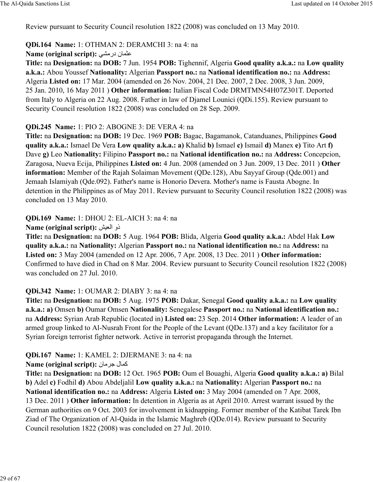Review pursuant to Security Council resolution 1822 (2008) was concluded on 13 May 2010.

### **QDi.164 Name:** 1: OTHMAN 2: DERAMCHI 3: na 4: na

**Name (original script):** عثمان درمشی

**Title:** na **Designation:** na **DOB:** 7 Jun. 1954 **POB:** Tighennif, Algeria **Good quality a.k.a.:** na **Low quality a.k.a.:** Abou Youssef **Nationality:** Algerian **Passport no.:** na **National identification no.:** na **Address:** Algeria **Listed on:** 17 Mar. 2004 (amended on 26 Nov. 2004, 21 Dec. 2007, 2 Dec. 2008, 3 Jun. 2009, 25 Jan. 2010, 16 May 2011 ) **Other information:** Italian Fiscal Code DRMTMN54H07Z301T. Deported from Italy to Algeria on 22 Aug. 2008. Father in law of Djamel Lounici (QDi.155). Review pursuant to Security Council resolution 1822 (2008) was concluded on 28 Sep. 2009.

### **QDi.245 Name:** 1: PIO 2: ABOGNE 3: DE VERA 4: na

**Title:** na **Designation:** na **DOB:** 19 Dec. 1969 **POB:** Bagac, Bagamanok, Catanduanes, Philippines **Good quality a.k.a.:** Ismael De Vera **Low quality a.k.a.: a)** Khalid **b)** Ismael **c)** Ismail **d)** Manex **e)** Tito Art **f)** Dave **g)** Leo **Nationality:** Filipino **Passport no.:** na **National identification no.:** na **Address:** Concepcion, Zaragosa, Nueva Ecija, Philippines **Listed on:** 4 Jun. 2008 (amended on 3 Jun. 2009, 13 Dec. 2011 ) **Other information:** Member of the Rajah Solaiman Movement (QDe.128), Abu Sayyaf Group (Qde.001) and Jemaah Islamiyah (Qde.092). Father's name is Honorio Devera. Mother's name is Fausta Abogne. In detention in the Philippines as of May 2011. Review pursuant to Security Council resolution 1822 (2008) was concluded on 13 May 2010.

**QDi.169 Name:** 1: DHOU 2: EL-AICH 3: na 4: na

**Name (original script):** Ÿcd:ا ذو

**Title:** na **Designation:** na **DOB:** 5 Aug. 1964 **POB:** Blida, Algeria **Good quality a.k.a.:** Abdel Hak **Low quality a.k.a.:** na **Nationality:** Algerian **Passport no.:** na **National identification no.:** na **Address:** na **Listed on:** 3 May 2004 (amended on 12 Apr. 2006, 7 Apr. 2008, 13 Dec. 2011 ) **Other information:** Confirmed to have died in Chad on 8 Mar. 2004. Review pursuant to Security Council resolution 1822 (2008) was concluded on 27 Jul. 2010.

### **QDi.342 Name:** 1: OUMAR 2: DIABY 3: na 4: na

**Title:** na **Designation:** na **DOB:** 5 Aug. 1975 **POB:** Dakar, Senegal **Good quality a.k.a.:** na **Low quality a.k.a.: a)** Omsen **b)** Oumar Omsen **Nationality:** Senegalese **Passport no.:** na **National identification no.:** na **Address:** Syrian Arab Republic (located in) **Listed on:** 23 Sep. 2014 **Other information:** A leader of an armed group linked to Al-Nusrah Front for the People of the Levant (QDe.137) and a key facilitator for a Syrian foreign terrorist fighter network. Active in terrorist propaganda through the Internet.

# **QDi.167 Name:** 1: KAMEL 2: DJERMANE 3: na 4: na

### **Name (original script):** كمال جرمان

**Title:** na **Designation:** na **DOB:** 12 Oct. 1965 **POB:** Oum el Bouaghi, Algeria **Good quality a.k.a.: a)** Bilal **b)** Adel **c)** Fodhil **d)** Abou Abdeljalil **Low quality a.k.a.:** na **Nationality:** Algerian **Passport no.:** na **National identification no.:** na **Address:** Algeria **Listed on:** 3 May 2004 (amended on 7 Apr. 2008, 13 Dec. 2011 ) **Other information:** In detention in Algeria as at April 2010. Arrest warrant issued by the German authorities on 9 Oct. 2003 for involvement in kidnapping. Former member of the Katibat Tarek Ibn Ziad of The Organization of Al-Qaida in the Islamic Maghreb (QDe.014). Review pursuant to Security Council resolution 1822 (2008) was concluded on 27 Jul. 2010.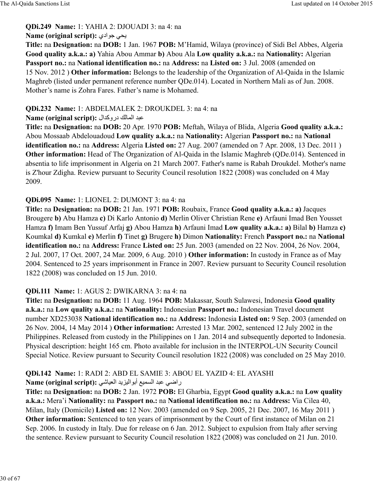### **QDi.249 Name:** 1: YAHIA 2: DJOUADI 3: na 4: na

### **Name (original script):** يحي جو ادي

**Title:** na **Designation:** na **DOB:** 1 Jan. 1967 **POB:** M'Hamid, Wilaya (province) of Sidi Bel Abbes, Algeria **Good quality a.k.a.: a)** Yahia Abou Ammar **b)** Abou Ala **Low quality a.k.a.:** na **Nationality:** Algerian **Passport no.:** na **National identification no.:** na **Address:** na **Listed on:** 3 Jul. 2008 (amended on 15 Nov. 2012 ) **Other information:** Belongs to the leadership of the Organization of Al-Qaida in the Islamic Maghreb (listed under permanent reference number QDe.014). Located in Northern Mali as of Jun. 2008. Mother's name is Zohra Fares. Father's name is Mohamed.

### **QDi.232 Name:** 1: ABDELMALEK 2: DROUKDEL 3: na 4: na

### **Name (original script):** ال>ñدرو ⁄:8]:ا> 9=

**Title:** na **Designation:** na **DOB:** 20 Apr. 1970 **POB:** Meftah, Wilaya of Blida, Algeria **Good quality a.k.a.:** Abou Mossaab Abdelouadoud **Low quality a.k.a.:** na **Nationality:** Algerian **Passport no.:** na **National identification no.:** na **Address:** Algeria **Listed on:** 27 Aug. 2007 (amended on 7 Apr. 2008, 13 Dec. 2011 ) **Other information:** Head of The Organization of Al-Qaida in the Islamic Maghreb (ODe.014). Sentenced in absentia to life imprisonment in Algeria on 21 March 2007. Father's name is Rabah Droukdel. Mother's name is Z'hour Zdigha. Review pursuant to Security Council resolution 1822 (2008) was concluded on 4 May 2009.

### **QDi.095 Name:** 1: LIONEL 2: DUMONT 3: na 4: na

**Title:** na **Designation:** na **DOB:** 21 Jan. 1971 **POB:** Roubaix, France **Good quality a.k.a.: a)** Jacques Brougere **b)** Abu Hamza **c)** Di Karlo Antonio **d)** Merlin Oliver Christian Rene **e)** Arfauni Imad Ben Yousset Hamza **f)** Imam Ben Yussuf Arfaj **g)** Abou Hamza **h)** Arfauni Imad **Low quality a.k.a.: a)** Bilal **b)** Hamza **c)** Koumkal **d)** Kumkal **e)** Merlin **f)** Tinet **g)** Brugere **h)** Dimon **Nationality:** French **Passport no.:** na **National identification no.:** na **Address:** France **Listed on:** 25 Jun. 2003 (amended on 22 Nov. 2004, 26 Nov. 2004, 2 Jul. 2007, 17 Oct. 2007, 24 Mar. 2009, 6 Aug. 2010 ) **Other information:** In custody in France as of May 2004. Sentenced to 25 years imprisonment in France in 2007. Review pursuant to Security Council resolution 1822 (2008) was concluded on 15 Jun. 2010.

### **QDi.111 Name:** 1: AGUS 2: DWIKARNA 3: na 4: na

**Title:** na **Designation:** na **DOB:** 11 Aug. 1964 **POB:** Makassar, South Sulawesi, Indonesia **Good quality a.k.a.:** na **Low quality a.k.a.:** na **Nationality:** Indonesian **Passport no.:** Indonesian Travel document number XD253038 **National identification no.:** na **Address:** Indonesia **Listed on:** 9 Sep. 2003 (amended on 26 Nov. 2004, 14 May 2014 ) **Other information:** Arrested 13 Mar. 2002, sentenced 12 July 2002 in the Philippines. Released from custody in the Philippines on 1 Jan. 2014 and subsequently deported to Indonesia. Physical description: height 165 cm. Photo available for inclusion in the INTERPOL-UN Security Council Special Notice. Review pursuant to Security Council resolution 1822 (2008) was concluded on 25 May 2010.

# **QDi.142 Name:** 1: RADI 2: ABD EL SAMIE 3: ABOU EL YAZID 4: EL AYASHI

# راضي عبد السميع أبواليزيد العياشي: Name (original script):

**Title:** na **Designation:** na **DOB:** 2 Jan. 1972 **POB:** El Gharbia, Egypt **Good quality a.k.a.:** na **Low quality a.k.a.:** Mera'i **Nationality:** na **Passport no.:** na **National identification no.:** na **Address:** Via Cilea 40, Milan, Italy (Domicile) **Listed on:** 12 Nov. 2003 (amended on 9 Sep. 2005, 21 Dec. 2007, 16 May 2011 ) **Other information:** Sentenced to ten years of imprisonment by the Court of first instance of Milan on 21 Sep. 2006. In custody in Italy. Due for release on 6 Jan. 2012. Subject to expulsion from Italy after serving the sentence. Review pursuant to Security Council resolution 1822 (2008) was concluded on 21 Jun. 2010.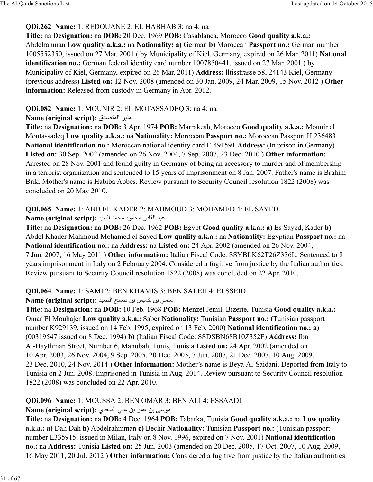### **QDi.262 Name:** 1: REDOUANE 2: EL HABHAB 3: na 4: na

**Title:** na **Designation:** na **DOB:** 20 Dec. 1969 **POB:** Casablanca, Morocco **Good quality a.k.a.:** Abdelrahman **Low quality a.k.a.:** na **Nationality: a)** German **b)** Moroccan **Passport no.:** German number 1005552350, issued on 27 Mar. 2001 ( by Municipality of Kiel, Germany, expired on 26 Mar. 2011) **National** identification no.: German federal identity card number 1007850441, issued on 27 Mar. 2001 (by Municipality of Kiel, Germany, expired on 26 Mar. 2011) **Address:** lltisstrasse 58, 24143 Kiel, Germany (previous address) **Listed on:** 12 Nov. 2008 (amended on 30 Jan. 2009, 24 Mar. 2009, 15 Nov. 2012 ) **Other information:** Released from custody in Germany in Apr. 2012.

### **QDi.082 Name:** 1: MOUNIR 2: EL MOTASSADEQ 3: na 4: na

### **Name (original script):** منير المتصدق

**Title:** na **Designation:** na **DOB:** 3 Apr. 1974 **POB:** Marrakesh, Morocco **Good quality a.k.a.:** Mounir el Moutassadeq **Low quality a.k.a.:** na **Nationality:** Moroccan **Passport no.:** Moroccan Passport H 236483 **National identification no.:** Moroccan national identity card E-491591 **Address:** (In prison in Germany) **Listed on:** 30 Sep. 2002 (amended on 26 Nov. 2004, 7 Sep. 2007, 23 Dec. 2010 ) **Other information:** Arrested on 28 Nov. 2001 and found guilty in Germany of being an accessory to murder and of membership in a terrorist organization and sentenced to 15 years of imprisonment on 8 Jan. 2007. Father's name is Brahim Brik. Mother's name is Habiba Abbes. Review pursuant to Security Council resolution 1822 (2008) was concluded on 20 May 2010.

# **QDi.065 Name:** 1: ABD EL KADER 2: MAHMOUD 3: MOHAMED 4: EL SAYED

Name (original script): عبد القادر محمود محمد السيد

**Title:** na **Designation:** na **DOB:** 26 Dec. 1962 **POB:** Egypt **Good quality a.k.a.: a)** Es Sayed, Kader **b)** Abdel Khader Mahmoud Mohamed el Sayed **Low quality a.k.a.:** na **Nationality:** Egyptian **Passport no.:** na **National identification no.:** na **Address:** na **Listed on:** 24 Apr. 2002 (amended on 26 Nov. 2004, 7 Jun. 2007, 16 May 2011 ) **Other information:** Italian Fiscal Code: SSYBLK62T26Z336L. Sentenced to 8 years imprisonment in Italy on 2 February 2004. Considered a fugitive from justice by the Italian authorities. Review pursuant to Security Council resolution 1822 (2008) was concluded on 22 Apr. 2010.

### **QDi.064 Name:** 1: SAMI 2: BEN KHAMIS 3: BEN SALEH 4: ELSSEID

Mame (original script): سامي بن خميس بن صالح الصيد

**Title:** na **Designation:** na **DOB:** 10 Feb. 1968 **POB:** Menzel Jemil, Bizerte, Tunisia **Good quality a.k.a.:** Omar El Mouhajer **Low quality a.k.a.:** Saber **Nationality:** Tunisian **Passport no.:** (Tunisian passport number K929139, issued on 14 Feb. 1995, expired on 13 Feb. 2000) **National identification no.: a)** (00319547 issued on 8 Dec. 1994) **b)** (Italian Fiscal Code: SSDSBN68B10Z352F) **Address:** Ibn Al-Haythman Street, Number 6, Manubah, Tunis, Tunisia **Listed on:** 24 Apr. 2002 (amended on 10 Apr. 2003, 26 Nov. 2004, 9 Sep. 2005, 20 Dec. 2005, 7 Jun. 2007, 21 Dec. 2007, 10 Aug. 2009, 23 Dec. 2010, 24 Nov. 2014 ) **Other information:** Mother's name is Beya Al-Saidani. Deported from Italy to Tunisia on 2 Jun. 2008. Imprisoned in Tunisia in Aug. 2014. Review pursuant to Security Council resolution 1822 (2008) was concluded on 22 Apr. 2010.

### **QDi.096 Name:** 1: MOUSSA 2: BEN OMAR 3: BEN ALI 4: ESSAADI

### Name (original script): موسى بن عمر بن على السعدي

**Title:** na **Designation:** na **DOB:** 4 Dec. 1964 **POB:** Tabarka, Tunisia **Good quality a.k.a.:** na **Low quality a.k.a.: a)** Dah Dah **b)** Abdelrahmman **c)** Bechir **Nationality:** Tunisian **Passport no.:** (Tunisian passport number L335915, issued in Milan, Italy on 8 Nov. 1996, expired on 7 Nov. 2001) **National identification no.:** na **Address:** Tunisia **Listed on:** 25 Jun. 2003 (amended on 20 Dec. 2005, 17 Oct. 2007, 10 Aug. 2009, 16 May 2011, 20 Jul. 2012 ) **Other information:** Considered a fugitive from justice by the Italian authorities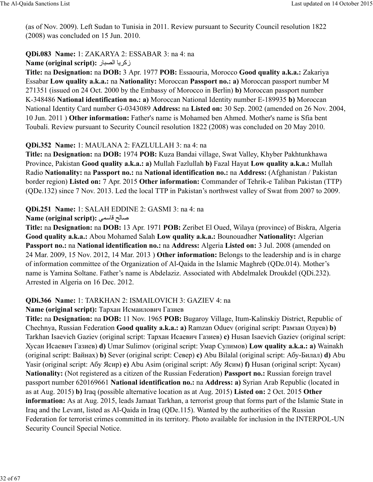(as of Nov. 2009). Left Sudan to Tunisia in 2011. Review pursuant to Security Council resolution 1822 (2008) was concluded on 15 Jun. 2010.

# **QDi.083 Name:** 1: ZAKARYA 2: ESSABAR 3: na 4: na

**Name (original script):** زكريا الصبار

**Title:** na **Designation:** na **DOB:** 3 Apr. 1977 **POB:** Essaouria, Morocco **Good quality a.k.a.:** Zakariya Essabar **Low quality a.k.a.:** na **Nationality:** Moroccan **Passport no.: a)** Moroccan passport number M 271351 (issued on 24 Oct. 2000 by the Embassy of Morocco in Berlin) **b)** Moroccan passport number K-348486 **National identification no.: a)** Moroccan National Identity number E-189935 **b)** Moroccan National Identity Card number G-0343089 **Address:** na **Listed on:** 30 Sep. 2002 (amended on 26 Nov. 2004, 10 Jun. 2011 ) **Other information:** Father's name is Mohamed ben Ahmed. Mother's name is Sfia bent Toubali. Review pursuant to Security Council resolution 1822 (2008) was concluded on 20 May 2010.

### **QDi.352 Name:** 1: MAULANA 2: FAZLULLAH 3: na 4: na

**Title:** na **Designation:** na **DOB:** 1974 **POB:** Kuza Bandai village, Swat Valley, Khyber Pakhtunkhawa Province, Pakistan **Good quality a.k.a.: a)** Mullah Fazlullah **b)** Fazal Hayat **Low quality a.k.a.:** Mullah Radio **Nationality:** na **Passport no.:** na **National identification no.:** na **Address:** (Afghanistan / Pakistan border region) **Listed on:** 7 Apr. 2015 **Other information:** Commander of Tehrik-e Taliban Pakistan (TTP) (QDe.132) since 7 Nov. 2013. Led the local TTP in Pakistan's northwest valley of Swat from 2007 to 2009.

### **QDi.251 Name:** 1: SALAH EDDINE 2: GASMI 3: na 4: na

### **Name (original script):** 6[e87 ¢:8£

**Title:** na **Designation:** na **DOB:** 13 Apr. 1971 **POB:** Zeribet El Oued, Wilaya (province) of Biskra, Algeria **Good quality a.k.a.:** Abou Mohamed Salah **Low quality a.k.a.:** Bounouadher **Nationality:** Algerian **Passport no.:** na **National identification no.:** na **Address:** Algeria **Listed on:** 3 Jul. 2008 (amended on 24 Mar. 2009, 15 Nov. 2012, 14 Mar. 2013 ) **Other information:** Belongs to the leadership and is in charge of information committee of the Organization of Al-Qaida in the Islamic Maghreb (QDe.014). Mother's name is Yamina Soltane. Father's name is Abdelaziz. Associated with Abdelmalek Droukdel (QDi.232). Arrested in Algeria on 16 Dec. 2012.

# **QDi.366 Name:** 1: TARKHAN 2: ISMAILOVICH 3: GAZIEV 4: na

### **Name (original script):** Тархан Исмаилович Газиев

**Title:** na **Designation:** na **DOB:** 11 Nov. 1965 **POB:** Bugaroy Village, Itum-Kalinskiy District, Republic of Chechnya, Russian Federation **Good quality a.k.a.: a)** Ramzan Oduev (original script: Рамзан Одуев) **b)** Tarkhan Isaevich Gaziev (original script: Тархан Исаевич Газиев) **c)** Husan Isaevich Gaziev (original script: Хусан Исаевич Газиев) **d)** Umar Sulimov (original script: Умар Сулимов) **Low quality a.k.a.: a)** Wainakh (original script: Вайнах) **b)** Sever (original script: Север) **c)** Abu Bilalal (original script: Абу-Билал) **d)** Abu Yasir (original script: Абу Ясир) **e)** Abu Asim (original script: Абу Ясим) **f)** Husan (original script: Хусан) **Nationality:** (Not registered as a citizen of the Russian Federation) **Passport no.:** Russian foreign travel passport number 620169661 **National identification no.:** na **Address: a)** Syrian Arab Republic (located in as at Aug. 2015) **b)** Iraq (possible alternative location as at Aug. 2015) **Listed on:** 2 Oct. 2015 **Other information:** As at Aug. 2015, leads Jamaat Tarkhan, a terrorist group that forms part of the Islamic State in Iraq and the Levant, listed as Al-Qaida in Iraq (QDe.115). Wanted by the authorities of the Russian Federation for terrorist crimes committed in its territory. Photo available for inclusion in the INTERPOL-UN Security Council Special Notice.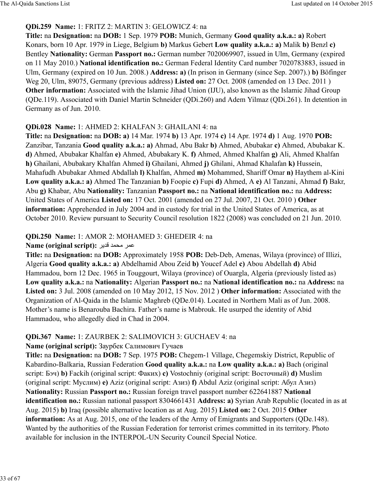#### **QDi.259 Name:** 1: FRITZ 2: MARTIN 3: GELOWICZ 4: na

**Title:** na **Designation:** na **DOB:** 1 Sep. 1979 **POB:** Munich, Germany **Good quality a.k.a.: a)** Robert Konars, born 10 Apr. 1979 in Liege, Belgium **b)** Markus Gebert **Low quality a.k.a.: a)** Malik **b)** Benzl **c)** Bentley **Nationality:** German **Passport no.:** German number 7020069907, issued in Ulm, Germany (expired on 11 May 2010.) **National identification no.:** German Federal Identity Card number 7020783883, issued in Ulm, Germany (expired on 10 Jun. 2008.) **Address: a)** (In prison in Germany (since Sep. 2007).) **b)** Böfinger Weg 20, Ulm, 89075, Germany (previous address) **Listed on:** 27 Oct. 2008 (amended on 13 Dec. 2011 ) **Other information:** Associated with the Islamic Jihad Union (IJU), also known as the Islamic Jihad Group (QDe.119). Associated with Daniel Martin Schneider (QDi.260) and Adem Yilmaz (QDi.261). In detention in Germany as of Jun. 2010.

### **QDi.028 Name:** 1: AHMED 2: KHALFAN 3: GHAILANI 4: na

**Title:** na **Designation:** na **DOB: a)** 14 Mar. 1974 **b)** 13 Apr. 1974 **c)** 14 Apr. 1974 **d)** 1 Aug. 1970 **POB:** Zanzibar, Tanzania **Good quality a.k.a.: a)** Ahmad, Abu Bakr **b)** Ahmed, Abubakar **c)** Ahmed, Abubakar K. **d)** Ahmed, Abubakar Khalfan **e)** Ahmed, Abubakary K. **f)** Ahmed, Ahmed Khalfan **g)** Ali, Ahmed Khalfan **h)** Ghailani, Abubakary Khalfan Ahmed **i)** Ghailani, Ahmed **j)** Ghilani, Ahmad Khalafan **k)** Hussein, Mahafudh Abubakar Ahmed Abdallah **l)** Khalfan, Ahmed **m)** Mohammed, Shariff Omar **n)** Haythem al-Kini **Low quality a.k.a.: a)** Ahmed The Tanzanian **b)** Foopie **c)** Fupi **d)** Ahmed, A **e)** Al Tanzani, Ahmad **f)** Bakr, Abu **g)** Khabar, Abu **Nationality:** Tanzanian **Passport no.:** na **National identification no.:** na **Address:** United States of America **Listed on:** 17 Oct. 2001 (amended on 27 Jul. 2007, 21 Oct. 2010 ) **Other information:** Apprehended in July 2004 and in custody for trial in the United States of America, as at October 2010. Review pursuant to Security Council resolution 1822 (2008) was concluded on 21 Jun. 2010.

#### **QDi.250 Name:** 1: AMOR 2: MOHAMED 3: GHEDEIR 4: na

#### **Name (original script):** عمر محمد قدير

**Title:** na **Designation:** na **DOB:** Approximately 1958 **POB:** Deb-Deb, Amenas, Wilaya (province) of Illizi, Algeria **Good quality a.k.a.: a)** Abdelhamid Abou Zeid **b)** Youcef Adel **c)** Abou Abdellah **d)** Abid Hammadou, born 12 Dec. 1965 in Touggourt, Wilaya (province) of Ouargla, Algeria (previously listed as) **Low quality a.k.a.:** na **Nationality:** Algerian **Passport no.:** na **National identification no.:** na **Address:** na **Listed on:** 3 Jul. 2008 (amended on 10 May 2012, 15 Nov. 2012 ) **Other information:** Associated with the Organization of Al-Qaida in the Islamic Maghreb (QDe.014). Located in Northern Mali as of Jun. 2008. Mother's name is Benarouba Bachira. Father's name is Mabrouk. He usurped the identity of Abid Hammadou, who allegedly died in Chad in 2004.

### **QDi.367 Name:** 1: ZAURBEK 2: SALIMOVICH 3: GUCHAEV 4: na

#### **Name (original script):** Заурбек Салимович Гучаев

**Title:** na **Designation:** na **DOB:** 7 Sep. 1975 **POB:** Chegem-1 Village, Chegemskiy District, Republic of Kabardino-Balkaria, Russian Federation **Good quality a.k.a.:** na **Low quality a.k.a.: a)** Bach (original script: Бэч) **b)** Fackih (original script: Факих) **c)** Vostochniy (original script: Восточный) **d)** Muslim (original script: Муслим) **e)** Aziz (original script: Азиз) **f)** Abdul Aziz (original script: Абул Азиз) **Nationality:** Russian **Passport no.:** Russian foreign travel passport number 622641887 **National identification no.:** Russian national passport 8304661431 **Address: a)** Syrian Arab Republic (located in as at Aug. 2015) **b)** Iraq (possible alternative location as at Aug. 2015) **Listed on:** 2 Oct. 2015 **Other information:** As at Aug. 2015, one of the leaders of the Army of Emigrants and Supporters (QDe.148). Wanted by the authorities of the Russian Federation for terrorist crimes committed in its territory. Photo available for inclusion in the INTERPOL-UN Security Council Special Notice.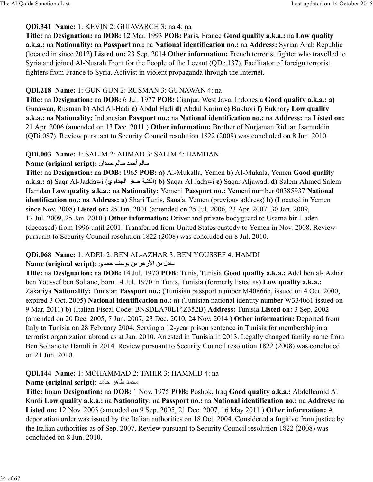### **QDi.341 Name:** 1: KEVIN 2: GUIAVARCH 3: na 4: na

**Title:** na **Designation:** na **DOB:** 12 Mar. 1993 **POB:** Paris, France **Good quality a.k.a.:** na **Low quality a.k.a.:** na **Nationality:** na **Passport no.:** na **National identification no.:** na **Address:** Syrian Arab Republic (located in since 2012) **Listed on:** 23 Sep. 2014 **Other information:** French terrorist fighter who travelled to Syria and joined Al-Nusrah Front for the People of the Levant (QDe.137). Facilitator of foreign terrorist fighters from France to Syria. Activist in violent propaganda through the Internet.

### **QDi.218 Name:** 1: GUN GUN 2: RUSMAN 3: GUNAWAN 4: na

**Title:** na **Designation:** na **DOB:** 6 Jul. 1977 **POB:** Cianjur, West Java, Indonesia **Good quality a.k.a.: a)** Gunawan, Rusman **b)** Abd Al-Hadi **c)** Abdul Hadi **d)** Abdul Karim **e)** Bukhori **f)** Bukhory **Low quality a.k.a.:** na **Nationality:** Indonesian **Passport no.:** na **National identification no.:** na **Address:** na **Listed on:** 21 Apr. 2006 (amended on 13 Dec. 2011 ) **Other information:** Brother of Nurjaman Riduan Isamuddin (QDi.087). Review pursuant to Security Council resolution 1822 (2008) was concluded on 8 Jun. 2010.

### **QDi.003 Name:** 1: SALIM 2: AHMAD 3: SALIM 4: HAMDAN

Name (original script): سالم أحمد سالم حمدا*ن* 

**Title:** na **Designation:** na **DOB:** 1965 **POB: a)** Al-Mukalla, Yemen **b)** AI-Mukala, Yemen **Good quality a.k.a.: a)** Saqr Al-Jaddawi (اوي>ò:ا@ q£ ócyõ:ا(**b)** Saqar Al Jadawi **c)** Saqar Aljawadi **d)** Salem Ahmed Salem Hamdan **Low quality a.k.a.:** na **Nationality:** Yemeni **Passport no.:** Yemeni number 00385937 **National identification no.:** na **Address: a)** Shari Tunis, Sana'a, Yemen (previous address) **b)** (Located in Yemen since Nov. 2008) **Listed on:** 25 Jan. 2001 (amended on 25 Jul. 2006, 23 Apr. 2007, 30 Jan. 2009, 17 Jul. 2009, 25 Jan. 2010 ) **Other information:** Driver and private bodyguard to Usama bin Laden (deceased) from 1996 until 2001. Transferred from United States custody to Yemen in Nov. 2008. Review pursuant to Security Council resolution 1822 (2008) was concluded on 8 Jul. 2010.

# **QDi.068 Name:** 1: ADEL 2: BEN AL-AZHAR 3: BEN YOUSSEF 4: HAMDI

### =8دل بh اÂزھ@ بh يeB •ح]>ي **:(script original (Name**

**Title:** na **Designation:** na **DOB:** 14 Jul. 1970 **POB:** Tunis, Tunisia **Good quality a.k.a.:** Adel ben al- Azhar ben Youssef ben Soltane, born 14 Jul. 1970 in Tunis, Tunisia (formerly listed as) **Low quality a.k.a.:** Zakariya **Nationality:** Tunisian **Passport no.:** (Tunisian passport number M408665, issued on 4 Oct. 2000, expired 3 Oct. 2005) **National identification no.: a)** (Tunisian national identity number W334061 issued on 9 Mar. 2011) **b)** (Italian Fiscal Code: BNSDLA70L14Z352B) **Address:** Tunisia **Listed on:** 3 Sep. 2002 (amended on 20 Dec. 2005, 7 Jun. 2007, 23 Dec. 2010, 24 Nov. 2014 ) **Other information:** Deported from Italy to Tunisia on 28 February 2004. Serving a 12-year prison sentence in Tunisia for membership in a terrorist organization abroad as at Jan. 2010. Arrested in Tunisia in 2013. Legally changed family name from Ben Soltane to Hamdi in 2014. Review pursuant to Security Council resolution 1822 (2008) was concluded on 21 Jun. 2010.

# **QDi.144 Name:** 1: MOHAMMAD 2: TAHIR 3: HAMMID 4: na

### **Name (original script):** محمد طاهر حامد

**Title:** Imam **Designation:** na **DOB:** 1 Nov. 1975 **POB:** Poshok, Iraq **Good quality a.k.a.:** Abdelhamid Al Kurdi **Low quality a.k.a.:** na **Nationality:** na **Passport no.:** na **National identification no.:** na **Address:** na **Listed on:** 12 Nov. 2003 (amended on 9 Sep. 2005, 21 Dec. 2007, 16 May 2011 ) **Other information:** A deportation order was issued by the Italian authorities on 18 Oct. 2004. Considered a fugitive from justice by the Italian authorities as of Sep. 2007. Review pursuant to Security Council resolution 1822 (2008) was concluded on 8 Jun. 2010.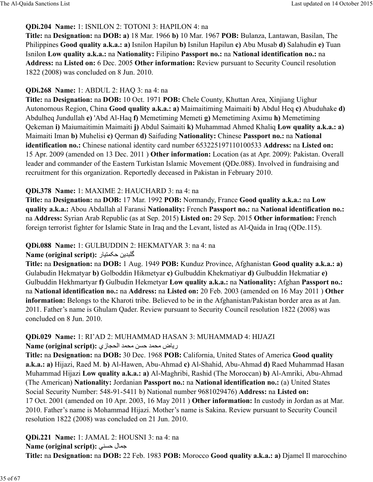### **QDi.204 Name:** 1: ISNILON 2: TOTONI 3: HAPILON 4: na

**Title:** na **Designation:** na **DOB: a)** 18 Mar. 1966 **b)** 10 Mar. 1967 **POB:** Bulanza, Lantawan, Basilan, The Philippines **Good quality a.k.a.: a)** Isnilon Hapilun **b)** Isnilun Hapilun **c)** Abu Musab **d)** Salahudin **e)** Tuan Isnilon **Low quality a.k.a.:** na **Nationality:** Filipino **Passport no.:** na **National identification no.:** na **Address:** na **Listed on:** 6 Dec. 2005 **Other information:** Review pursuant to Security Council resolution 1822 (2008) was concluded on 8 Jun. 2010.

### **QDi.268 Name:** 1: ABDUL 2: HAQ 3: na 4: na

**Title:** na **Designation:** na **DOB:** 10 Oct. 1971 **POB:** Chele County, Khuttan Area, Xinjiang Uighur Autonomous Region, China **Good quality a.k.a.: a)** Maimaitiming Maimaiti **b)** Abdul Heq **c)** Abuduhake **d)** Abdulheq Jundullah **e)** 'Abd Al-Haq **f)** Memetiming Memeti **g)** Memetiming Aximu **h)** Memetiming Qekeman **i)** Maiumaitimin Maimaiti **j)** Abdul Saimaiti **k)** Muhammad Ahmed Khaliq **Low quality a.k.a.: a)** Maimaiti Iman **b)** Muhelisi **c)** Qerman **d)** Saifuding **Nationality:** Chinese **Passport no.:** na **National identification no.:** Chinese national identity card number 653225197110100533 **Address:** na **Listed on:** 15 Apr. 2009 (amended on 13 Dec. 2011 ) **Other information:** Location (as at Apr. 2009): Pakistan. Overall leader and commander of the Eastern Turkistan Islamic Movement (QDe.088). Involved in fundraising and recruitment for this organization. Reportedly deceased in Pakistan in February 2010.

### **QDi.378 Name:** 1: MAXIME 2: HAUCHARD 3: na 4: na

**Title:** na **Designation:** na **DOB:** 17 Mar. 1992 **POB:** Normandy, France **Good quality a.k.a.:** na **Low quality a.k.a.:** Abou Abdallah al Faransi **Nationality:** French **Passport no.:** na **National identification no.:** na **Address:** Syrian Arab Republic (as at Sep. 2015) **Listed on:** 29 Sep. 2015 **Other information:** French foreign terrorist fighter for Islamic State in Iraq and the Levant, listed as Al-Qaida in Iraq (QDe.115).

### **QDi.088 Name:** 1: GULBUDDIN 2: HEKMATYAR 3: na 4: na

#### **Name (original script): كَلبدين حكمتيار**

**Title:** na **Designation:** na **DOB:** 1 Aug. 1949 **POB:** Kunduz Province, Afghanistan **Good quality a.k.a.: a)** Gulabudin Hekmatyar **b)** Golboddin Hikmetyar **c)** Gulbuddin Khekmatiyar **d)** Gulbuddin Hekmatiar **e)** Gulbuddin Hekhmartyar **f)** Gulbudin Hekmetyar **Low quality a.k.a.:** na **Nationality:** Afghan **Passport no.:** na **National identification no.:** na **Address:** na **Listed on:** 20 Feb. 2003 (amended on 16 May 2011 ) **Other information:** Belongs to the Kharoti tribe. Believed to be in the Afghanistan/Pakistan border area as at Jan. 2011. Father's name is Ghulam Qader. Review pursuant to Security Council resolution 1822 (2008) was concluded on 8 Jun. 2010.

### **QDi.029 Name:** 1: RI'AD 2: MUHAMMAD HASAN 3: MUHAMMAD 4: HIJAZI رياض محمد حسن محمد الحجازي: **Name (original script):**

**Title:** na **Designation:** na **DOB:** 30 Dec. 1968 **POB:** California, United States of America **Good quality a.k.a.: a)** Hijazi, Raed M. **b)** Al-Hawen, Abu-Ahmad **c)** Al-Shahid, Abu-Ahmad **d)** Raed Muhammad Hasan Muhammad Hijazi **Low quality a.k.a.: a)** Al-Maghribi, Rashid (The Moroccan) **b)** Al-Amriki, Abu-Ahmad (The American) **Nationality:** Jordanian **Passport no.:** na **National identification no.:** (a) United States Social Security Number: 548-91-5411 b) National number 9681029476) **Address:** na **Listed on:** 17 Oct. 2001 (amended on 10 Apr. 2003, 16 May 2011 ) **Other information:** In custody in Jordan as at Mar. 2010. Father's name is Mohammad Hijazi. Mother's name is Sakina. Review pursuant to Security Council resolution 1822 (2008) was concluded on 21 Jun. 2010.

**QDi.221 Name:** 1: JAMAL 2: HOUSNI 3: na 4: na **Name (original script):** جمال حسنی

**Title:** na **Designation:** na **DOB:** 22 Feb. 1983 **POB:** Morocco **Good quality a.k.a.: a)** Djamel Il marocchino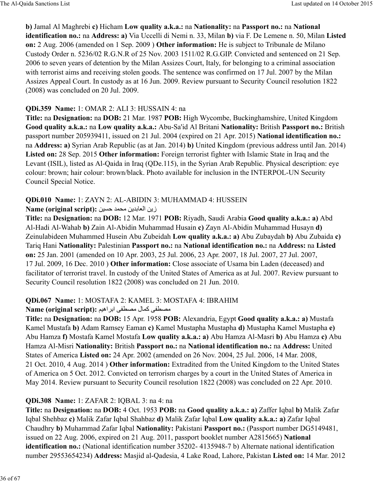**b)** Jamal Al Maghrebi **c)** Hicham **Low quality a.k.a.:** na **Nationality:** na **Passport no.:** na **National identification no.:** na **Address: a)** Via Uccelli di Nemi n. 33, Milan **b)** via F. De Lemene n. 50, Milan **Listed on:** 2 Aug. 2006 (amended on 1 Sep. 2009 ) **Other information:** He is subject to Tribunale de Milano Custody Order n. 5236/02 R.G.N.R of 25 Nov. 2003 1511/02 R.G.GIP. Convicted and sentenced on 21 Sep. 2006 to seven years of detention by the Milan Assizes Court, Italy, for belonging to a criminal association with terrorist aims and receiving stolen goods. The sentence was confirmed on 17 Jul. 2007 by the Milan Assizes Appeal Court. In custody as at 16 Jun. 2009. Review pursuant to Security Council resolution 1822 (2008) was concluded on 20 Jul. 2009.

### **QDi.359 Name:** 1: OMAR 2: ALI 3: HUSSAIN 4: na

**Title:** na **Designation:** na **DOB:** 21 Mar. 1987 **POB:** High Wycombe, Buckinghamshire, United Kingdom **Good quality a.k.a.:** na **Low quality a.k.a.:** Abu-Sa'id Al Britani **Nationality:** British **Passport no.:** British passport number 205939411, issued on 21 Jul. 2004 (expired on 21 Apr. 2015) **National identification no.:** na **Address: a)** Syrian Arab Republic (as at Jan. 2014) **b)** United Kingdom (previous address until Jan. 2014) **Listed on:** 28 Sep. 2015 **Other information:** Foreign terrorist fighter with Islamic State in Iraq and the Levant (ISIL), listed as Al-Qaida in Iraq (QDe.115), in the Syrian Arab Republic. Physical description: eye colour: brown; hair colour: brown/black. Photo available for inclusion in the INTERPOL-UN Security Council Special Notice.

### **QDi.010 Name:** 1: ZAYN 2: AL-ABIDIN 3: MUHAMMAD 4: HUSSEIN

**Name (original script):** hcaح]> O\ hي>ب8d:ا hزي

**Title:** na **Designation:** na **DOB:** 12 Mar. 1971 **POB:** Riyadh, Saudi Arabia **Good quality a.k.a.: a)** Abd Al-Hadi Al-Wahab **b)** Zain Al-Abidin Muhammad Husain **c)** Zayn Al-Abidin Muhammad Husayn **d)** Zeinulabideen Muhammed Husein Abu Zubeidah **Low quality a.k.a.: a)** Abu Zubaydah **b)** Abu Zubaida **c)** Tariq Hani **Nationality:** Palestinian **Passport no.:** na **National identification no.:** na **Address:** na **Listed on:** 25 Jan. 2001 (amended on 10 Apr. 2003, 25 Jul. 2006, 23 Apr. 2007, 18 Jul. 2007, 27 Jul. 2007, 17 Jul. 2009, 16 Dec. 2010 ) **Other information:** Close associate of Usama bin Laden (deceased) and facilitator of terrorist travel. In custody of the United States of America as at Jul. 2007. Review pursuant to Security Council resolution 1822 (2008) was concluded on 21 Jun. 2010.

### **QDi.067 Name:** 1: MOSTAFA 2: KAMEL 3: MOSTAFA 4: IBRAHIM

#### Name (original script): مصطفى كمال مصطفى ابر اهيم

**Title:** na **Designation:** na **DOB:** 15 Apr. 1958 **POB:** Alexandria, Egypt **Good quality a.k.a.: a)** Mustafa Kamel Mustafa **b)** Adam Ramsey Eaman **c)** Kamel Mustapha Mustapha **d)** Mustapha Kamel Mustapha **e)** Abu Hamza **f)** Mostafa Kamel Mostafa **Low quality a.k.a.: a)** Abu Hamza Al-Masri **b)** Abu Hamza **c)** Abu Hamza Al-Misri **Nationality:** British **Passport no.:** na **National identification no.:** na **Address:** United States of America **Listed on:** 24 Apr. 2002 (amended on 26 Nov. 2004, 25 Jul. 2006, 14 Mar. 2008, 21 Oct. 2010, 4 Aug. 2014 ) **Other information:** Extradited from the United Kingdom to the United States of America on 5 Oct. 2012. Convicted on terrorism charges by a court in the United States of America in May 2014. Review pursuant to Security Council resolution 1822 (2008) was concluded on 22 Apr. 2010.

### **QDi.308 Name:** 1: ZAFAR 2: IQBAL 3: na 4: na

**Title:** na **Designation:** na **DOB:** 4 Oct. 1953 **POB:** na **Good quality a.k.a.: a)** Zaffer Iqbal **b)** Malik Zafar Iqbal Shehbaz **c)** Malik Zafar Iqbal Shahbaz **d)** Malik Zafar Iqbal **Low quality a.k.a.: a)** Zafar Iqbal Chaudhry **b)** Muhammad Zafar Iqbal **Nationality:** Pakistani **Passport no.:** (Passport number DG5149481, issued on 22 Aug. 2006, expired on 21 Aug. 2011, passport booklet number A2815665) **National identification no.:** (National identification number 35202- 4135948-7 b) Alternate national identification number 29553654234) **Address:** Masjid al-Qadesia, 4 Lake Road, Lahore, Pakistan **Listed on:** 14 Mar. 2012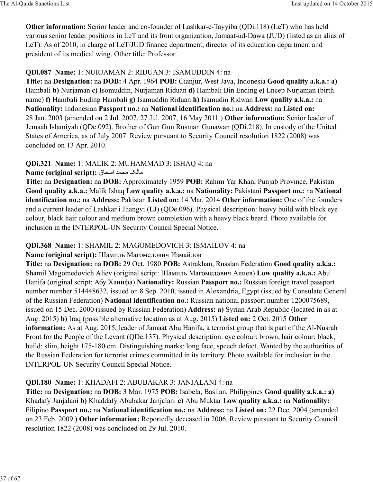**Other information:** Senior leader and co-founder of Lashkar-e-Tayyiba (QDi.118) (LeT) who has held various senior leader positions in LeT and its front organization, Jamaat-ud-Dawa (JUD) (listed as an alias of LeT). As of 2010, in charge of LeT/JUD finance department, director of its education department and president of its medical wing. Other title: Professor.

### **QDi.087 Name:** 1: NURJAMAN 2: RIDUAN 3: ISAMUDDIN 4: na

**Title:** na **Designation:** na **DOB:** 4 Apr. 1964 **POB:** Cianjur, West Java, Indonesia **Good quality a.k.a.: a)** Hambali **b)** Nurjaman **c)** Isomuddin, Nurjaman Riduan **d)** Hambali Bin Ending **e)** Encep Nurjaman (birth name) **f)** Hambali Ending Hambali **g)** Isamuddin Riduan **h)** Isamudin Ridwan **Low quality a.k.a.:** na **Nationality:** Indonesian **Passport no.:** na **National identification no.:** na **Address:** na **Listed on:** 28 Jan. 2003 (amended on 2 Jul. 2007, 27 Jul. 2007, 16 May 2011 ) **Other information:** Senior leader of Jemaah Islamiyah (QDe.092). Brother of Gun Gun Rusman Gunawan (QDi.218). In custody of the United States of America, as of July 2007. Review pursuant to Security Council resolution 1822 (2008) was concluded on 13 Apr. 2010.

# **QDi.321 Name:** 1: MALIK 2: MUHAMMAD 3: ISHAQ 4: na

**Name (original script):** مالک محمد اسحاق

**Title:** na **Designation:** na **DOB:** Approximately 1959 **POB:** Rahim Yar Khan, Punjab Province, Pakistan **Good quality a.k.a.:** Malik Ishaq **Low quality a.k.a.:** na **Nationality:** Pakistani **Passport no.:** na **National identification no.:** na **Address:** Pakistan **Listed on:** 14 Mar. 2014 **Other information:** One of the founders and a current leader of Lashkar i Jhangvi (LJ) (QDe.096). Physical description: heavy build with black eye colour, black hair colour and medium brown complexion with a heavy black beard. Photo available for inclusion in the INTERPOL-UN Security Council Special Notice.

# **QDi.368 Name:** 1: SHAMIL 2: MAGOMEDOVICH 3: ISMAILOV 4: na

# **Name (original script):** Шамиль Магомедович Измайлов

**Title:** na **Designation:** na **DOB:** 29 Oct. 1980 **POB:** Astrakhan, Russian Federation **Good quality a.k.a.:** Shamil Magomedovich Aliev (original script: Шамиль Магомедович Алиев) **Low quality a.k.a.:** Abu Hanifa (original script: Абу Ханифа) **Nationality:** Russian **Passport no.:** Russian foreign travel passport number number 514448632, issued on 8 Sep. 2010, issued in Alexandria, Egypt (issued by Consulate General of the Russian Federation) **National identification no.:** Russian national passport number 1200075689, issued on 15 Dec. 2000 (issued by Russian Federation) **Address: a)** Syrian Arab Republic (located in as at Aug. 2015) **b)** Iraq (possible alternative location as at Aug. 2015) **Listed on:** 2 Oct. 2015 **Other information:** As at Aug. 2015, leader of Jamaat Abu Hanifa, a terrorist group that is part of the Al-Nusrah Front for the People of the Levant (QDe.137). Physical description: eye colour: brown, hair colour: black, build: slim, height 175-180 cm. Distinguishing marks: long face, speech defect. Wanted by the authorities of the Russian Federation for terrorist crimes committed in its territory. Photo available for inclusion in the INTERPOL-UN Security Council Special Notice.

# **QDi.180 Name:** 1: KHADAFI 2: ABUBAKAR 3: JANJALANI 4: na

**Title:** na **Designation:** na **DOB:** 3 Mar. 1975 **POB:** Isabela, Basilan, Philippines **Good quality a.k.a.: a)** Khadafy Janjalani **b)** Khaddafy Abubakar Janjalani **c)** Abu Muktar **Low quality a.k.a.:** na **Nationality:** Filipino **Passport no.:** na **National identification no.:** na **Address:** na **Listed on:** 22 Dec. 2004 (amended on 23 Feb. 2009 ) **Other information:** Reportedly deceased in 2006. Review pursuant to Security Council resolution 1822 (2008) was concluded on 29 Jul. 2010.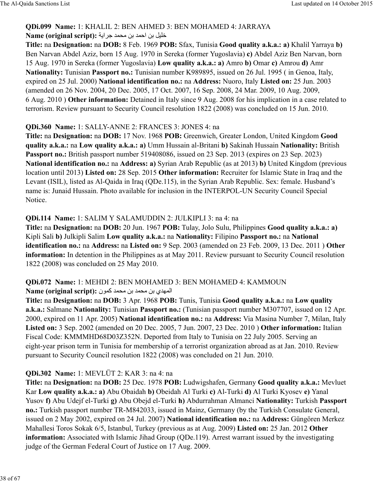#### **QDi.099 Name:** 1: KHALIL 2: BEN AHMED 3: BEN MOHAMED 4: JARRAYA **Name (original script):** خليل بن احمد بن محمد جر ابة

**Title:** na **Designation:** na **DOB:** 8 Feb. 1969 **POB:** Sfax, Tunisia **Good quality a.k.a.: a)** Khalil Yarraya **b)** Ben Narvan Abdel Aziz, born 15 Aug. 1970 in Sereka (former Yugoslavia) **c)** Abdel Aziz Ben Narvan, born 15 Aug. 1970 in Sereka (former Yugoslavia) **Low quality a.k.a.: a)** Amro **b)** Omar **c)** Amrou **d)** Amr **Nationality:** Tunisian **Passport no.:** Tunisian number K989895, issued on 26 Jul. 1995 ( in Genoa, Italy, expired on 25 Jul. 2000) **National identification no.:** na **Address:** Nuoro, Italy **Listed on:** 25 Jun. 2003 (amended on 26 Nov. 2004, 20 Dec. 2005, 17 Oct. 2007, 16 Sep. 2008, 24 Mar. 2009, 10 Aug. 2009, 6 Aug. 2010 ) **Other information:** Detained in Italy since 9 Aug. 2008 for his implication in a case related to terrorism. Review pursuant to Security Council resolution 1822 (2008) was concluded on 15 Jun. 2010.

#### **QDi.360 Name:** 1: SALLY-ANNE 2: FRANCES 3: JONES 4: na

**Title:** na **Designation:** na **DOB:** 17 Nov. 1968 **POB:** Greenwich, Greater London, United Kingdom **Good quality a.k.a.:** na **Low quality a.k.a.: a)** Umm Hussain al-Britani **b)** Sakinah Hussain **Nationality:** British Passport no.: British passport number 519408086, issued on 23 Sep. 2013 (expires on 23 Sep. 2023) **National identification no.:** na **Address: a)** Syrian Arab Republic (as at 2013) **b)** United Kingdom (previous location until 2013) **Listed on:** 28 Sep. 2015 **Other information:** Recruiter for Islamic State in Iraq and the Levant (ISIL), listed as Al-Qaida in Iraq (QDe.115), in the Syrian Arab Republic. Sex: female. Husband's name is: Junaid Hussain. Photo available for inclusion in the INTERPOL-UN Security Council Special Notice.

### **QDi.114 Name:** 1: SALIM Y SALAMUDDIN 2: JULKIPLI 3: na 4: na

**Title:** na **Designation:** na **DOB:** 20 Jun. 1967 **POB:** Tulay, Jolo Sulu, Philippines **Good quality a.k.a.: a)** Kipli Sali **b)** Julkipli Salim **Low quality a.k.a.:** na **Nationality:** Filipino **Passport no.:** na **National identification no.:** na **Address:** na **Listed on:** 9 Sep. 2003 (amended on 23 Feb. 2009, 13 Dec. 2011 ) **Other information:** In detention in the Philippines as at May 2011. Review pursuant to Security Council resolution 1822 (2008) was concluded on 25 May 2010.

# **QDi.072 Name:** 1: MEHDI 2: BEN MOHAMED 3: BEN MOHAMED 4: KAMMOUN

#### Name (original script): المهدي بن محمد بن محمد كمون

**Title:** na **Designation:** na **DOB:** 3 Apr. 1968 **POB:** Tunis, Tunisia **Good quality a.k.a.:** na **Low quality a.k.a.:** Salmane **Nationality:** Tunisian **Passport no.:** (Tunisian passport number M307707, issued on 12 Apr. 2000, expired on 11 Apr. 2005) **National identification no.:** na **Address:** Via Masina Number 7, Milan, Italy **Listed on:** 3 Sep. 2002 (amended on 20 Dec. 2005, 7 Jun. 2007, 23 Dec. 2010 ) **Other information:** Italian Fiscal Code: KMMMHD68D03Z352N. Deported from Italy to Tunisia on 22 July 2005. Serving an eight-year prison term in Tunisia for membership of a terrorist organization abroad as at Jan. 2010. Review pursuant to Security Council resolution 1822 (2008) was concluded on 21 Jun. 2010.

### **QDi.302 Name:** 1: MEVLÜT 2: KAR 3: na 4: na

**Title:** na **Designation:** na **DOB:** 25 Dec. 1978 **POB:** Ludwigshafen, Germany **Good quality a.k.a.:** Mevluet Kar **Low quality a.k.a.: a)** Abu Obaidah **b)** Obeidah Al Turki **c)** Al-Turki **d)** Al Turki Kyosev **e)** Yanal Yusov **f)** Abu Udejf el-Turki **g)** Abu Obejd el-Turki **h)** Abdurrahman Almanci **Nationality:** Turkish **Passport no.:** Turkish passport number TR-M842033, issued in Mainz, Germany (by the Turkish Consulate General, issued on 2 May 2002, expired on 24 Jul. 2007) **National identification no.:** na **Address:** Güngören Merkez Mahallesi Toros Sokak 6/5, Istanbul, Turkey (previous as at Aug. 2009) **Listed on:** 25 Jan. 2012 **Other information:** Associated with Islamic Jihad Group (ODe.119). Arrest warrant issued by the investigating judge of the German Federal Court of Justice on 17 Aug. 2009.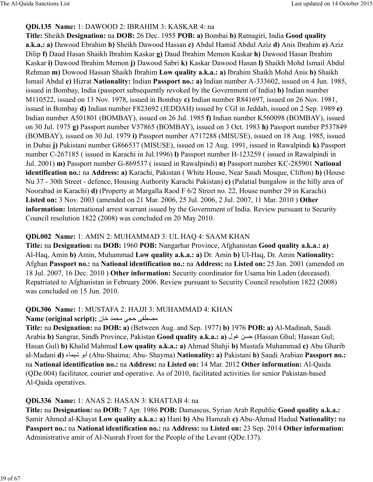### **QDi.135 Name:** 1: DAWOOD 2: IBRAHIM 3: KASKAR 4: na

**Title:** Sheikh **Designation:** na **DOB:** 26 Dec. 1955 **POB: a)** Bombai **b)** Ratnagiri, India **Good quality a.k.a.: a)** Dawood Ebrahim **b)** Sheikh Dawood Hassan **c)** Abdul Hamid Abdul Aziz **d)** Anis Ibrahim **e)** Aziz Dilip **f)** Daud Hasan Shaikh Ibrahim Kaskar **g)** Daud Ibrahim Memon Kaskar **h)** Dawood Hasan Ibrahim Kaskar **i)** Dawood Ibrahim Memon **j)** Dawood Sabri **k)** Kaskar Dawood Hasan **l)** Shaikh Mohd Ismail Abdul Rehman **m)** Dowood Hassan Shaikh Ibrahim **Low quality a.k.a.: a)** Ibrahim Shaikh Mohd Anis **b)** Shaikh Ismail Abdul **c)** Hizrat **Nationality:** Indian **Passport no.: a)** Indian number A-333602, issued on 4 Jun. 1985, issued in Bombay, India (passport subsequently revoked by the Government of India) **b)** Indian number M110522, issued on 13 Nov. 1978, issued in Bombay **c)** Indian number R841697, issued on 26 Nov. 1981, issued in Bombay **d)** Indian number F823692 (JEDDAH) issued by CGI in Jeddah, issued on 2 Sep. 1989 **e)** Indian number A501801 (BOMBAY), issued on 26 Jul. 1985 **f)** Indian number K560098 (BOMBAY), issued on 30 Jul. 1975 **g)** Passport number V57865 (BOMBAY), issued on 3 Oct. 1983 **h)** Passport number P537849 (BOMBAY), issued on 30 Jul. 1979 **i)** Passport number A717288 (MISUSE), issued on 18 Aug. 1985, issued in Dubai **j)** Pakistani number G866537 (MISUSE), issued on 12 Aug. 1991, issued in Rawalpindi **k)** Passport number C-267185 ( issued in Karachi in Jul.1996) **l)** Passport number H-123259 ( issued in Rawalpindi in Jul. 2001) **m)** Passport number G-869537 ( issued in Rawalpindi) **n)** Passport number KC-285901 **National identification no.:** na **Address: a)** Karachi, Pakistan ( White House, Near Saudi Mosque, Clifton) **b)** (House Nu 37 - 30th Street - defence, Housing Authority Karachi Pakistan) **c)** (Palatial bungalow in the hilly area of Noorabad in Karachi) **d)** (Property at Margalla Raod F 6/2 Street no. 22, House number 29 in Karachi) **Listed on:** 3 Nov. 2003 (amended on 21 Mar. 2006, 25 Jul. 2006, 2 Jul. 2007, 11 Mar. 2010 ) **Other information:** International arrest warrant issued by the Government of India. Review pursuant to Security Council resolution 1822 (2008) was concluded on 20 May 2010.

### **QDi.002 Name:** 1: AMIN 2: MUHAMMAD 3: UL HAQ 4: SAAM KHAN

**Title:** na **Designation:** na **DOB:** 1960 **POB:** Nangarhar Province, Afghanistan **Good quality a.k.a.: a)** Al-Haq, Amin **b)** Amin, Muhammad **Low quality a.k.a.: a)** Dr. Amin **b)** Ul-Haq, Dr. Amin **Nationality:** Afghan **Passport no.:** na **National identification no.:** na **Address:** na **Listed on:** 25 Jan. 2001 (amended on 18 Jul. 2007, 16 Dec. 2010 ) **Other information:** Security coordinator for Usama bin Laden (deceased). Repatriated to Afghanistan in February 2006. Review pursuant to Security Council resolution 1822 (2008) was concluded on 15 Jun. 2010.

#### **QDi.306 Name:** 1: MUSTAFA 2: HAJJI 3: MUHAMMAD 4: KHAN

### Name (original script): مصطفى حجى محمد خان

**Title:** na **Designation:** na **DOB: a)** (Between Aug. and Sep. 1977) **b)** 1976 **POB: a)** Al-Madinah, Saudi Arabia **b)** Sangrar, Sindh Province, Pakistan **Good quality a.k.a.: a)** كسن غول (Hassan Ghul; Hassan Gul; Hasan Gul) **b)** Khalid Mahmud **Low quality a.k.a.: a)** Ahmad Shahji **b)** Mustafa Muhammad **c)** Abu Gharib al-Madani **d)** ء8]cش Bأب) Abu-Shaima; Abu- Shayma) **Nationality: a)** Pakistani **b)** Saudi Arabian **Passport no.:** na **National identification no.:** na **Address:** na **Listed on:** 14 Mar. 2012 **Other information:** Al-Qaida (QDe.004) facilitator, courier and operative. As of 2010, facilitated activities for senior Pakistan-based Al-Qaida operatives.

### **QDi.336 Name:** 1: ANAS 2: HASAN 3: KHATTAB 4: na

**Title:** na **Designation:** na **DOB:** 7 Apr. 1986 **POB:** Damascus, Syrian Arab Republic **Good quality a.k.a.:** Samir Ahmed al-Khayat **Low quality a.k.a.: a)** Hani **b)** Abu Hamzah **c)** Abu-Ahmad Hadud **Nationality:** na **Passport no.:** na **National identification no.:** na **Address:** na **Listed on:** 23 Sep. 2014 **Other information:** Administrative amir of Al-Nusrah Front for the People of the Levant (QDe.137).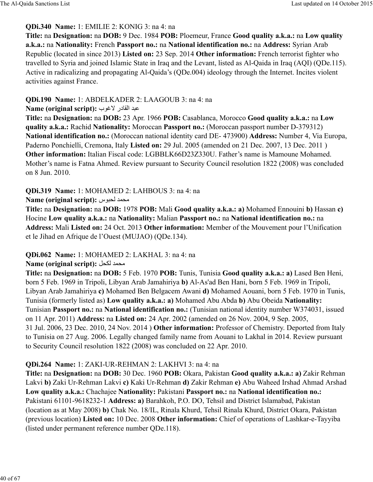### **QDi.340 Name:** 1: EMILIE 2: KONIG 3: na 4: na

**Title:** na **Designation:** na **DOB:** 9 Dec. 1984 **POB:** Ploemeur, France **Good quality a.k.a.:** na **Low quality a.k.a.:** na **Nationality:** French **Passport no.:** na **National identification no.:** na **Address:** Syrian Arab Republic (located in since 2013) **Listed on:** 23 Sep. 2014 **Other information:** French terrorist fighter who travelled to Syria and joined Islamic State in Iraq and the Levant, listed as Al-Qaida in Iraq (AQI) (QDe.115). Active in radicalizing and propagating Al-Qaida's (QDe.004) ideology through the Internet. Incites violent activities against France.

### **QDi.190 Name:** 1: ABDELKADER 2: LAAGOUB 3: na 4: na

**Name (original script):** عبد القادر لاغوب

**Title:** na **Designation:** na **DOB:** 23 Apr. 1966 **POB:** Casablanca, Morocco **Good quality a.k.a.:** na **Low quality a.k.a.:** Rachid **Nationality:** Moroccan **Passport no.:** (Moroccan passport number D-379312) **National identification no.:** (Moroccan national identity card DE- 473900) **Address:** Number 4, Via Europa, Paderno Ponchielli, Cremona, Italy **Listed on:** 29 Jul. 2005 (amended on 21 Dec. 2007, 13 Dec. 2011 ) **Other information:** Italian Fiscal code: LGBBLK66D23Z330U. Father's name is Mamoune Mohamed. Mother's name is Fatna Ahmed. Review pursuant to Security Council resolution 1822 (2008) was concluded on 8 Jun. 2010.

### **QDi.319 Name:** 1: MOHAMED 2: LAHBOUS 3: na 4: na

**Name (original script):** محمد لحبوس

**Title:** na **Designation:** na **DOB:** 1978 **POB:** Mali **Good quality a.k.a.: a)** Mohamed Ennouini **b)** Hassan **c)** Hocine **Low quality a.k.a.:** na **Nationality:** Malian **Passport no.:** na **National identification no.:** na **Address:** Mali **Listed on:** 24 Oct. 2013 **Other information:** Member of the Mouvement pour l'Unification et le Jihad en Afrique de l'Ouest (MUJAO) (QDe.134).

### **QDi.062 Name:** 1: MOHAMED 2: LAKHAL 3: na 4: na

Name (original script): محمد لكحل

**Title:** na **Designation:** na **DOB:** 5 Feb. 1970 **POB:** Tunis, Tunisia **Good quality a.k.a.: a)** Lased Ben Heni, born 5 Feb. 1969 in Tripoli, Libyan Arab Jamahiriya **b)** Al-As'ad Ben Hani, born 5 Feb. 1969 in Tripoli, Libyan Arab Jamahiriya **c)** Mohamed Ben Belgacem Awani **d)** Mohamed Aouani, born 5 Feb. 1970 in Tunis, Tunisia (formerly listed as) **Low quality a.k.a.: a)** Mohamed Abu Abda **b)** Abu Obeida **Nationality:** Tunisian **Passport no.:** na **National identification no.:** (Tunisian national identity number W374031, issued on 11 Apr. 2011) **Address:** na **Listed on:** 24 Apr. 2002 (amended on 26 Nov. 2004, 9 Sep. 2005, 31 Jul. 2006, 23 Dec. 2010, 24 Nov. 2014 ) **Other information:** Professor of Chemistry. Deported from Italy to Tunisia on 27 Aug. 2006. Legally changed family name from Aouani to Lakhal in 2014. Review pursuant to Security Council resolution 1822 (2008) was concluded on 22 Apr. 2010.

# **QDi.264 Name:** 1: ZAKI-UR-REHMAN 2: LAKHVI 3: na 4: na

**Title:** na **Designation:** na **DOB:** 30 Dec. 1960 **POB:** Okara, Pakistan **Good quality a.k.a.: a)** Zakir Rehman Lakvi **b)** Zaki Ur-Rehman Lakvi **c)** Kaki Ur-Rehman **d)** Zakir Rehman **e)** Abu Waheed Irshad Ahmad Arshad **Low quality a.k.a.:** Chachajee **Nationality:** Pakistani **Passport no.:** na **National identification no.:** Pakistani 61101-9618232-1 **Address: a)** Barahkoh, P.O. DO, Tehsil and District Islamabad, Pakistan (location as at May 2008) **b)** Chak No. 18/IL, Rinala Khurd, Tehsil Rinala Khurd, District Okara, Pakistan (previous location) **Listed on:** 10 Dec. 2008 **Other information:** Chief of operations of Lashkar-e-Tayyiba (listed under permanent reference number QDe.118).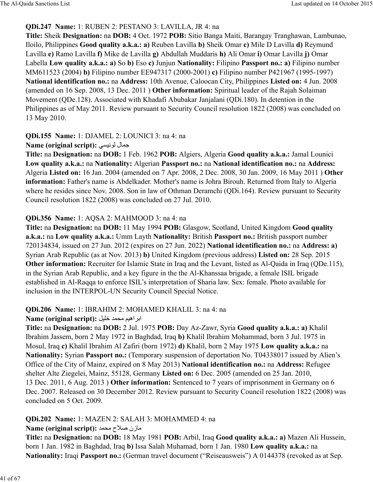### **QDi.247 Name:** 1: RUBEN 2: PESTANO 3: LAVILLA, JR 4: na

**Title:** Sheik **Designation:** na **DOB:** 4 Oct. 1972 **POB:** Sitio Banga Maiti, Barangay Tranghawan, Lambunao, Iloilo, Philippines **Good quality a.k.a.: a)** Reuben Lavilla **b)** Sheik Omar **c)** Mile D Lavilla **d)** Reymund Lavilla **e)** Ramo Lavilla **f)** Mike de Lavilla **g)** Abdullah Muddaris **h)** Ali Omar **i)** Omar Lavilla **j)** Omar Labella **Low quality a.k.a.: a)** So **b)** Eso **c)** Junjun **Nationality:** Filipino **Passport no.: a)** Filipino number MM611523 (2004) **b)** Filipino number EE947317 (2000-2001) **c)** Filipino number P421967 (1995-1997) **National identification no.:** na **Address:** 10th Avenue, Caloocan City, Philippines **Listed on:** 4 Jun. 2008 (amended on 16 Sep. 2008, 13 Dec. 2011 ) **Other information:** Spiritual leader of the Rajah Solaiman Movement (QDe.128). Associated with Khadafi Abubakar Janjalani (QDi.180). In detention in the Philippines as of May 2011. Review pursuant to Security Council resolution 1822 (2008) was concluded on 13 May 2010.

### **QDi.155 Name:** 1: DJAMEL 2: LOUNICI 3: na 4: na

### **Name (original script):** جمال لونيسي

**Title:** na **Designation:** na **DOB:** 1 Feb. 1962 **POB:** Algiers, Algeria **Good quality a.k.a.:** Jamal Lounici **Low quality a.k.a.:** na **Nationality:** Algerian **Passport no.:** na **National identification no.:** na **Address:** Algeria **Listed on:** 16 Jan. 2004 (amended on 7 Apr. 2008, 2 Dec. 2008, 30 Jan. 2009, 16 May 2011 ) **Other information:** Father's name is Abdelkader. Mother's name is Johra Birouh. Returned from Italy to Algeria where he resides since Nov. 2008. Son in law of Othman Deramchi (QDi.164). Review pursuant to Security Council resolution 1822 (2008) was concluded on 27 Jul. 2010.

### **QDi.356 Name:** 1: AQSA 2: MAHMOOD 3: na 4: na

**Title:** na **Designation:** na **DOB:** 11 May 1994 **POB:** Glasgow, Scotland, United Kingdom **Good quality a.k.a.:** na **Low quality a.k.a.:** Umm Layth **Nationality:** British **Passport no.:** British passport number 720134834, issued on 27 Jun. 2012 (expires on 27 Jun. 2022) **National identification no.:** na **Address: a)** Syrian Arab Republic (as at Nov. 2013) **b)** United Kingdom (previous address) **Listed on:** 28 Sep. 2015 **Other information:** Recruiter for Islamic State in Iraq and the Levant, listed as Al-Qaida in Iraq (QDe.115), in the Syrian Arab Republic, and a key figure in the the Al-Khanssaa brigade, a female ISIL brigade established in Al-Raqqa to enforce ISIL's interpretation of Sharia law. Sex: female. Photo available for inclusion in the INTERPOL-UN Security Council Special Notice.

### **QDi.206 Name:** 1: IBRAHIM 2: MOHAMED KHALIL 3: na 4: na

### Name (original script): ابر اهيم محمد خليل

**Title:** na **Designation:** na **DOB:** 2 Jul. 1975 **POB:** Day Az-Zawr, Syria **Good quality a.k.a.: a)** Khalil Ibrahim Jassem, born 2 May 1972 in Baghdad, Iraq **b)** Khalil Ibrahim Mohammad, born 3 Jul. 1975 in Mosul, Iraq **c)** Khalil Ibrahim Al Zafiri (born 1972) **d)** Khalil, born 2 May 1975 **Low quality a.k.a.:** na **Nationality:** Syrian **Passport no.:** (Temporary suspension of deportation No. T04338017 issued by Alien's Office of the City of Mainz, expired on 8 May 2013) **National identification no.:** na **Address:** Refugee shelter Alte Ziegelei, Mainz, 55128, Germany **Listed on:** 6 Dec. 2005 (amended on 25 Jan. 2010, 13 Dec. 2011, 6 Aug. 2013 ) **Other information:** Sentenced to 7 years of imprisonment in Germany on 6 Dec. 2007. Released on 30 December 2012. Review pursuant to Security Council resolution 1822 (2008) was concluded on 5 Oct. 2009.

# **QDi.202 Name:** 1: MAZEN 2: SALAH 3: MOHAMMED 4: na

### Name (original script): مازن صلاح محمد

**Title:** na **Designation:** na **DOB:** 18 May 1981 **POB:** Arbil, Iraq **Good quality a.k.a.: a)** Mazen Ali Hussein, born 1 Jan. 1982 in Baghdad, Iraq **b)** Issa Salah Muhamad, born 1 Jan. 1980 **Low quality a.k.a.:** na **Nationality:** Iraqi **Passport no.:** (German travel document ("Reiseausweis") A 0144378 (revoked as at Sep.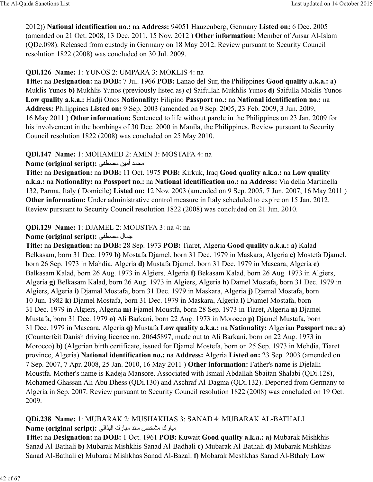2012)) **National identification no.:** na **Address:** 94051 Hauzenberg, Germany **Listed on:** 6 Dec. 2005 (amended on 21 Oct. 2008, 13 Dec. 2011, 15 Nov. 2012 ) **Other information:** Member of Ansar Al-Islam (QDe.098). Released from custody in Germany on 18 May 2012. Review pursuant to Security Council resolution 1822 (2008) was concluded on 30 Jul. 2009.

### **QDi.126 Name:** 1: YUNOS 2: UMPARA 3: MOKLIS 4: na

**Title:** na **Designation:** na **DOB:** 7 Jul. 1966 **POB:** Lanao del Sur, the Philippines **Good quality a.k.a.: a)** Muklis Yunos **b)** Mukhlis Yunos (previously listed as) **c)** Saifullah Mukhlis Yunos **d)** Saifulla Moklis Yunos **Low quality a.k.a.:** Hadji Onos **Nationality:** Filipino **Passport no.:** na **National identification no.:** na **Address:** Philippines **Listed on:** 9 Sep. 2003 (amended on 9 Sep. 2005, 23 Feb. 2009, 3 Jun. 2009, 16 May 2011 ) **Other information:** Sentenced to life without parole in the Philippines on 23 Jan. 2009 for his involvement in the bombings of 30 Dec. 2000 in Manila, the Philippines. Review pursuant to Security Council resolution 1822 (2008) was concluded on 25 May 2010.

### **QDi.147 Name:** 1: MOHAMED 2: AMIN 3: MOSTAFA 4: na

Name (original script): محمد أمين مصطفى

**Title:** na **Designation:** na **DOB:** 11 Oct. 1975 **POB:** Kirkuk, Iraq **Good quality a.k.a.:** na **Low quality a.k.a.:** na **Nationality:** na **Passport no.:** na **National identification no.:** na **Address:** Via della Martinella 132, Parma, Italy ( Domicile) **Listed on:** 12 Nov. 2003 (amended on 9 Sep. 2005, 7 Jun. 2007, 16 May 2011 ) **Other information:** Under administrative control measure in Italy scheduled to expire on 15 Jan. 2012. Review pursuant to Security Council resolution 1822 (2008) was concluded on 21 Jun. 2010.

### **QDi.129 Name:** 1: DJAMEL 2: MOUSTFA 3: na 4: na

### **Name (original script):** °u¶º\ ل8]b

**Title:** na **Designation:** na **DOB:** 28 Sep. 1973 **POB:** Tiaret, Algeria **Good quality a.k.a.: a)** Kalad Belkasam, born 31 Dec. 1979 **b)** Mostafa Djamel, born 31 Dec. 1979 in Maskara, Algeria **c)** Mostefa Djamel, born 26 Sep. 1973 in Mahdia, Algeria **d)** Mustafa Djamel, born 31 Dec. 1979 in Mascara, Algeria **e)** Balkasam Kalad, born 26 Aug. 1973 in Algiers, Algeria **f)** Bekasam Kalad, born 26 Aug. 1973 in Algiers, Algeria **g)** Belkasam Kalad, born 26 Aug. 1973 in Algiers, Algeria **h)** Damel Mostafa, born 31 Dec. 1979 in Algiers, Algeria **i)** Djamal Mostafa, born 31 Dec. 1979 in Maskara, Algeria **j)** Djamal Mostafa, born 10 Jun. 1982 **k)** Djamel Mostafa, born 31 Dec. 1979 in Maskara, Algeria **l)** Djamel Mostafa, born 31 Dec. 1979 in Algiers, Algeria **m)** Fjamel Moustfa, born 28 Sep. 1973 in Tiaret, Algeria **n)** Djamel Mustafa, born 31 Dec. 1979 **o)** Ali Barkani, born 22 Aug. 1973 in Morocco **p)** Djamel Mustafa, born 31 Dec. 1979 in Mascara, Algeria **q)** Mustafa **Low quality a.k.a.:** na **Nationality:** Algerian **Passport no.: a)** (Counterfeit Danish driving licence no. 20645897, made out to Ali Barkani, born on 22 Aug. 1973 in Morocco) **b)** (Algerian birth certificate, issued for Djamel Mostefa, born on 25 Sep. 1973 in Mehdia, Tiaret province, Algeria) **National identification no.:** na **Address:** Algeria **Listed on:** 23 Sep. 2003 (amended on 7 Sep. 2007, 7 Apr. 2008, 25 Jan. 2010, 16 May 2011 ) **Other information:** Father's name is Djelalli Moustfa. Mother's name is Kadeja Mansore. Associated with Ismail Abdallah Sbaitan Shalabi (QDi.128), Mohamed Ghassan Ali Abu Dhess (QDi.130) and Aschraf Al-Dagma (QDi.132). Deported from Germany to Algeria in Sep. 2007. Review pursuant to Security Council resolution 1822 (2008) was concluded on 19 Oct. 2009.

### **QDi.238 Name:** 1: MUBARAK 2: MUSHAKHAS 3: SANAD 4: MUBARAK AL-BATHALI مبارك مشخص سند مبارك البذالي: **Name (original script):**

**Title:** na **Designation:** na **DOB:** 1 Oct. 1961 **POB:** Kuwait **Good quality a.k.a.: a)** Mubarak Mishkhis Sanad Al-Bathali **b)** Mubarak Mishkhis Sanad Al-Badhali **c)** Mubarak Al-Bathali **d)** Mubarak Mishkhas Sanad Al-Bathali **e)** Mubarak Mishkhas Sanad Al-Bazali **f)** Mobarak Meshkhas Sanad Al-Bthaly **Low**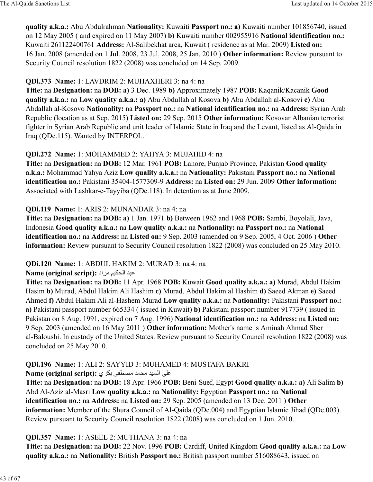**quality a.k.a.:** Abu Abdulrahman **Nationality:** Kuwaiti **Passport no.: a)** Kuwaiti number 101856740, issued on 12 May 2005 ( and expired on 11 May 2007) **b)** Kuwaiti number 002955916 **National identification no.:** Kuwaiti 261122400761 **Address:** Al-Salibekhat area, Kuwait ( residence as at Mar. 2009) **Listed on:** 16 Jan. 2008 (amended on 1 Jul. 2008, 23 Jul. 2008, 25 Jan. 2010 ) **Other information:** Review pursuant to Security Council resolution 1822 (2008) was concluded on 14 Sep. 2009.

### **QDi.373 Name:** 1: LAVDRIM 2: MUHAXHERI 3: na 4: na

**Title:** na **Designation:** na **DOB: a)** 3 Dec. 1989 **b)** Approximately 1987 **POB:** Kaqanik/Kacanik **Good quality a.k.a.:** na **Low quality a.k.a.: a)** Abu Abdullah al Kosova **b)** Abu Abdallah al-Kosovi **c)** Abu Abdallah al-Kosovo **Nationality:** na **Passport no.:** na **National identification no.:** na **Address:** Syrian Arab Republic (location as at Sep. 2015) **Listed on:** 29 Sep. 2015 **Other information:** Kosovar Albanian terrorist fighter in Syrian Arab Republic and unit leader of Islamic State in Iraq and the Levant, listed as Al-Qaida in Iraq (QDe.115). Wanted by INTERPOL.

### **QDi.272 Name:** 1: MOHAMMED 2: YAHYA 3: MUJAHID 4: na

**Title:** na **Designation:** na **DOB:** 12 Mar. 1961 **POB:** Lahore, Punjab Province, Pakistan **Good quality a.k.a.:** Mohammad Yahya Aziz **Low quality a.k.a.:** na **Nationality:** Pakistani **Passport no.:** na **National identification no.:** Pakistani 35404-1577309-9 **Address:** na **Listed on:** 29 Jun. 2009 **Other information:** Associated with Lashkar-e-Tayyiba (QDe.118). In detention as at June 2009.

### **QDi.119 Name:** 1: ARIS 2: MUNANDAR 3: na 4: na

**Title:** na **Designation:** na **DOB: a)** 1 Jan. 1971 **b)** Between 1962 and 1968 **POB:** Sambi, Boyolali, Java, Indonesia **Good quality a.k.a.:** na **Low quality a.k.a.:** na **Nationality:** na **Passport no.:** na **National identification no.:** na **Address:** na **Listed on:** 9 Sep. 2003 (amended on 9 Sep. 2005, 4 Oct. 2006 ) **Other information:** Review pursuant to Security Council resolution 1822 (2008) was concluded on 25 May 2010.

#### **QDi.120 Name:** 1: ABDUL HAKIM 2: MURAD 3: na 4: na

#### **Name (original script):** عبد الحكيم مراد :

**Title:** na **Designation:** na **DOB:** 11 Apr. 1968 **POB:** Kuwait **Good quality a.k.a.: a)** Murad, Abdul Hakim Hasim **b)** Murad, Abdul Hakim Ali Hashim **c)** Murad, Abdul Hakim al Hashim **d)** Saeed Akman **e)** Saeed Ahmed **f)** Abdul Hakim Ali al-Hashem Murad **Low quality a.k.a.:** na **Nationality:** Pakistani **Passport no.: a)** Pakistani passport number 665334 ( issued in Kuwait) **b)** Pakistani passport number 917739 ( issued in Pakistan on 8 Aug. 1991, expired on 7 Aug. 1996) **National identification no.:** na **Address:** na **Listed on:** 9 Sep. 2003 (amended on 16 May 2011 ) **Other information:** Mother's name is Aminah Ahmad Sher al-Baloushi. In custody of the United States. Review pursuant to Security Council resolution 1822 (2008) was concluded on 25 May 2010.

### **QDi.196 Name:** 1: ALI 2: SAYYID 3: MUHAMED 4: MUSTAFA BAKRI

على السيد محمد مصطفى بكرى **:** Name (original script)

**Title:** na **Designation:** na **DOB:** 18 Apr. 1966 **POB:** Beni-Suef, Egypt **Good quality a.k.a.: a)** Ali Salim **b)** Abd Al-Aziz al-Masri **Low quality a.k.a.:** na **Nationality:** Egyptian **Passport no.:** na **National identification no.:** na **Address:** na **Listed on:** 29 Sep. 2005 (amended on 13 Dec. 2011 ) **Other information:** Member of the Shura Council of Al-Qaida (QDe.004) and Egyptian Islamic Jihad (QDe.003). Review pursuant to Security Council resolution 1822 (2008) was concluded on 1 Jun. 2010.

### **QDi.357 Name:** 1: ASEEL 2: MUTHANA 3: na 4: na

**Title:** na **Designation:** na **DOB:** 22 Nov. 1996 **POB:** Cardiff, United Kingdom **Good quality a.k.a.:** na **Low quality a.k.a.:** na **Nationality:** British **Passport no.:** British passport number 516088643, issued on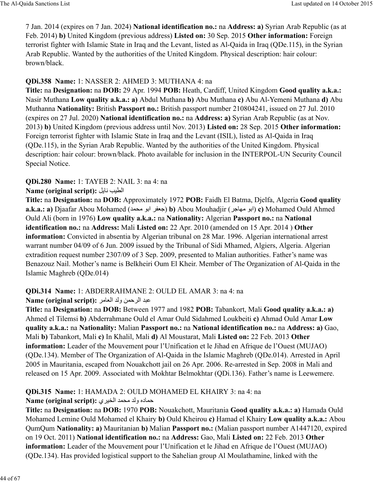7 Jan. 2014 (expires on 7 Jan. 2024) **National identification no.:** na **Address: a)** Syrian Arab Republic (as at Feb. 2014) **b)** United Kingdom (previous address) **Listed on:** 30 Sep. 2015 **Other information:** Foreign terrorist fighter with Islamic State in Iraq and the Levant, listed as Al-Qaida in Iraq (QDe.115), in the Syrian Arab Republic. Wanted by the authorities of the United Kingdom. Physical description: hair colour: brown/black.

### **QDi.358 Name:** 1: NASSER 2: AHMED 3: MUTHANA 4: na

**Title:** na **Designation:** na **DOB:** 29 Apr. 1994 **POB:** Heath, Cardiff, United Kingdom **Good quality a.k.a.:** Nasir Muthana **Low quality a.k.a.: a)** Abdul Muthana **b)** Abu Muthana **c)** Abu Al-Yemeni Muthana **d)** Abu Muthanna **Nationality:** British **Passport no.:** British passport number 210804241, issued on 27 Jul. 2010 (expires on 27 Jul. 2020) **National identification no.:** na **Address: a)** Syrian Arab Republic (as at Nov. 2013) **b)** United Kingdom (previous address until Nov. 2013) **Listed on:** 28 Sep. 2015 **Other information:** Foreign terrorist fighter with Islamic State in Iraq and the Levant (ISIL), listed as Al-Qaida in Iraq (QDe.115), in the Syrian Arab Republic. Wanted by the authorities of the United Kingdom. Physical description: hair colour: brown/black. Photo available for inclusion in the INTERPOL-UN Security Council Special Notice.

**QDi.280 Name:** 1: TAYEB 2: NAIL 3: na 4: na

#### **Name (original script): الطيب نايل**

**Title:** na **Designation:** na **DOB:** Approximately 1972 **POB:** Faidh El Batma, Djelfa, Algeria **Good quality a.k.a.: a)** Djaafar Abou Mohamed (جعفر ابو محمد) **b)** Abou Mouhadjir (ابو مهاجر) **c)** Mohamed Ould Ahmed Ould Ali (born in 1976) **Low quality a.k.a.:** na **Nationality:** Algerian **Passport no.:** na **National identification no.:** na **Address:** Mali **Listed on:** 22 Apr. 2010 (amended on 15 Apr. 2014 ) **Other information:** Convicted in absentia by Algerian tribunal on 28 Mar. 1996. Algerian international arrest warrant number 04/09 of 6 Jun. 2009 issued by the Tribunal of Sidi Mhamed, Algiers, Algeria. Algerian extradition request number 2307/09 of 3 Sep. 2009, presented to Malian authorities. Father's name was Benazouz Nail. Mother's name is Belkheiri Oum El Kheir. Member of The Organization of Al-Qaida in the Islamic Maghreb (QDe.014)

# **QDi.314 Name:** 1: ABDERRAHMANE 2: OULD EL AMAR 3: na 4: na

#### **Name (original script):** @\8d:ا> :و h[ح@:ا> 9=

**Title:** na **Designation:** na **DOB:** Between 1977 and 1982 **POB:** Tabankort, Mali **Good quality a.k.a.: a)** Ahmed el Tilemsi **b)** Abderrahmane Ould el Amar Ould Sidahmed Loukbeiti **c)** Ahmad Ould Amar **Low quality a.k.a.:** na **Nationality:** Malian **Passport no.:** na **National identification no.:** na **Address: a)** Gao, Mali **b)** Tabankort, Mali **c)** In Khalil, Mali **d)** Al Moustarat, Mali **Listed on:** 22 Feb. 2013 **Other information:** Leader of the Mouvement pour l'Unification et le Jihad en Afrique de l'Ouest (MUJAO) (QDe.134). Member of The Organization of Al-Qaida in the Islamic Maghreb (QDe.014). Arrested in April 2005 in Mauritania, escaped from Nouakchott jail on 26 Apr. 2006. Re-arrested in Sep. 2008 in Mali and released on 15 Apr. 2009. Associated with Mokhtar Belmokhtar (QDi.136). Father's name is Leewemere.

### **QDi.315 Name:** 1: HAMADA 2: OULD MOHAMED EL KHAIRY 3: na 4: na

### ح]8ده و:> \O <[ا:cY@ي **:(script original (Name**

**Title:** na **Designation:** na **DOB:** 1970 **POB:** Nouakchott, Mauritania **Good quality a.k.a.: a)** Hamada Ould Mohamed Lemine Ould Mohamed el Khairy **b)** Ould Kheirou **c)** Hamad el Khairy **Low quality a.k.a.:** Abou QumQum **Nationality: a)** Mauritanian **b)** Malian **Passport no.:** (Malian passport number A1447120, expired on 19 Oct. 2011) **National identification no.:** na **Address:** Gao, Mali **Listed on:** 22 Feb. 2013 **Other information:** Leader of the Mouvement pour l'Unification et le Jihad en Afrique de l'Ouest (MUJAO) (QDe.134). Has provided logistical support to the Sahelian group Al Moulathamine, linked with the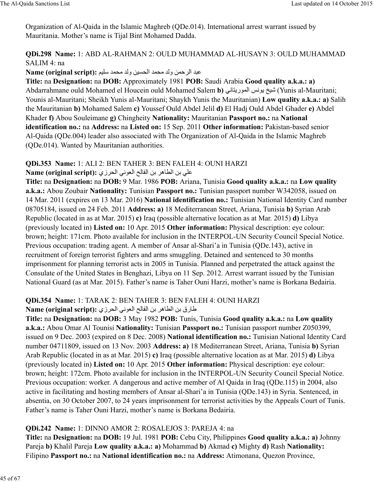Organization of Al-Qaida in the Islamic Maghreb (QDe.014). International arrest warrant issued by Mauritania. Mother's name is Tijal Bint Mohamed Dadda.

### **QDi.298 Name:** 1: ABD AL-RAHMAN 2: OULD MUHAMMAD AL-HUSAYN 3: OULD MUHAMMAD SALIM 4: na

# Rame (original script): عبد الرحمن ولد محمد الحسين ولد محمد سليم

**Title:** na **Designation:** na **DOB:** Approximately 1981 **POB:** Saudi Arabia **Good quality a.k.a.: a)** Abdarrahmane ould Mohamed el Houcein ould Mohamed Salem **b)** 6D8¨ريB[:ا DBي ºcش) Yunis al-Mauritani; Younis al-Mauritani; Sheikh Yunis al-Mauritani; Shaykh Yunis the Mauritanian) **Low quality a.k.a.: a)** Salih the Mauritanian **b)** Mohamed Salem **c)** Youssef Ould Abdel Jelil **d)** El Hadj Ould Abdel Ghader **e)** Abdel Khader **f)** Abou Souleimane **g)** Chingheity **Nationality:** Mauritanian **Passport no.:** na **National identification no.:** na **Address:** na **Listed on:** 15 Sep. 2011 **Other information:** Pakistan-based senior Al-Qaida (QDe.004) leader also associated with The Organization of Al-Qaida in the Islamic Maghreb (QDe.014). Wanted by Mauritanian authorities.

# **QDi.353 Name:** 1: ALI 2: BEN TAHER 3: BEN FALEH 4: OUNI HARZI

# على بن الطاهر بن الفالح العوني الحرزي: **Name (original script):**

**Title:** na **Designation:** na **DOB:** 9 Mar. 1986 **POB:** Ariana, Tunisia **Good quality a.k.a.:** na **Low quality a.k.a.:** Abou Zoubair **Nationality:** Tunisian **Passport no.:** Tunisian passport number W342058, issued on 14 Mar. 2011 (expires on 13 Mar. 2016) **National identification no.:** Tunisian National Identity Card number 08705184, issued on 24 Feb. 2011 **Address: a)** 18 Mediterranean Street, Ariana, Tunisia **b)** Syrian Arab Republic (located in as at Mar. 2015) **c)** Iraq (possible alternative location as at Mar. 2015) **d)** Libya (previously located in) **Listed on:** 10 Apr. 2015 **Other information:** Physical description: eye colour: brown; height: 171cm. Photo available for inclusion in the INTERPOL-UN Security Council Special Notice. Previous occupation: trading agent. A member of Ansar al-Shari'a in Tunisia (QDe.143), active in recruitment of foreign terrorist fighters and arms smuggling. Detained and sentenced to 30 months imprisonment for planning terrorist acts in 2005 in Tunisia. Planned and perpetrated the attack against the Consulate of the United States in Benghazi, Libya on 11 Sep. 2012. Arrest warrant issued by the Tunisian National Guard (as at Mar. 2015). Father's name is Taher Ouni Harzi, mother's name is Borkana Bedairia.

# **QDi.354 Name:** 1: TARAK 2: BEN TAHER 3: BEN FALEH 4: OUNI HARZI

# طارق بن الطاهر بن الفالح العوني الحرزي : Name (original script)

**Title:** na **Designation:** na **DOB:** 3 May 1982 **POB:** Tunis, Tunisia **Good quality a.k.a.:** na **Low quality a.k.a.:** Abou Omar Al Tounisi **Nationality:** Tunisian **Passport no.:** Tunisian passport number Z050399, issued on 9 Dec. 2003 (expired on 8 Dec. 2008) **National identification no.:** Tunisian National Identity Card number 04711809, issued on 13 Nov. 2003 **Address: a)** 18 Mediterranean Street, Ariana, Tunisia **b)** Syrian Arab Republic (located in as at Mar. 2015) **c)** Iraq (possible alternative location as at Mar. 2015) **d)** Libya (previously located in) **Listed on:** 10 Apr. 2015 **Other information:** Physical description: eye colour: brown; height: 172cm. Photo available for inclusion in the INTERPOL-UN Security Council Special Notice. Previous occupation: worker. A dangerous and active member of Al Qaida in Iraq (QDe.115) in 2004, also active in facilitating and hosting members of Ansar al-Shari'a in Tunisia (QDe.143) in Syria. Sentenced, in absentia, on 30 October 2007, to 24 years imprisonment for terrorist activities by the Appeals Court of Tunis. Father's name is Taher Ouni Harzi, mother's name is Borkana Bedairia.

# **QDi.242 Name:** 1: DINNO AMOR 2: ROSALEJOS 3: PAREJA 4: na

**Title:** na **Designation:** na **DOB:** 19 Jul. 1981 **POB:** Cebu City, Philippines **Good quality a.k.a.: a)** Johnny Pareja **b)** Khalil Pareja **Low quality a.k.a.: a)** Mohammad **b)** Akmad **c)** Mighty **d)** Rash **Nationality:** Filipino **Passport no.:** na **National identification no.:** na **Address:** Atimonana, Quezon Province,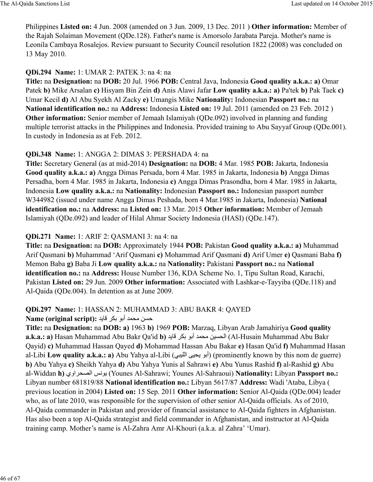Philippines **Listed on:** 4 Jun. 2008 (amended on 3 Jun. 2009, 13 Dec. 2011 ) **Other information:** Member of the Rajah Solaiman Movement (QDe.128). Father's name is Amorsolo Jarabata Pareja. Mother's name is Leonila Cambaya Rosalejos. Review pursuant to Security Council resolution 1822 (2008) was concluded on 13 May 2010.

### **QDi.294 Name:** 1: UMAR 2: PATEK 3: na 4: na

**Title:** na **Designation:** na **DOB:** 20 Jul. 1966 **POB:** Central Java, Indonesia **Good quality a.k.a.: a)** Omar Patek **b)** Mike Arsalan **c)** Hisyam Bin Zein **d)** Anis Alawi Jafar **Low quality a.k.a.: a)** Pa'tek **b)** Pak Taek **c)** Umar Kecil **d)** Al Abu Syekh Al Zacky **e)** Umangis Mike **Nationality:** Indonesian **Passport no.:** na **National identification no.:** na **Address:** Indonesia **Listed on:** 19 Jul. 2011 (amended on 23 Feb. 2012 ) **Other information:** Senior member of Jemaah Islamiyah (QDe.092) involved in planning and funding multiple terrorist attacks in the Philippines and Indonesia. Provided training to Abu Sayyaf Group (QDe.001). In custody in Indonesia as at Feb. 2012.

### **QDi.348 Name:** 1: ANGGA 2: DIMAS 3: PERSHADA 4: na

**Title:** Secretary General (as at mid-2014) **Designation:** na **DOB:** 4 Mar. 1985 **POB:** Jakarta, Indonesia **Good quality a.k.a.: a)** Angga Dimas Persada, born 4 Mar. 1985 in Jakarta, Indonesia **b)** Angga Dimas Persadha, born 4 Mar. 1985 in Jakarta, Indonesia **c)** Angga Dimas Prasondha, born 4 Mar. 1985 in Jakarta, Indonesia **Low quality a.k.a.:** na **Nationality:** Indonesian **Passport no.:** Indonesian passport number W344982 (issued under name Angga Dimas Peshada, born 4 Mar.1985 in Jakarta, Indonesia) **National identification no.:** na **Address:** na **Listed on:** 13 Mar. 2015 **Other information:** Member of Jemaah Islamiyah (QDe.092) and leader of Hilal Ahmar Society Indonesia (HASI) (QDe.147).

### **QDi.271 Name:** 1: ARIF 2: QASMANI 3: na 4: na

**Title:** na **Designation:** na **DOB:** Approximately 1944 **POB:** Pakistan **Good quality a.k.a.: a)** Muhammad Arif Qasmani **b)** Muhammad 'Arif Qasmani **c)** Mohammad Arif Qasmani **d)** Arif Umer **e)** Qasmani Baba **f)** Memon Baba **g)** Baba Ji **Low quality a.k.a.:** na **Nationality:** Pakistani **Passport no.:** na **National identification no.:** na **Address:** House Number 136, KDA Scheme No. 1, Tipu Sultan Road, Karachi, Pakistan **Listed on:** 29 Jun. 2009 **Other information:** Associated with Lashkar-e-Tayyiba (QDe.118) and Al-Qaida (QDe.004). In detention as at June 2009.

### **QDi.297 Name:** 1: HASSAN 2: MUHAMMAD 3: ABU BAKR 4: QAYED

### **Name (original script):** حسن محمد أبو بكر قايد

**Title:** na **Designation:** na **DOB: a)** 1963 **b)** 1969 **POB:** Marzaq, Libyan Arab Jamahiriya **Good quality a.k.a.: a)** Hasan Muhammad Abu Bakr Qa'id **b)** الحسين محمد أبو بكر قايد (Al-Husain Muhammad Abu Bakr Qayid) **c)** Muhammad Hassan Qayed **d)** Mohammad Hassan Abu Bakar **e)** Hasan Qa'id **f)** Muhammad Hasan al-Libi **Low quality a.k.a.: a**) Abu Yahya al-Libi (أبو يحيى الليبي) (prominently known by this nom de guerre) **b)** Abu Yahya **c)** Sheikh Yahya **d)** Abu Yahya Yunis al Sahrawi **e)** Abu Yunus Rashid **f)** al-Rashid **g)** Abu al-Widdan **h)** اوي@Oº:ا DBي) Younes Al-Sahrawi; Younes Al-Sahraoui) **Nationality:** Libyan **Passport no.:** Libyan number 681819/88 **National identification no.:** Libyan 5617/87 **Address:** Wadi 'Ataba, Libya ( previous location in 2004) **Listed on:** 15 Sep. 2011 **Other information:** Senior Al-Qaida (QDe.004) leader who, as of late 2010, was responsible for the supervision of other senior Al-Qaida officials. As of 2010, Al-Qaida commander in Pakistan and provider of financial assistance to Al-Qaida fighters in Afghanistan. Has also been a top Al-Qaida strategist and field commander in Afghanistan, and instructor at Al-Qaida training camp. Mother's name is Al-Zahra Amr Al-Khouri (a.k.a. al Zahra' 'Umar).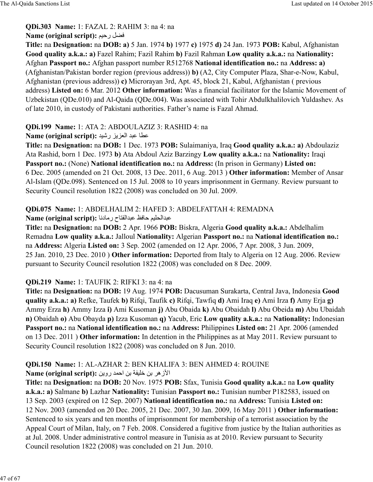**QDi.303 Name:** 1: FAZAL 2: RAHIM 3: na 4: na

### **Name (original script): فضل رحيم**

**Title:** na **Designation:** na **DOB: a)** 5 Jan. 1974 **b)** 1977 **c)** 1975 **d)** 24 Jan. 1973 **POB:** Kabul, Afghanistan **Good quality a.k.a.: a)** Fazel Rahim; Fazil Rahim **b)** Fazil Rahman **Low quality a.k.a.:** na **Nationality:** Afghan **Passport no.:** Afghan passport number R512768 **National identification no.:** na **Address: a)** (Afghanistan/Pakistan border region (previous address)) **b)** (A2, City Computer Plaza, Shar-e-Now, Kabul, Afghanistan (previous address)) **c)** Microrayan 3rd, Apt. 45, block 21, Kabul, Afghanistan ( previous address) **Listed on:** 6 Mar. 2012 **Other information:** Was a financial facilitator for the Islamic Movement of Uzbekistan (QDe.010) and Al-Qaida (QDe.004). Was associated with Tohir Abdulkhalilovich Yuldashev. As of late 2010, in custody of Pakistani authorities. Father's name is Fazal Ahmad.

# **QDi.199 Name:** 1: ATA 2: ABDOULAZIZ 3: RASHID 4: na

# Name (original script): عطا عبد العزيز رشيد

**Title:** na **Designation:** na **DOB:** 1 Dec. 1973 **POB:** Sulaimaniya, Iraq **Good quality a.k.a.: a)** Abdoulaziz Ata Rashid, born 1 Dec. 1973 **b)** Ata Abdoul Aziz Barzingy **Low quality a.k.a.:** na **Nationality:** Iraqi **Passport no.:** (None) **National identification no.:** na **Address:** (In prison in Germany) **Listed on:** 6 Dec. 2005 (amended on 21 Oct. 2008, 13 Dec. 2011, 6 Aug. 2013 ) **Other information:** Member of Ansar Al-Islam (QDe.098). Sentenced on 15 Jul. 2008 to 10 years imprisonment in Germany. Review pursuant to Security Council resolution 1822 (2008) was concluded on 30 Jul. 2009.

# **QDi.075 Name:** 1: ABDELHALIM 2: HAFED 3: ABDELFATTAH 4: REMADNA

Rame (original script): عبدالحليم حافظ عبدالفتاح رمادنا

**Title:** na **Designation:** na **DOB:** 2 Apr. 1966 **POB:** Biskra, Algeria **Good quality a.k.a.:** Abdelhalim Remadna **Low quality a.k.a.:** Jalloul **Nationality:** Algerian **Passport no.:** na **National identification no.:** na **Address:** Algeria **Listed on:** 3 Sep. 2002 (amended on 12 Apr. 2006, 7 Apr. 2008, 3 Jun. 2009, 25 Jan. 2010, 23 Dec. 2010 ) **Other information:** Deported from Italy to Algeria on 12 Aug. 2006. Review pursuant to Security Council resolution 1822 (2008) was concluded on 8 Dec. 2009.

# **QDi.219 Name:** 1: TAUFIK 2: RIFKI 3: na 4: na

**Title:** na **Designation:** na **DOB:** 19 Aug. 1974 **POB:** Dacusuman Surakarta, Central Java, Indonesia **Good quality a.k.a.: a)** Refke, Taufek **b)** Rifqi, Taufik **c)** Rifqi, Tawfiq **d)** Ami Iraq **e)** Ami Irza **f)** Amy Erja **g)** Ammy Erza **h)** Ammy Izza **i)** Ami Kusoman **j)** Abu Obaida **k)** Abu Obaidah **l)** Abu Obeida **m)** Abu Ubaidah **n)** Obaidah **o)** Abu Obayda **p)** Izza Kusoman **q)** Yacub, Eric **Low quality a.k.a.:** na **Nationality:** Indonesian **Passport no.:** na **National identification no.:** na **Address:** Philippines **Listed on:** 21 Apr. 2006 (amended on 13 Dec. 2011 ) **Other information:** In detention in the Philippines as at May 2011. Review pursuant to Security Council resolution 1822 (2008) was concluded on 8 Jun. 2010.

# **QDi.150 Name:** 1: AL-AZHAR 2: BEN KHALIFA 3: BEN AHMED 4: ROUINE

الأزهر بن خليفة بن احمد روين : Name (original script)

**Title:** na **Designation:** na **DOB:** 20 Nov. 1975 **POB:** Sfax, Tunisia **Good quality a.k.a.:** na **Low quality a.k.a.: a)** Salmane **b)** Lazhar **Nationality:** Tunisian **Passport no.:** Tunisian number P182583, issued on 13 Sep. 2003 (expired on 12 Sep. 2007) **National identification no.:** na **Address:** Tunisia **Listed on:** 12 Nov. 2003 (amended on 20 Dec. 2005, 21 Dec. 2007, 30 Jan. 2009, 16 May 2011 ) **Other information:** Sentenced to six years and ten months of imprisonment for membership of a terrorist association by the Appeal Court of Milan, Italy, on 7 Feb. 2008. Considered a fugitive from justice by the Italian authorities as at Jul. 2008. Under administrative control measure in Tunisia as at 2010. Review pursuant to Security Council resolution 1822 (2008) was concluded on 21 Jun. 2010.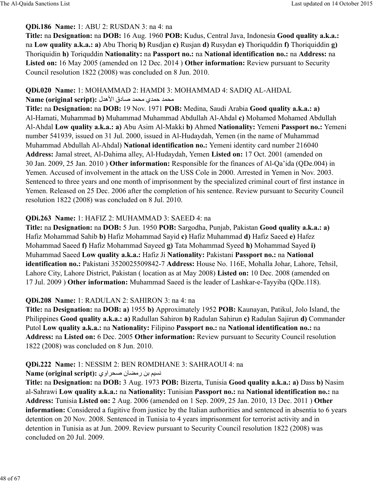### **QDi.186 Name:** 1: ABU 2: RUSDAN 3: na 4: na

**Title:** na **Designation:** na **DOB:** 16 Aug. 1960 **POB:** Kudus, Central Java, Indonesia **Good quality a.k.a.:** na **Low quality a.k.a.: a)** Abu Thoriq **b)** Rusdjan **c)** Rusjan **d)** Rusydan **e)** Thoriquddin **f)** Thoriquiddin **g)** Thoriquidin **h)** Toriquddin **Nationality:** na **Passport no.:** na **National identification no.:** na **Address:** na **Listed on:** 16 May 2005 (amended on 12 Dec. 2014 ) **Other information:** Review pursuant to Security Council resolution 1822 (2008) was concluded on 8 Jun. 2010.

### **QDi.020 Name:** 1: MOHAMMAD 2: HAMDI 3: MOHAMMAD 4: SADIQ AL-AHDAL

### \O <[ح]>ي \O <[8£دق اÂھ>ل **:(script original (Name**

**Title:** na **Designation:** na **DOB:** 19 Nov. 1971 **POB:** Medina, Saudi Arabia **Good quality a.k.a.: a)** Al-Hamati, Muhammad **b)** Muhammad Muhammad Abdullah Al-Ahdal **c)** Mohamed Mohamed Abdullah Al-Ahdal **Low quality a.k.a.: a)** Abu Asim Al-Makki **b)** Ahmed **Nationality:** Yemeni **Passport no.:** Yemeni number 541939, issued on 31 Jul. 2000, issued in Al-Hudaydah, Yemen (in the name of Muhammad Muhammad Abdullah Al-Ahdal) **National identification no.:** Yemeni identity card number 216040 **Address:** Jamal street, Al-Dahima alley, Al-Hudaydah, Yemen **Listed on:** 17 Oct. 2001 (amended on 30 Jan. 2009, 25 Jan. 2010 ) **Other information:** Responsible for the finances of Al-Qa'ida (QDe.004) in Yemen. Accused of involvement in the attack on the USS Cole in 2000. Arrested in Yemen in Nov. 2003. Sentenced to three years and one month of imprisonment by the specialized criminal court of first instance in Yemen. Released on 25 Dec. 2006 after the completion of his sentence. Review pursuant to Security Council resolution 1822 (2008) was concluded on 8 Jul. 2010.

### **QDi.263 Name:** 1: HAFIZ 2: MUHAMMAD 3: SAEED 4: na

**Title:** na **Designation:** na **DOB:** 5 Jun. 1950 **POB:** Sargodha, Punjab, Pakistan **Good quality a.k.a.: a)** Hafiz Mohammad Sahib **b)** Hafiz Mohammad Sayid **c)** Hafiz Muhammad **d)** Hafiz Saeed **e)** Hafez Mohammad Saeed **f)** Hafiz Mohammad Sayeed **g)** Tata Mohammad Syeed **h)** Mohammad Sayed **i)** Muhammad Saeed **Low quality a.k.a.:** Hafiz Ji **Nationality:** Pakistani **Passport no.:** na **National identification no.:** Pakistani 3520025509842-7 **Address:** House No. 116E, Mohalla Johar, Lahore, Tehsil, Lahore City, Lahore District, Pakistan ( location as at May 2008) **Listed on:** 10 Dec. 2008 (amended on 17 Jul. 2009 ) **Other information:** Muhammad Saeed is the leader of Lashkar-e-Tayyiba (QDe.118).

### **QDi.208 Name:** 1: RADULAN 2: SAHIRON 3: na 4: na

**Title:** na **Designation:** na **DOB: a)** 1955 **b)** Approximately 1952 **POB:** Kaunayan, Patikul, Jolo Island, the Philippines **Good quality a.k.a.: a)** Radullan Sahiron **b)** Radulan Sahirun **c)** Radulan Sajirun **d)** Commander Putol **Low quality a.k.a.:** na **Nationality:** Filipino **Passport no.:** na **National identification no.:** na **Address:** na **Listed on:** 6 Dec. 2005 **Other information:** Review pursuant to Security Council resolution 1822 (2008) was concluded on 8 Jun. 2010.

# **QDi.222 Name:** 1: NESSIM 2: BEN ROMDHANE 3: SAHRAOUI 4: na

### Kame (original script): **نسيم بن رمضان صحر اوي**

**Title:** na **Designation:** na **DOB:** 3 Aug. 1973 **POB:** Bizerta, Tunisia **Good quality a.k.a.: a)** Dass **b)** Nasim al-Sahrawi **Low quality a.k.a.:** na **Nationality:** Tunisian **Passport no.:** na **National identification no.:** na **Address:** Tunisia **Listed on:** 2 Aug. 2006 (amended on 1 Sep. 2009, 25 Jan. 2010, 13 Dec. 2011 ) **Other information:** Considered a fugitive from justice by the Italian authorities and sentenced in absentia to 6 years detention on 20 Nov. 2008. Sentenced in Tunisia to 4 years imprisonment for terrorist activity and in detention in Tunisia as at Jun. 2009. Review pursuant to Security Council resolution 1822 (2008) was concluded on 20 Jul. 2009.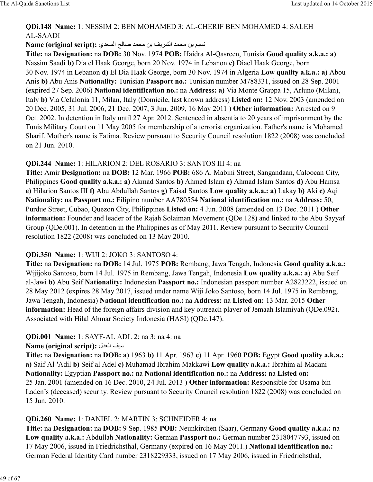### **QDi.148 Name:** 1: NESSIM 2: BEN MOHAMED 3: AL-CHERIF BEN MOHAMED 4: SALEH AL-SAADI

### Name (original script): نسيم بن محمد الشريف بن محمد صالح السعدي

**Title:** na **Designation:** na **DOB:** 30 Nov. 1974 **POB:** Haidra Al-Qasreen, Tunisia **Good quality a.k.a.: a)** Nassim Saadi **b)** Dia el Haak George, born 20 Nov. 1974 in Lebanon **c)** Diael Haak George, born 30 Nov. 1974 in Lebanon **d)** El Dia Haak George, born 30 Nov. 1974 in Algeria **Low quality a.k.a.: a)** Abou Anis **b)** Abu Anis **Nationality:** Tunisian **Passport no.:** Tunisian number M788331, issued on 28 Sep. 2001 (expired 27 Sep. 2006) **National identification no.:** na **Address: a)** Via Monte Grappa 15, Arluno (Milan), Italy **b)** Via Cefalonia 11, Milan, Italy (Domicile, last known address) **Listed on:** 12 Nov. 2003 (amended on 20 Dec. 2005, 31 Jul. 2006, 21 Dec. 2007, 3 Jun. 2009, 16 May 2011 ) **Other information:** Arrested on 9 Oct. 2002. In detention in Italy until 27 Apr. 2012. Sentenced in absentia to 20 years of imprisonment by the Tunis Military Court on 11 May 2005 for membership of a terrorist organization. Father's name is Mohamed Sharif. Mother's name is Fatima. Review pursuant to Security Council resolution 1822 (2008) was concluded on 21 Jun. 2010.

### **QDi.244 Name:** 1: HILARION 2: DEL ROSARIO 3: SANTOS III 4: na

**Title:** Amir **Designation:** na **DOB:** 12 Mar. 1966 **POB:** 686 A. Mabini Street, Sangandaan, Caloocan City, Philippines **Good quality a.k.a.: a)** Akmad Santos **b)** Ahmed Islam **c)** Ahmad Islam Santos **d)** Abu Hamsa **e)** Hilarion Santos III **f)** Abu Abdullah Santos **g)** Faisal Santos **Low quality a.k.a.: a)** Lakay **b)** Aki **c)** Aqi **Nationality:** na **Passport no.:** Filipino number AA780554 **National identification no.:** na **Address:** 50, Purdue Street, Cubao, Quezon City, Philippines **Listed on:** 4 Jun. 2008 (amended on 13 Dec. 2011 ) **Other information:** Founder and leader of the Rajah Solaiman Movement (QDe.128) and linked to the Abu Sayyaf Group (QDe.001). In detention in the Philippines as of May 2011. Review pursuant to Security Council resolution 1822 (2008) was concluded on 13 May 2010.

### **QDi.350 Name:** 1: WIJI 2: JOKO 3: SANTOSO 4:

**Title:** na **Designation:** na **DOB:** 14 Jul. 1975 **POB:** Rembang, Jawa Tengah, Indonesia **Good quality a.k.a.:** Wijijoko Santoso, born 14 Jul. 1975 in Rembang, Jawa Tengah, Indonesia **Low quality a.k.a.: a)** Abu Seif al-Jawi **b)** Abu Seif **Nationality:** Indonesian **Passport no.:** Indonesian passport number A2823222, issued on 28 May 2012 (expires 28 May 2017, issued under name Wiji Joko Santoso, born 14 Jul. 1975 in Rembang, Jawa Tengah, Indonesia) **National identification no.:** na **Address:** na **Listed on:** 13 Mar. 2015 **Other information:** Head of the foreign affairs division and key outreach player of Jemaah Islamiyah (ODe.092). Associated with Hilal Ahmar Society Indonesia (HASI) (QDe.147).

# **QDi.001 Name:** 1: SAYF-AL ADL 2: na 3: na 4: na

**Name (original script):** سيف العدل

**Title:** na **Designation:** na **DOB: a)** 1963 **b)** 11 Apr. 1963 **c)** 11 Apr. 1960 **POB:** Egypt **Good quality a.k.a.: a)** Saif Al-'Adil **b)** Seif al Adel **c)** Muhamad Ibrahim Makkawi **Low quality a.k.a.:** Ibrahim al-Madani **Nationality:** Egyptian **Passport no.:** na **National identification no.:** na **Address:** na **Listed on:** 25 Jan. 2001 (amended on 16 Dec. 2010, 24 Jul. 2013 ) **Other information:** Responsible for Usama bin Laden's (deceased) security. Review pursuant to Security Council resolution 1822 (2008) was concluded on 15 Jun. 2010.

### **QDi.260 Name:** 1: DANIEL 2: MARTIN 3: SCHNEIDER 4: na

**Title:** na **Designation:** na **DOB:** 9 Sep. 1985 **POB:** Neunkirchen (Saar), Germany **Good quality a.k.a.:** na **Low quality a.k.a.:** Abdullah **Nationality:** German **Passport no.:** German number 2318047793, issued on 17 May 2006, issued in Friedrichsthal, Germany (expired on 16 May 2011.) **National identification no.:** German Federal Identity Card number 2318229333, issued on 17 May 2006, issued in Friedrichsthal,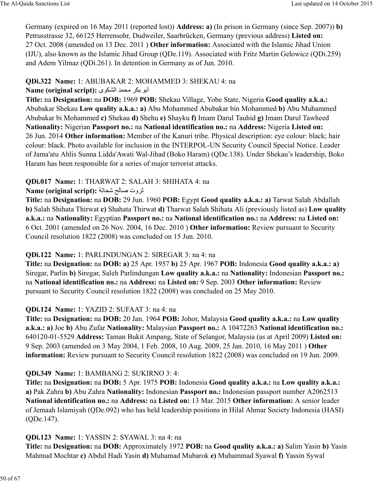Germany (expired on 16 May 2011 (reported lost)) **Address: a)** (In prison in Germany (since Sep. 2007)) **b)** Petrusstrasse 32, 66125 Herrensohr, Dudweiler, Saarbrücken, Germany (previous address) **Listed on:** 27 Oct. 2008 (amended on 13 Dec. 2011 ) **Other information:** Associated with the Islamic Jihad Union (IJU), also known as the Islamic Jihad Group (QDe.119). Associated with Fritz Martin Gelowicz (QDi.259) and Adem Yilmaz (QDi.261). In detention in Germany as of Jun. 2010.

### **QDi.322 Name:** 1: ABUBAKAR 2: MOHAMMED 3: SHEKAU 4: na

Name (original script): أبو بكر محمد الشكوى

**Title:** na **Designation:** na **DOB:** 1969 **POB:** Shekau Village, Yobe State, Nigeria **Good quality a.k.a.:** Abubakar Shekau **Low quality a.k.a.: a)** Abu Mohammed Abubakar bin Mohammed **b)** Abu Muhammed Abubakar bi Mohammed **c)** Shekau **d)** Shehu **e)** Shayku **f)** Imam Darul Tauhid **g)** Imam Darul Tawheed **Nationality:** Nigerian **Passport no.:** na **National identification no.:** na **Address:** Nigeria **Listed on:** 26 Jun. 2014 **Other information:** Member of the Kanuri tribe. Physical description: eye colour: black; hair colour: black. Photo available for inclusion in the INTERPOL-UN Security Council Special Notice. Leader of Jama'atu Ahlis Sunna Lidda'Awati Wal-Jihad (Boko Haram) (QDe.138). Under Shekau's leadership, Boko Haram has been responsible for a series of major terrorist attacks.

# **QDi.017 Name:** 1: THARWAT 2: SALAH 3: SHIHATA 4: na

### $\mathbf N$ ame (original script): ثروت صالح شحاتة

**Title:** na **Designation:** na **DOB:** 29 Jun. 1960 **POB:** Egypt **Good quality a.k.a.: a)** Tarwat Salah Abdallah **b)** Salah Shihata Thirwat **c)** Shahata Thirwat **d)** Tharwat Salah Shihata Ali (previously listed as) **Low quality a.k.a.:** na **Nationality:** Egyptian **Passport no.:** na **National identification no.:** na **Address:** na **Listed on:** 6 Oct. 2001 (amended on 26 Nov. 2004, 16 Dec. 2010 ) **Other information:** Review pursuant to Security Council resolution 1822 (2008) was concluded on 15 Jun. 2010.

# **QDi.122 Name:** 1: PARLINDUNGAN 2: SIREGAR 3: na 4: na

**Title:** na **Designation:** na **DOB: a)** 25 Apr. 1957 **b)** 25 Apr. 1967 **POB:** Indonesia **Good quality a.k.a.: a)** Siregar, Parlin **b)** Siregar, Saleh Parlindungan **Low quality a.k.a.:** na **Nationality:** Indonesian **Passport no.:** na **National identification no.:** na **Address:** na **Listed on:** 9 Sep. 2003 **Other information:** Review pursuant to Security Council resolution 1822 (2008) was concluded on 25 May 2010.

# **QDi.124 Name:** 1: YAZID 2: SUFAAT 3: na 4: na

**Title:** na **Designation:** na **DOB:** 20 Jan. 1964 **POB:** Johor, Malaysia **Good quality a.k.a.:** na **Low quality a.k.a.: a)** Joe **b)** Abu Zufar **Nationality:** Malaysian **Passport no.:** A 10472263 **National identification no.:** 640120-01-5529 **Address:** Taman Bukit Ampang, State of Selangor, Malaysia (as at April 2009) **Listed on:** 9 Sep. 2003 (amended on 3 May 2004, 1 Feb. 2008, 10 Aug. 2009, 25 Jan. 2010, 16 May 2011 ) **Other information:** Review pursuant to Security Council resolution 1822 (2008) was concluded on 19 Jun. 2009.

# **QDi.349 Name:** 1: BAMBANG 2: SUKIRNO 3: 4:

**Title:** na **Designation:** na **DOB:** 5 Apr. 1975 **POB:** Indonesia **Good quality a.k.a.:** na **Low quality a.k.a.: a)** Pak Zahra **b)** Abu Zahra **Nationality:** Indonesian **Passport no.:** Indonesian passport number A2062513 **National identification no.:** na **Address:** na **Listed on:** 13 Mar. 2015 **Other information:** A senior leader of Jemaah Islamiyah (QDe.092) who has held leadership positions in Hilal Ahmar Society Indonesia (HASI) (QDe.147).

# **QDi.123 Name:** 1: YASSIN 2: SYAWAL 3: na 4: na

**Title:** na **Designation:** na **DOB:** Approximately 1972 **POB:** na **Good quality a.k.a.: a)** Salim Yasin **b)** Yasin Mahmud Mochtar **c)** Abdul Hadi Yasin **d)** Muhamad Mubarok **e)** Muhammad Syawal **f)** Yassin Sywal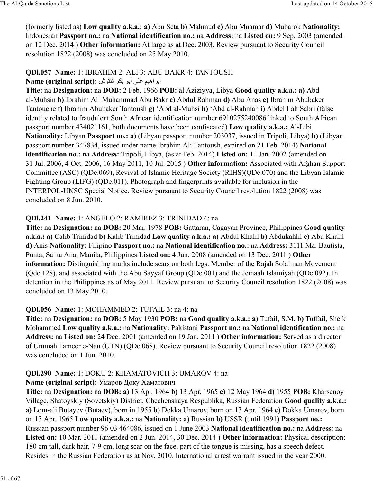(formerly listed as) **Low quality a.k.a.: a)** Abu Seta **b)** Mahmud **c)** Abu Muamar **d)** Mubarok **Nationality:** Indonesian **Passport no.:** na **National identification no.:** na **Address:** na **Listed on:** 9 Sep. 2003 (amended on 12 Dec. 2014 ) **Other information:** At large as at Dec. 2003. Review pursuant to Security Council resolution 1822 (2008) was concluded on 25 May 2010.

#### **QDi.057 Name:** 1: IBRAHIM 2: ALI 3: ABU BAKR 4: TANTOUSH ابر اهيم علي أبو بكر تنتوش: **Name (original script):**

**Title:** na **Designation:** na **DOB:** 2 Feb. 1966 **POB:** al Aziziyya, Libya **Good quality a.k.a.: a)** Abd al-Muhsin **b)** Ibrahim Ali Muhammad Abu Bakr **c)** Abdul Rahman **d)** Abu Anas **e)** Ibrahim Abubaker Tantouche **f)** Ibrahim Abubaker Tantoush **g)** 'Abd al-Muhsi **h)** 'Abd al-Rahman **i)** Abdel Ilah Sabri (false identity related to fraudulent South African identification number 6910275240086 linked to South African passport number 434021161, both documents have been confiscated) **Low quality a.k.a.:** Al-Libi **Nationality:** Libyan **Passport no.: a)** (Libyan passport number 203037, issued in Tripoli, Libya) **b)** (Libyan passport number 347834, issued under name Ibrahim Ali Tantoush, expired on 21 Feb. 2014) **National identification no.:** na **Address:** Tripoli, Libya, (as at Feb. 2014) **Listed on:** 11 Jan. 2002 (amended on 31 Jul. 2006, 4 Oct. 2006, 16 May 2011, 10 Jul. 2015 ) **Other information:** Associated with Afghan Support Committee (ASC) (QDe.069), Revival of Islamic Heritage Society (RIHS)(QDe.070) and the Libyan Islamic Fighting Group (LIFG) (QDe.011). Photograph and fingerprints available for inclusion in the INTERPOL-UNSC Special Notice. Review pursuant to Security Council resolution 1822 (2008) was concluded on 8 Jun. 2010.

# **QDi.241 Name:** 1: ANGELO 2: RAMIREZ 3: TRINIDAD 4: na

**Title:** na **Designation:** na **DOB:** 20 Mar. 1978 **POB:** Gattaran, Cagayan Province, Philippines **Good quality a.k.a.: a)** Calib Trinidad **b)** Kalib Trinidad **Low quality a.k.a.: a)** Abdul Khalil **b)** Abdukahlil **c)** Abu Khalil **d)** Anis **Nationality:** Filipino **Passport no.:** na **National identification no.:** na **Address:** 3111 Ma. Bautista, Punta, Santa Ana, Manila, Philippines **Listed on:** 4 Jun. 2008 (amended on 13 Dec. 2011 ) **Other information:** Distinguishing marks include scars on both legs. Member of the Rajah Solaiman Movement (Qde.128), and associated with the Abu Sayyaf Group (QDe.001) and the Jemaah Islamiyah (QDe.092). In detention in the Philippines as of May 2011. Review pursuant to Security Council resolution 1822 (2008) was concluded on 13 May 2010.

### **QDi.056 Name:** 1: MOHAMMED 2: TUFAIL 3: na 4: na

**Title:** na **Designation:** na **DOB:** 5 May 1930 **POB:** na **Good quality a.k.a.: a)** Tufail, S.M. **b)** Tuffail, Sheik Mohammed **Low quality a.k.a.:** na **Nationality:** Pakistani **Passport no.:** na **National identification no.:** na **Address:** na **Listed on:** 24 Dec. 2001 (amended on 19 Jan. 2011 ) **Other information:** Served as a director of Ummah Tameer e-Nau (UTN) (QDe.068). Review pursuant to Security Council resolution 1822 (2008) was concluded on 1 Jun. 2010.

# **QDi.290 Name:** 1: DOKU 2: KHAMATOVICH 3: UMAROV 4: na

# **Name (original script):** Умаров Доку Хаматович

**Title:** na **Designation:** na **DOB: a)** 13 Apr. 1964 **b)** 13 Apr. 1965 **c)** 12 May 1964 **d)** 1955 **POB:** Kharsenoy Village, Shatoyskiy (Sovetskiy) District, Chechenskaya Respublika, Russian Federation **Good quality a.k.a.: a)** Lom-ali Butayev (Butaev), born in 1955 **b)** Dokka Umarov, born on 13 Apr. 1964 **c)** Dokka Umarov, born on 13 Apr. 1965 **Low quality a.k.a.:** na **Nationality: a)** Russian **b)** USSR (until 1991) **Passport no.:** Russian passport number 96 03 464086, issued on 1 June 2003 **National identification no.:** na **Address:** na **Listed on:** 10 Mar. 2011 (amended on 2 Jun. 2014, 30 Dec. 2014 ) **Other information:** Physical description: 180 cm tall, dark hair, 7-9 cm. long scar on the face, part of the tongue is missing, has a speech defect. Resides in the Russian Federation as at Nov. 2010. International arrest warrant issued in the year 2000.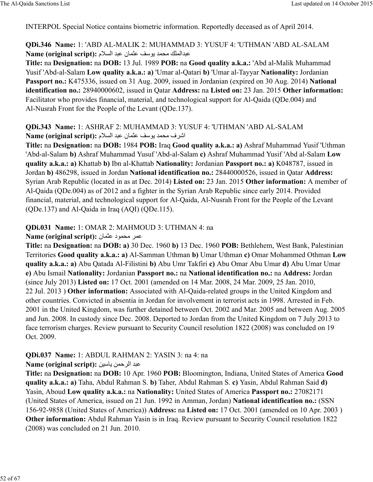INTERPOL Special Notice contains biometric information. Reportedly deceased as of April 2014.

### **QDi.346 Name:** 1: 'ABD AL-MALIK 2: MUHAMMAD 3: YUSUF 4: 'UTHMAN 'ABD AL-SALAM Name (original script): عبدالملك محمد يوسف عثمان عبد السلام

**Title:** na **Designation:** na **DOB:** 13 Jul. 1989 **POB:** na **Good quality a.k.a.:** 'Abd al-Malik Muhammad Yusif 'Abd-al-Salam **Low quality a.k.a.: a)** 'Umar al-Qatari **b)** 'Umar al-Tayyar **Nationality:** Jordanian **Passport no.:** K475336, issued on 31 Aug. 2009, issued in Jordanian (expired on 30 Aug. 2014) **National identification no.:** 28940000602, issued in Qatar **Address:** na **Listed on:** 23 Jan. 2015 **Other information:** Facilitator who provides financial, material, and technological support for Al-Qaida (QDe.004) and Al-Nusrah Front for the People of the Levant (QDe.137).

### **QDi.343 Name:** 1: ASHRAF 2: MUHAMMAD 3: YUSUF 4: 'UTHMAN 'ABD AL-SALAM اشرف محمد يوسف عثمان عبد السلام :**Name (original script)**

**Title:** na **Designation:** na **DOB:** 1984 **POB:** Iraq **Good quality a.k.a.: a)** Ashraf Muhammad Yusif 'Uthman 'Abd-al-Salam **b)** Ashraf Muhammad Yusuf 'Abd-al-Salam **c)** Ashraf Muhammad Yusif 'Abd al-Salam **Low quality a.k.a.: a)** Khattab **b)** Ibn al-Khattab **Nationality:** Jordanian **Passport no.: a)** K048787, issued in Jordan **b)** 486298, issued in Jordan **National identification no.:** 28440000526, issued in Qatar **Address:** Syrian Arab Republic (located in as at Dec. 2014) **Listed on:** 23 Jan. 2015 **Other information:** A member of Al-Qaida (QDe.004) as of 2012 and a fighter in the Syrian Arab Republic since early 2014. Provided financial, material, and technological support for Al-Qaida, Al-Nusrah Front for the People of the Levant (QDe.137) and Al-Qaida in Iraq (AQI) (QDe.115).

### **QDi.031 Name:** 1: OMAR 2: MAHMOUD 3: UTHMAN 4: na

#### **Name (original script):** عمر محمود عثمان

**Title:** na **Designation:** na **DOB: a)** 30 Dec. 1960 **b)** 13 Dec. 1960 **POB:** Bethlehem, West Bank, Palestinian Territories **Good quality a.k.a.: a)** Al-Samman Uthman **b)** Umar Uthman **c)** Omar Mohammed Othman **Low quality a.k.a.: a)** Abu Qatada Al-Filistini **b)** Abu Umr Takfiri **c)** Abu Omar Abu Umar **d)** Abu Umar Umar **e)** Abu Ismail **Nationality:** Jordanian **Passport no.:** na **National identification no.:** na **Address:** Jordan (since July 2013) **Listed on:** 17 Oct. 2001 (amended on 14 Mar. 2008, 24 Mar. 2009, 25 Jan. 2010, 22 Jul. 2013 ) **Other information:** Associated with Al-Qaida-related groups in the United Kingdom and other countries. Convicted in absentia in Jordan for involvement in terrorist acts in 1998. Arrested in Feb. 2001 in the United Kingdom, was further detained between Oct. 2002 and Mar. 2005 and between Aug. 2005 and Jun. 2008. In custody since Dec. 2008. Deported to Jordan from the United Kingdom on 7 July 2013 to face terrorism charges. Review pursuant to Security Council resolution 1822 (2008) was concluded on 19 Oct. 2009.

### **QDi.037 Name:** 1: ABDUL RAHMAN 2: YASIN 3: na 4: na

### **Name (original script):** عبد الرحمن باسين

**Title:** na **Designation:** na **DOB:** 10 Apr. 1960 **POB:** Bloomington, Indiana, United States of America **Good quality a.k.a.: a)** Taha, Abdul Rahman S. **b)** Taher, Abdul Rahman S. **c)** Yasin, Abdul Rahman Said **d)** Yasin, Aboud **Low quality a.k.a.:** na **Nationality:** United States of America **Passport no.:** 27082171 (United States of America, issued on 21 Jun. 1992 in Amman, Jordan) **National identification no.:** (SSN 156-92-9858 (United States of America)) **Address:** na **Listed on:** 17 Oct. 2001 (amended on 10 Apr. 2003 ) **Other information:** Abdul Rahman Yasin is in Iraq. Review pursuant to Security Council resolution 1822 (2008) was concluded on 21 Jun. 2010.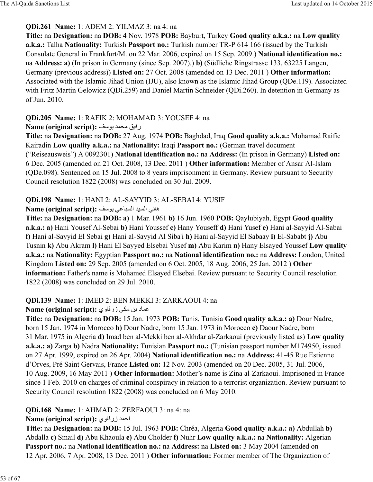### **QDi.261 Name:** 1: ADEM 2: YILMAZ 3: na 4: na

**Title:** na **Designation:** na **DOB:** 4 Nov. 1978 **POB:** Bayburt, Turkey **Good quality a.k.a.:** na **Low quality a.k.a.:** Talha **Nationality:** Turkish **Passport no.:** Turkish number TR-P 614 166 (issued by the Turkish Consulate General in Frankfurt/M. on 22 Mar. 2006, expired on 15 Sep. 2009.) **National identification no.:** na **Address: a)** (In prison in Germany (since Sep. 2007).) **b)** (Südliche Ringstrasse 133, 63225 Langen, Germany (previous address)) **Listed on:** 27 Oct. 2008 (amended on 13 Dec. 2011 ) **Other information:** Associated with the Islamic Jihad Union (IJU), also known as the Islamic Jihad Group (QDe.119). Associated with Fritz Martin Gelowicz (QDi.259) and Daniel Martin Schneider (QDi.260). In detention in Germany as of Jun. 2010.

### **QDi.205 Name:** 1: RAFIK 2: MOHAMAD 3: YOUSEF 4: na

# **Name (original script):** رفيق محمد بوسف

**Title:** na **Designation:** na **DOB:** 27 Aug. 1974 **POB:** Baghdad, Iraq **Good quality a.k.a.:** Mohamad Raific Kairadin **Low quality a.k.a.:** na **Nationality:** Iraqi **Passport no.:** (German travel document ("Reiseausweis") A 0092301) **National identification no.:** na **Address:** (In prison in Germany) **Listed on:** 6 Dec. 2005 (amended on 21 Oct. 2008, 13 Dec. 2011 ) **Other information:** Member of Ansar Al-Islam (QDe.098). Sentenced on 15 Jul. 2008 to 8 years imprisonment in Germany. Review pursuant to Security Council resolution 1822 (2008) was concluded on 30 Jul. 2009.

# **QDi.198 Name:** 1: HANI 2: AL-SAYYID 3: AL-SEBAI 4: YUSIF

# **Name (original script):** هاني السيد السباعي يوسف

**Title:** na **Designation:** na **DOB: a)** 1 Mar. 1961 **b)** 16 Jun. 1960 **POB:** Qaylubiyah, Egypt **Good quality a.k.a.: a)** Hani Yousef Al-Sebai **b)** Hani Youssef **c)** Hany Youseff **d)** Hani Yusef **e)** Hani al-Sayyid Al-Sabai **f)** Hani al-Sayyid El Sebai **g)** Hani al-Sayyid Al Siba'i **h)** Hani al-Sayyid El Sabaay **i)** El-Sababt **j)** Abu Tusnin **k)** Abu Akram **l)** Hani El Sayyed Elsebai Yusef **m)** Abu Karim **n)** Hany Elsayed Youssef **Low quality a.k.a.:** na **Nationality:** Egyptian **Passport no.:** na **National identification no.:** na **Address:** London, United Kingdom **Listed on:** 29 Sep. 2005 (amended on 6 Oct. 2005, 18 Aug. 2006, 25 Jan. 2012 ) **Other information:** Father's name is Mohamed Elsayed Elsebai. Review pursuant to Security Council resolution 1822 (2008) was concluded on 29 Jul. 2010.

# **QDi.139 Name:** 1: IMED 2: BEN MEKKI 3: ZARKAOUI 4: na

### **Name (original script):** وي87زر 6õ\ hب د8=]

**Title:** na **Designation:** na **DOB:** 15 Jan. 1973 **POB:** Tunis, Tunisia **Good quality a.k.a.: a)** Dour Nadre, born 15 Jan. 1974 in Morocco **b)** Dour Nadre, born 15 Jan. 1973 in Morocco **c)** Daour Nadre, born 31 Mar. 1975 in Algeria **d)** Imad ben al-Mekki ben al-Akhdar al-Zarkaoui (previously listed as) **Low quality a.k.a.: a)** Zarga **b)** Nadra **Nationality:** Tunisian **Passport no.:** (Tunisian passport number M174950, issued on 27 Apr. 1999, expired on 26 Apr. 2004) **National identification no.:** na **Address:** 41-45 Rue Estienne d'Orves, Pré Saint Gervais, France **Listed on:** 12 Nov. 2003 (amended on 20 Dec. 2005, 31 Jul. 2006, 10 Aug. 2009, 16 May 2011 ) **Other information:** Mother's name is Zina al-Zarkaoui. Imprisoned in France since 1 Feb. 2010 on charges of criminal conspiracy in relation to a terrorist organization. Review pursuant to Security Council resolution 1822 (2008) was concluded on 6 May 2010.

# **QDi.168 Name:** 1: AHMAD 2: ZERFAOUI 3: na 4: na

# **Name (original script):** احمد زرفاوى

**Title:** na **Designation:** na **DOB:** 15 Jul. 1963 **POB:** Chréa, Algeria **Good quality a.k.a.: a)** Abdullah **b)** Abdalla **c)** Smail **d)** Abu Khaoula **e)** Abu Cholder **f)** Nuhr **Low quality a.k.a.:** na **Nationality:** Algerian **Passport no.:** na **National identification no.:** na **Address:** na **Listed on:** 3 May 2004 (amended on 12 Apr. 2006, 7 Apr. 2008, 13 Dec. 2011 ) **Other information:** Former member of The Organization of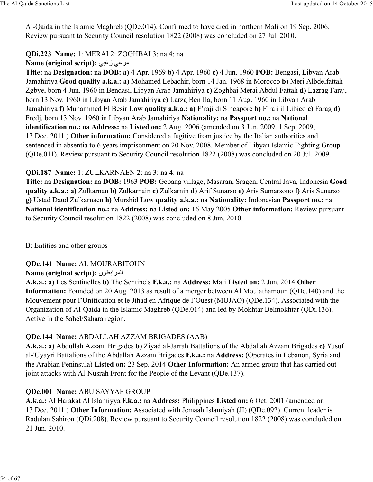Al-Qaida in the Islamic Maghreb (QDe.014). Confirmed to have died in northern Mali on 19 Sep. 2006. Review pursuant to Security Council resolution 1822 (2008) was concluded on 27 Jul. 2010.

### **QDi.223 Name:** 1: MERAI 2: ZOGHBAI 3: na 4: na

### **Name (original script):** 69wز 6\@=

**Title:** na **Designation:** na **DOB: a)** 4 Apr. 1969 **b)** 4 Apr. 1960 **c)** 4 Jun. 1960 **POB:** Bengasi, Libyan Arab Jamahiriya **Good quality a.k.a.: a)** Mohamed Lebachir, born 14 Jan. 1968 in Morocco **b)** Meri Albdelfattah Zgbye, born 4 Jun. 1960 in Bendasi, Libyan Arab Jamahiriya **c)** Zoghbai Merai Abdul Fattah **d)** Lazrag Faraj, born 13 Nov. 1960 in Libyan Arab Jamahiriya **e)** Larzg Ben Ila, born 11 Aug. 1960 in Libyan Arab Jamahiriya **f)** Muhammed El Besir **Low quality a.k.a.: a)** F'raji di Singapore **b)** F'raji il Libico **c)** Farag **d)** Fredj, born 13 Nov. 1960 in Libyan Arab Jamahiriya **Nationality:** na **Passport no.:** na **National identification no.:** na **Address:** na **Listed on:** 2 Aug. 2006 (amended on 3 Jun. 2009, 1 Sep. 2009, 13 Dec. 2011 ) **Other information:** Considered a fugitive from justice by the Italian authorities and sentenced in absentia to 6 years imprisonment on 20 Nov. 2008. Member of Libyan Islamic Fighting Group (QDe.011). Review pursuant to Security Council resolution 1822 (2008) was concluded on 20 Jul. 2009.

### **QDi.187 Name:** 1: ZULKARNAEN 2: na 3: na 4: na

**Title:** na **Designation:** na **DOB:** 1963 **POB:** Gebang village, Masaran, Sragen, Central Java, Indonesia **Good quality a.k.a.: a)** Zulkarnan **b)** Zulkarnain **c)** Zulkarnin **d)** Arif Sunarso **e)** Aris Sumarsono **f)** Aris Sunarso **g)** Ustad Daud Zulkarnaen **h)** Murshid **Low quality a.k.a.:** na **Nationality:** Indonesian **Passport no.:** na **National identification no.:** na **Address:** na **Listed on:** 16 May 2005 **Other information:** Review pursuant to Security Council resolution 1822 (2008) was concluded on 8 Jun. 2010.

#### B: Entities and other groups

#### **QDe.141 Name:** AL MOURABITOUN

### **Name (original script):** المرابطون

**A.k.a.: a)** Les Sentinelles **b)** The Sentinels **F.k.a.:** na **Address:** Mali **Listed on:** 2 Jun. 2014 **Other Information:** Founded on 20 Aug. 2013 as result of a merger between Al Moulathamoun (QDe.140) and the Mouvement pour l'Unification et le Jihad en Afrique de l'Ouest (MUJAO) (QDe.134). Associated with the Organization of Al-Qaida in the Islamic Maghreb (QDe.014) and led by Mokhtar Belmokhtar (QDi.136). Active in the Sahel/Sahara region.

### **QDe.144 Name:** ABDALLAH AZZAM BRIGADES (AAB)

**A.k.a.: a)** Abdullah Azzam Brigades **b)** Ziyad al-Jarrah Battalions of the Abdallah Azzam Brigades **c)** Yusuf al-'Uyayri Battalions of the Abdallah Azzam Brigades **F.k.a.:** na **Address:** (Operates in Lebanon, Syria and the Arabian Peninsula) **Listed on:** 23 Sep. 2014 **Other Information:** An armed group that has carried out joint attacks with Al-Nusrah Front for the People of the Levant (QDe.137).

### **QDe.001 Name:** ABU SAYYAF GROUP

**A.k.a.:** Al Harakat Al Islamiyya **F.k.a.:** na **Address:** Philippines **Listed on:** 6 Oct. 2001 (amended on 13 Dec. 2011 ) **Other Information:** Associated with Jemaah Islamiyah (JI) (QDe.092). Current leader is Radulan Sahiron (QDi.208). Review pursuant to Security Council resolution 1822 (2008) was concluded on 21 Jun. 2010.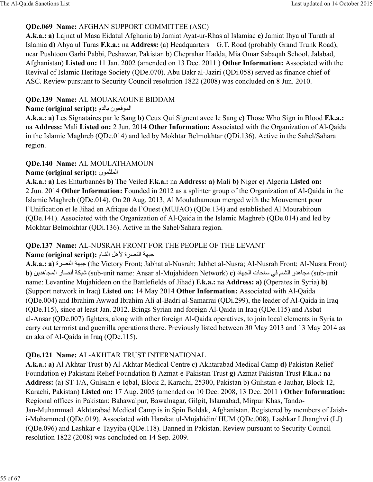### **QDe.069 Name:** AFGHAN SUPPORT COMMITTEE (ASC)

**A.k.a.: a)** Lajnat ul Masa Eidatul Afghania **b)** Jamiat Ayat-ur-Rhas al Islamiac **c)** Jamiat Ihya ul Turath al Islamia **d)** Ahya ul Turas **F.k.a.:** na **Address:** (a) Headquarters – G.T. Road (probably Grand Trunk Road), near Pushtoon Garhi Pabbi, Peshawar, Pakistan b) Cheprahar Hadda, Mia Omar Sabaqah School, Jalabad, Afghanistan) **Listed on:** 11 Jan. 2002 (amended on 13 Dec. 2011 ) **Other Information:** Associated with the Revival of Islamic Heritage Society (QDe.070). Abu Bakr al-Jaziri (QDi.058) served as finance chief of ASC. Review pursuant to Security Council resolution 1822 (2008) was concluded on 8 Jun. 2010.

### **QDe.139 Name:** AL MOUAKAOUNE BIDDAM

### **Name (original script):** الموقعون بالدم

**A.k.a.: a)** Les Signataires par le Sang **b)** Ceux Qui Signent avec le Sang **c)** Those Who Sign in Blood **F.k.a.:** na **Address:** Mali **Listed on:** 2 Jun. 2014 **Other Information:** Associated with the Organization of Al-Qaida in the Islamic Maghreb (QDe.014) and led by Mokhtar Belmokhtar (QDi.136). Active in the Sahel/Sahara region.

# **QDe.140 Name:** AL MOULATHAMOUN

# **Name (original script):** الملثمون

**A.k.a.: a)** Les Enturbannés **b)** The Veiled **F.k.a.:** na **Address: a)** Mali **b)** Niger **c)** Algeria **Listed on:** 2 Jun. 2014 **Other Information:** Founded in 2012 as a splinter group of the Organization of Al-Qaida in the Islamic Maghreb (QDe.014). On 20 Aug. 2013, Al Moulathamoun merged with the Mouvement pour l'Unification et le Jihad en Afrique de l'Ouest (MUJAO) (QDe.134) and established Al Mourabitoun (QDe.141). Associated with the Organization of Al-Qaida in the Islamic Maghreb (QDe.014) and led by Mokhtar Belmokhtar (QDi.136). Active in the Sahel/Sahara region.

# **QDe.137 Name:** AL-NUSRAH FRONT FOR THE PEOPLE OF THE LEVANT

### **Name (original script): جبهة النصرية لأهل الشام**

**A.k.a.: a)** جبهة النصرة (the Victory Front; Jabhat al-Nusrah; Jabhet al-Nusra; Al-Nusrah Front; Al-Nusra Front) **b)** مجاهدو الشام في ساحات الجهاد (sub-unit name: Ansar al-Mujahideen Network) **c)** شبكة أنصار المجاهدين (b name: Levantine Mujahideen on the Battlefields of Jihad) **F.k.a.:** na **Address: a)** (Operates in Syria) **b)** (Support network in Iraq) **Listed on:** 14 May 2014 **Other Information:** Associated with Al-Qaida (QDe.004) and Ibrahim Awwad Ibrahim Ali al-Badri al-Samarrai (QDi.299), the leader of Al-Qaida in Iraq (QDe.115), since at least Jan. 2012. Brings Syrian and foreign Al-Qaida in Iraq (QDe.115) and Asbat al-Ansar (QDe.007) fighters, along with other foreign Al-Qaida operatives, to join local elements in Syria to carry out terrorist and guerrilla operations there. Previously listed between 30 May 2013 and 13 May 2014 as an aka of Al-Qaida in Iraq (QDe.115).

# **QDe.121 Name:** AL-AKHTAR TRUST INTERNATIONAL

**A.k.a.: a)** Al Akhtar Trust **b)** Al-Akhtar Medical Centre **c)** Akhtarabad Medical Camp **d)** Pakistan Relief Foundation **e)** Pakistani Relief Foundation **f)** Azmat-e-Pakistan Trust **g)** Azmat Pakistan Trust **F.k.a.:** na **Address:** (a) ST-1/A, Gulsahn-e-Iqbal, Block 2, Karachi, 25300, Pakistan b) Gulistan-e-Jauhar, Block 12, Karachi, Pakistan) **Listed on:** 17 Aug. 2005 (amended on 10 Dec. 2008, 13 Dec. 2011 ) **Other Information:** Regional offices in Pakistan: Bahawalpur, Bawalnagar, Gilgit, Islamabad, Mirpur Khas, Tando-Jan-Muhammad. Akhtarabad Medical Camp is in Spin Boldak, Afghanistan. Registered by members of Jaishi-Mohammed (QDe.019). Associated with Harakat ul-Mujahidin/ HUM (QDe.008), Lashkar I Jhanghvi (LJ) (QDe.096) and Lashkar-e-Tayyiba (QDe.118). Banned in Pakistan. Review pursuant to Security Council resolution 1822 (2008) was concluded on 14 Sep. 2009.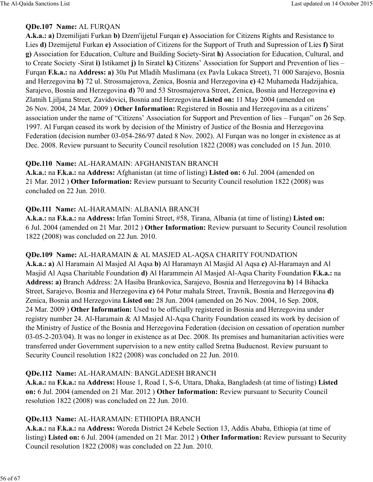#### **QDe.107 Name:** AL FURQAN

**A.k.a.: a)** Dzemilijati Furkan **b)** Dzem'ijjetul Furqan **c)** Association for Citizens Rights and Resistance to Lies **d)** Dzemijetul Furkan **e)** Association of Citizens for the Support of Truth and Supression of Lies **f)** Sirat **g)** Association for Education, Culture and Building Society-Sirat **h)** Association for Education, Cultural, and to Create Society -Sirat **i)** Istikamet **j)** In Siratel **k)** Citizens' Association for Support and Prevention of lies – Furqan **F.k.a.:** na **Address: a)** 30a Put Mladih Muslimana (ex Pavla Lukaca Street), 71 000 Sarajevo, Bosnia and Herzegovina **b)** 72 ul. Strossmajerova, Zenica, Bosnia and Herzegovina **c)** 42 Muhameda Hadzijahica, Sarajevo, Bosnia and Herzegovina **d)** 70 and 53 Strosmajerova Street, Zenica, Bosnia and Herzegovina **e)** Zlatnih Ljiljana Street, Zavidovici, Bosnia and Herzegovina **Listed on:** 11 May 2004 (amended on 26 Nov. 2004, 24 Mar. 2009 ) **Other Information:** Registered in Bosnia and Herzegovina as a citizens' association under the name of "Citizens' Association for Support and Prevention of lies – Furqan" on 26 Sep. 1997. Al Furqan ceased its work by decision of the Ministry of Justice of the Bosnia and Herzegovina Federation (decision number 03-054-286/97 dated 8 Nov. 2002). Al Furqan was no longer in existence as at Dec. 2008. Review pursuant to Security Council resolution 1822 (2008) was concluded on 15 Jun. 2010.

#### **QDe.110 Name:** AL-HARAMAIN: AFGHANISTAN BRANCH

**A.k.a.:** na **F.k.a.:** na **Address:** Afghanistan (at time of listing) **Listed on:** 6 Jul. 2004 (amended on 21 Mar. 2012 ) **Other Information:** Review pursuant to Security Council resolution 1822 (2008) was concluded on 22 Jun. 2010.

#### **QDe.111 Name:** AL-HARAMAIN: ALBANIA BRANCH

**A.k.a.:** na **F.k.a.:** na **Address:** Irfan Tomini Street, #58, Tirana, Albania (at time of listing) **Listed on:** 6 Jul. 2004 (amended on 21 Mar. 2012 ) **Other Information:** Review pursuant to Security Council resolution 1822 (2008) was concluded on 22 Jun. 2010.

#### **QDe.109 Name:** AL-HARAMAIN & AL MASJED AL-AQSA CHARITY FOUNDATION

**A.k.a.: a)** Al Haramain Al Masjed Al Aqsa **b)** Al Haramayn Al Masjid Al Aqsa **c)** Al-Haramayn and Al Masjid Al Aqsa Charitable Foundation **d)** Al Harammein Al Masjed Al-Aqsa Charity Foundation **F.k.a.:** na **Address: a)** Branch Address: 2A Hasiba Brankovica, Sarajevo, Bosnia and Herzegovina **b)** 14 Bihacka Street, Sarajevo, Bosnia and Herzegovina **c)** 64 Potur mahala Street, Travnik, Bosnia and Herzegovina **d)** Zenica, Bosnia and Herzegovina **Listed on:** 28 Jun. 2004 (amended on 26 Nov. 2004, 16 Sep. 2008, 24 Mar. 2009 ) **Other Information:** Used to be officially registered in Bosnia and Herzegovina under registry number 24. Al-Haramain & Al Masjed Al-Aqsa Charity Foundation ceased its work by decision of the Ministry of Justice of the Bosnia and Herzegovina Federation (decision on cessation of operation number 03-05-2-203/04). It was no longer in existence as at Dec. 2008. Its premises and humanitarian activities were transferred under Government supervision to a new entity called Sretna Buducnost. Review pursuant to Security Council resolution 1822 (2008) was concluded on 22 Jun. 2010.

#### **QDe.112 Name:** AL-HARAMAIN: BANGLADESH BRANCH

**A.k.a.:** na **F.k.a.:** na **Address:** House 1, Road 1, S-6, Uttara, Dhaka, Bangladesh (at time of listing) **Listed on:** 6 Jul. 2004 (amended on 21 Mar. 2012 ) **Other Information:** Review pursuant to Security Council resolution 1822 (2008) was concluded on 22 Jun. 2010.

### **QDe.113 Name:** AL-HARAMAIN: ETHIOPIA BRANCH

**A.k.a.:** na **F.k.a.:** na **Address:** Woreda District 24 Kebele Section 13, Addis Ababa, Ethiopia (at time of listing) **Listed on:** 6 Jul. 2004 (amended on 21 Mar. 2012 ) **Other Information:** Review pursuant to Security Council resolution 1822 (2008) was concluded on 22 Jun. 2010.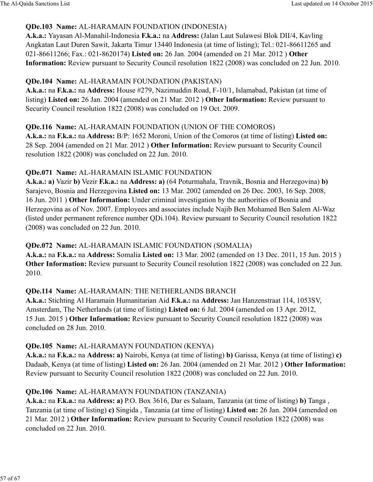### **QDe.103 Name:** AL-HARAMAIN FOUNDATION (INDONESIA)

**A.k.a.:** Yayasan Al-Manahil-Indonesia **F.k.a.:** na **Address:** (Jalan Laut Sulawesi Blok DII/4, Kavling Angkatan Laut Duren Sawit, Jakarta Timur 13440 Indonesia (at time of listing); Tel.: 021-86611265 and 021-86611266; Fax.: 021-8620174) **Listed on:** 26 Jan. 2004 (amended on 21 Mar. 2012 ) **Other Information:** Review pursuant to Security Council resolution 1822 (2008) was concluded on 22 Jun. 2010.

### **QDe.104 Name:** AL-HARAMAIN FOUNDATION (PAKISTAN)

**A.k.a.:** na **F.k.a.:** na **Address:** House #279, Nazimuddin Road, F-10/1, Islamabad, Pakistan (at time of listing) **Listed on:** 26 Jan. 2004 (amended on 21 Mar. 2012 ) **Other Information:** Review pursuant to Security Council resolution 1822 (2008) was concluded on 19 Oct. 2009.

### **QDe.116 Name:** AL-HARAMAIN FOUNDATION (UNION OF THE COMOROS)

**A.k.a.:** na **F.k.a.:** na **Address:** B/P: 1652 Moroni, Union of the Comoros (at time of listing) **Listed on:** 28 Sep. 2004 (amended on 21 Mar. 2012 ) **Other Information:** Review pursuant to Security Council resolution 1822 (2008) was concluded on 22 Jun. 2010.

### **QDe.071 Name:** AL-HARAMAIN ISLAMIC FOUNDATION

**A.k.a.: a)** Vazir **b)** Vezir **F.k.a.:** na **Address: a)** (64 Poturmahala, Travnik, Bosnia and Herzegovina) **b)** Sarajevo, Bosnia and Herzegovina **Listed on:** 13 Mar. 2002 (amended on 26 Dec. 2003, 16 Sep. 2008, 16 Jun. 2011 ) **Other Information:** Under criminal investigation by the authorities of Bosnia and Herzegovina as of Nov. 2007. Employees and associates include Najib Ben Mohamed Ben Salem Al-Waz (listed under permanent reference number QDi.104). Review pursuant to Security Council resolution 1822 (2008) was concluded on 22 Jun. 2010.

### **QDe.072 Name:** AL-HARAMAIN ISLAMIC FOUNDATION (SOMALIA)

**A.k.a.:** na **F.k.a.:** na **Address:** Somalia **Listed on:** 13 Mar. 2002 (amended on 13 Dec. 2011, 15 Jun. 2015 ) **Other Information:** Review pursuant to Security Council resolution 1822 (2008) was concluded on 22 Jun. 2010.

### **QDe.114 Name:** AL-HARAMAIN: THE NETHERLANDS BRANCH

**A.k.a.:** Stichting Al Haramain Humanitarian Aid **F.k.a.:** na **Address:** Jan Hanzenstraat 114, 1053SV, Amsterdam, The Netherlands (at time of listing) **Listed on:** 6 Jul. 2004 (amended on 13 Apr. 2012, 15 Jun. 2015 ) **Other Information:** Review pursuant to Security Council resolution 1822 (2008) was concluded on 28 Jun. 2010.

### **QDe.105 Name:** AL-HARAMAYN FOUNDATION (KENYA)

**A.k.a.:** na **F.k.a.:** na **Address: a)** Nairobi, Kenya (at time of listing) **b)** Garissa, Kenya (at time of listing) **c)** Dadaab, Kenya (at time of listing) **Listed on:** 26 Jan. 2004 (amended on 21 Mar. 2012 ) **Other Information:** Review pursuant to Security Council resolution 1822 (2008) was concluded on 22 Jun. 2010.

### **QDe.106 Name:** AL-HARAMAYN FOUNDATION (TANZANIA)

**A.k.a.:** na **F.k.a.:** na **Address: a)** P.O. Box 3616, Dar es Salaam, Tanzania (at time of listing) **b)** Tanga , Tanzania (at time of listing) **c)** Singida , Tanzania (at time of listing) **Listed on:** 26 Jan. 2004 (amended on 21 Mar. 2012 ) **Other Information:** Review pursuant to Security Council resolution 1822 (2008) was concluded on 22 Jun. 2010.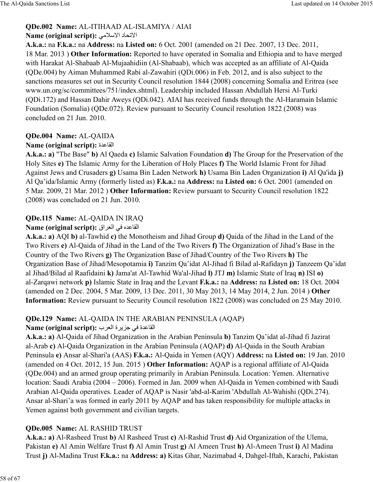### **QDe.002 Name:** AL-ITIHAAD AL-ISLAMIYA / AIAI

### **Name (original script):** 6\`evا د8Oتvا

**A.k.a.:** na **F.k.a.:** na **Address:** na **Listed on:** 6 Oct. 2001 (amended on 21 Dec. 2007, 13 Dec. 2011, 18 Mar. 2013 ) **Other Information:** Reported to have operated in Somalia and Ethiopia and to have merged with Harakat Al-Shabaab Al-Mujaahidiin (Al-Shabaab), which was accepted as an affiliate of Al-Qaida (QDe.004) by Aiman Muhammed Rabi al-Zawahiri (QDi.006) in Feb. 2012, and is also subject to the sanctions measures set out in Security Council resolution 1844 (2008) concerning Somalia and Eritrea (see www.un.org/sc/committees/751/index.shtml). Leadership included Hassan Abdullah Hersi Al-Turki (QDi.172) and Hassan Dahir Aweys (QDi.042). AIAI has received funds through the Al-Haramain Islamic Foundation (Somalia) (QDe.072). Review pursuant to Security Council resolution 1822 (2008) was concluded on 21 Jun. 2010.

# **QDe.004 Name:** AL-QAIDA

### **Name (original script):** القاعدة

**A.k.a.: a)** "The Base" **b)** Al Qaeda **c)** Islamic Salvation Foundation **d)** The Group for the Preservation of the Holy Sites **e)** The Islamic Army for the Liberation of Holy Places **f)** The World Islamic Front for Jihad Against Jews and Crusaders **g)** Usama Bin Laden Network **h)** Usama Bin Laden Organization **i)** Al Qa'ida **j)** Al Qa'ida/Islamic Army (formerly listed as) **F.k.a.:** na **Address:** na **Listed on:** 6 Oct. 2001 (amended on 5 Mar. 2009, 21 Mar. 2012 ) **Other Information:** Review pursuant to Security Council resolution 1822 (2008) was concluded on 21 Jun. 2010.

# **QDe.115 Name:** AL-QAIDA IN IRAQ

### القاعده في العراق **:Name (original script)**

**A.k.a.: a)** AQI **b)** al-Tawhid **c)** the Monotheism and Jihad Group **d)** Qaida of the Jihad in the Land of the Two Rivers **e)** Al-Qaida of Jihad in the Land of the Two Rivers **f)** The Organization of Jihad's Base in the Country of the Two Rivers **g)** The Organization Base of Jihad/Country of the Two Rivers **h)** The Organization Base of Jihad/Mesopotamia **i)** Tanzim Qa'idat Al-Jihad fi Bilad al-Rafidayn **j)** Tanzeem Qa'idat al Jihad/Bilad al Raafidaini **k)** Jama'at Al-Tawhid Wa'al-Jihad **l)** JTJ **m)** Islamic State of Iraq **n)** ISI **o)** al-Zarqawi network **p)** Islamic State in Iraq and the Levant **F.k.a.:** na **Address:** na **Listed on:** 18 Oct. 2004 (amended on 2 Dec. 2004, 5 Mar. 2009, 13 Dec. 2011, 30 May 2013, 14 May 2014, 2 Jun. 2014 ) **Other Information:** Review pursuant to Security Council resolution 1822 (2008) was concluded on 25 May 2010.

# **QDe.129 Name:** AL-QAIDA IN THE ARABIAN PENINSULA (AQAP)

# القاعدة في جزير ة العرب **: Name (original script)**

**A.k.a.: a)** Al-Qaida of Jihad Organization in the Arabian Peninsula **b)** Tanzim Qa'idat al-Jihad fi Jazirat al-Arab **c)** Al-Qaida Organization in the Arabian Peninsula (AQAP) **d)** Al-Qaida in the South Arabian Peninsula **e)** Ansar al-Shari'a (AAS) **F.k.a.:** Al-Qaida in Yemen (AQY) **Address:** na **Listed on:** 19 Jan. 2010 (amended on 4 Oct. 2012, 15 Jun. 2015 ) **Other Information:** AQAP is a regional affiliate of Al-Qaida (QDe.004) and an armed group operating primarily in Arabian Peninsula. Location: Yemen. Alternative location: Saudi Arabia (2004 – 2006). Formed in Jan. 2009 when Al-Qaida in Yemen combined with Saudi Arabian Al-Qaida operatives. Leader of AQAP is Nasir 'abd-al-Karim 'Abdullah Al-Wahishi (QDi.274). Ansar al-Shari'a was formed in early 2011 by AQAP and has taken responsibility for multiple attacks in Yemen against both government and civilian targets.

# **QDe.005 Name:** AL RASHID TRUST

**A.k.a.: a)** Al-Rasheed Trust **b)** Al Rasheed Trust **c)** Al-Rashid Trust **d)** Aid Organization of the Ulema, Pakistan **e)** Al Amin Welfare Trust **f)** Al Amin Trust **g)** Al Ameen Trust **h)** Al-Ameen Trust **i)** Al Madina Trust **j)** Al-Madina Trust **F.k.a.:** na **Address: a)** Kitas Ghar, Nazimabad 4, Dahgel-Iftah, Karachi, Pakistan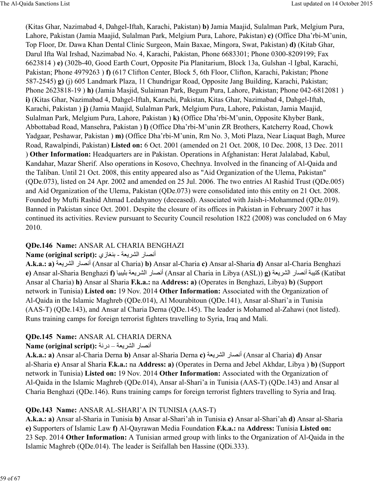(Kitas Ghar, Nazimabad 4, Dahgel-Iftah, Karachi, Pakistan) **b)** Jamia Maajid, Sulalman Park, Melgium Pura, Lahore, Pakistan (Jamia Maajid, Sulalman Park, Melgium Pura, Lahore, Pakistan) **c)** (Office Dha'rbi-M'unin, Top Floor, Dr. Dawa Khan Dental Clinic Surgeon, Main Baxae, Mingora, Swat, Pakistan) **d)** (Kitab Ghar, Darul Ifta Wal Irshad, Nazimabad No. 4, Karachi, Pakistan, Phone 6683301; Phone 0300-8209199; Fax 6623814 ) **e)** (302b-40, Good Earth Court, Opposite Pia Planitarium, Block 13a, Gulshan -l Igbal, Karachi, Pakistan; Phone 4979263 ) **f)** (617 Clifton Center, Block 5, 6th Floor, Clifton, Karachi, Pakistan; Phone 587-2545) **g)** (j) 605 Landmark Plaza, 11 Chundrigar Road, Opposite Jang Building, Karachi, Pakistan; Phone 2623818-19 ) **h)** (Jamia Masjid, Sulaiman Park, Begum Pura, Lahore, Pakistan; Phone 042-6812081 ) **i)** (Kitas Ghar, Nazimabad 4, Dahgel-Iftah, Karachi, Pakistan, Kitas Ghar, Nazimabad 4, Dahgel-Iftah, Karachi, Pakistan ) **j)** (Jamia Maajid, Sulalman Park, Melgium Pura, Lahore, Pakistan, Jamia Maajid, Sulalman Park, Melgium Pura, Lahore, Pakistan ) **k)** (Office Dha'rbi-M'unin, Opposite Khyber Bank, Abbottabad Road, Mansehra, Pakistan ) **l)** (Office Dha'rbi-M'unin ZR Brothers, Katcherry Road, Chowk Yadgaar, Peshawar, Pakistan ) **m)** (Office Dha'rbi-M'unin, Rm No. 3, Moti Plaza, Near Liaquat Bagh, Muree Road, Rawalpindi, Pakistan) **Listed on:** 6 Oct. 2001 (amended on 21 Oct. 2008, 10 Dec. 2008, 13 Dec. 2011 ) **Other Information:** Headquarters are in Pakistan. Operations in Afghanistan: Herat Jalalabad, Kabul, Kandahar, Mazar Sherif. Also operations in Kosovo, Chechnya. Involved in the financing of Al-Qaida and the Taliban. Until 21 Oct. 2008, this entity appeared also as "Aid Organization of the Ulema, Pakistan" (QDe.073), listed on 24 Apr. 2002 and amended on 25 Jul. 2006. The two entries Al Rashid Trust (QDe.005) and Aid Organization of the Ulema, Pakistan (QDe.073) were consolidated into this entity on 21 Oct. 2008. Founded by Mufti Rashid Ahmad Ledahyanoy (deceased). Associated with Jaish-i-Mohammed (QDe.019). Banned in Pakistan since Oct. 2001. Despite the closure of its offices in Pakistan in February 2007 it has continued its activities. Review pursuant to Security Council resolution 1822 (2008) was concluded on 6 May 2010.

### **QDe.146 Name:** ANSAR AL CHARIA BENGHAZI

#### Name (original script): أنصار الشريعة - بنغازي

**A.k.a.: a)** أنصار الشريعة (Ansar al Charia) **b)** Ansar al-Charia **c)** Ansar al-Sharia **d)** Ansar al-Charia Benghazi **e)** Ansar al-Sharia Benghazi **f)** 8c9cúب ódي@C:ا ر8ºDأ) Ansar al Charia in Libya (ASL)) **g)** ódي@C:ا ر8ºDأ ó9c¨ñ (Katibat Ansar al Charia) **h)** Ansar al Sharia **F.k.a.:** na **Address: a)** (Operates in Benghazi, Libya) **b)** (Support network in Tunisia) **Listed on:** 19 Nov. 2014 **Other Information:** Associated with the Organization of Al-Qaida in the Islamic Maghreb (QDe.014), Al Mourabitoun (QDe.141), Ansar al-Shari'a in Tunisia (AAS-T) (QDe.143), and Ansar al Charia Derna (QDe.145). The leader is Mohamed al-Zahawi (not listed). Runs training camps for foreign terrorist fighters travelling to Syria, Iraq and Mali.

### **QDe.145 Name:** ANSAR AL CHARIA DERNA

#### Name (original script): أنصار الشريعة – درنة

**A.k.a.: a)** Ansar al-Charia Derna **b)** Ansar al-Sharia Derna **c)** أنصار الشريعة (Ansar al Charia) **d)** Ansar al-Sharia **e)** Ansar al Sharia **F.k.a.:** na **Address: a)** (Operates in Derna and Jebel Akhdar, Libya ) **b)** (Support network in Tunisia) **Listed on:** 19 Nov. 2014 **Other Information:** Associated with the Organization of Al-Qaida in the Islamic Maghreb (QDe.014), Ansar al-Shari'a in Tunisia (AAS-T) (QDe.143) and Ansar al Charia Benghazi (QDe.146). Runs training camps for foreign terrorist fighters travelling to Syria and Iraq.

### **QDe.143 Name:** ANSAR AL-SHARI'A IN TUNISIA (AAS-T)

**A.k.a.: a)** Ansar al-Sharia in Tunisia **b)** Ansar al-Shari'ah in Tunisia **c)** Ansar al-Shari'ah **d)** Ansar al-Sharia **e)** Supporters of Islamic Law **f)** Al-Qayrawan Media Foundation **F.k.a.:** na **Address:** Tunisia **Listed on:** 23 Sep. 2014 **Other Information:** A Tunisian armed group with links to the Organization of Al-Qaida in the Islamic Maghreb (QDe.014). The leader is Seifallah ben Hassine (QDi.333).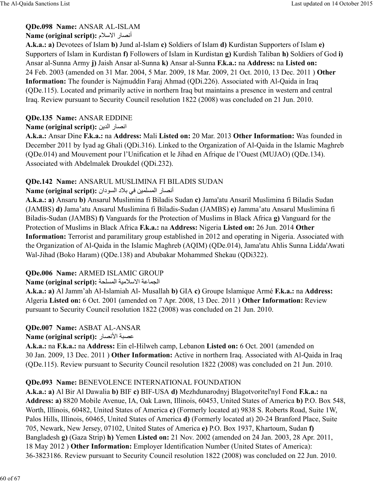### **QDe.098 Name:** ANSAR AL-ISLAM

### Name (original script): أنصار الاسلام

**A.k.a.: a)** Devotees of Islam **b)** Jund al-Islam **c)** Soldiers of Islam **d)** Kurdistan Supporters of Islam **e)** Supporters of Islam in Kurdistan **f)** Followers of Islam in Kurdistan **g)** Kurdish Taliban **h)** Soldiers of God **i)** Ansar al-Sunna Army **j)** Jaish Ansar al-Sunna **k)** Ansar al-Sunna **F.k.a.:** na **Address:** na **Listed on:** 24 Feb. 2003 (amended on 31 Mar. 2004, 5 Mar. 2009, 18 Mar. 2009, 21 Oct. 2010, 13 Dec. 2011 ) **Other Information:** The founder is Najmuddin Faraj Ahmad (QDi.226). Associated with Al-Qaida in Iraq (QDe.115). Located and primarily active in northern Iraq but maintains a presence in western and central Iraq. Review pursuant to Security Council resolution 1822 (2008) was concluded on 21 Jun. 2010.

### **QDe.135 Name:** ANSAR EDDINE

### **Name (original script):** انصار الدين

**A.k.a.:** Ansar Dine **F.k.a.:** na **Address:** Mali **Listed on:** 20 Mar. 2013 **Other Information:** Was founded in December 2011 by Iyad ag Ghali (QDi.316). Linked to the Organization of Al-Qaida in the Islamic Maghreb (QDe.014) and Mouvement pour l'Unification et le Jihad en Afrique de l'Ouest (MUJAO) (QDe.134). Associated with Abdelmalek Droukdel (QDi.232).

### **QDe.142 Name:** ANSARUL MUSLIMINA FI BILADIS SUDAN

### Name (original script): أنصار المسلمين في بلاد السودان

**A.k.a.: a)** Ansaru **b)** Ansarul Muslimina fi Biladis Sudan **c)** Jama'atu Ansaril Muslimina fi Biladis Sudan (JAMBS) **d)** Jama'atu Ansarul Muslimina fi Biladis-Sudan (JAMBS) **e)** Jamma'atu Ansarul Muslimina fi Biladis-Sudan (JAMBS) **f)** Vanguards for the Protection of Muslims in Black Africa **g)** Vanguard for the Protection of Muslims in Black Africa **F.k.a.:** na **Address:** Nigeria **Listed on:** 26 Jun. 2014 **Other Information:** Terrorist and paramilitary group established in 2012 and operating in Nigeria. Associated with the Organization of Al-Qaida in the Islamic Maghreb (AQIM) (QDe.014), Jama'atu Ahlis Sunna Lidda'Awati Wal-Jihad (Boko Haram) (QDe.138) and Abubakar Mohammed Shekau (QDi322).

# **QDe.006 Name:** ARMED ISLAMIC GROUP

### الجماعة الاسلامية المسلحة: **Name (original script)**

**A.k.a.: a)** Al Jamm'ah Al-Islamiah Al- Musallah **b)** GIA **c)** Groupe Islamique Armé **F.k.a.:** na **Address:** Algeria **Listed on:** 6 Oct. 2001 (amended on 7 Apr. 2008, 13 Dec. 2011 ) **Other Information:** Review pursuant to Security Council resolution 1822 (2008) was concluded on 21 Jun. 2010.

# **QDe.007 Name:** ASBAT AL-ANSAR

### **Name (original script):** عصبة الأنصار

**A.k.a.:** na **F.k.a.:** na **Address:** Ein el-Hilweh camp, Lebanon **Listed on:** 6 Oct. 2001 (amended on 30 Jan. 2009, 13 Dec. 2011 ) **Other Information:** Active in northern Iraq. Associated with Al-Qaida in Iraq (QDe.115). Review pursuant to Security Council resolution 1822 (2008) was concluded on 21 Jun. 2010.

### **QDe.093 Name:** BENEVOLENCE INTERNATIONAL FOUNDATION

**A.k.a.: a)** Al Bir Al Dawalia **b)** BIF **c)** BIF-USA **d)** Mezhdunarodnyj Blagotvoritel'nyl Fond **F.k.a.:** na **Address: a)** 8820 Mobile Avenue, IA, Oak Lawn, Illinois, 60453, United States of America **b)** P.O. Box 548, Worth, Illinois, 60482, United States of America **c)** (Formerly located at) 9838 S. Roberts Road, Suite 1W, Palos Hills, Illinois, 60465, United States of America **d)** (Formerly located at) 20-24 Branford Place, Suite 705, Newark, New Jersey, 07102, United States of America **e)** P.O. Box 1937, Khartoum, Sudan **f)** Bangladesh **g)** (Gaza Strip) **h)** Yemen **Listed on:** 21 Nov. 2002 (amended on 24 Jan. 2003, 28 Apr. 2011, 18 May 2012 ) **Other Information:** Employer Identification Number (United States of America): 36-3823186. Review pursuant to Security Council resolution 1822 (2008) was concluded on 22 Jun. 2010.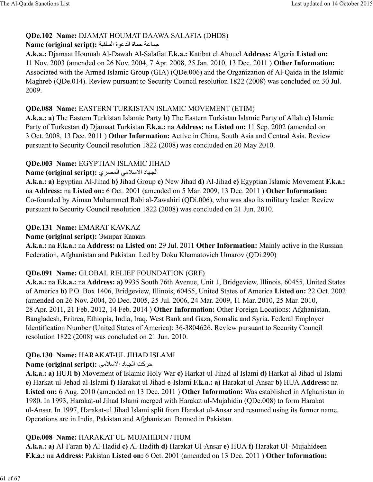### **QDe.102 Name:** DJAMAT HOUMAT DAAWA SALAFIA (DHDS)

#### Rame (original script): جماعة حماة الدعوة السلفية

**A.k.a.:** Djamaat Houmah Al-Dawah Al-Salafiat **F.k.a.:** Katibat el Ahouel **Address:** Algeria **Listed on:** 11 Nov. 2003 (amended on 26 Nov. 2004, 7 Apr. 2008, 25 Jan. 2010, 13 Dec. 2011 ) **Other Information:** Associated with the Armed Islamic Group (GIA) (QDe.006) and the Organization of Al-Qaida in the Islamic Maghreb (QDe.014). Review pursuant to Security Council resolution 1822 (2008) was concluded on 30 Jul. 2009.

### **QDe.088 Name:** EASTERN TURKISTAN ISLAMIC MOVEMENT (ETIM)

**A.k.a.: a)** The Eastern Turkistan Islamic Party **b)** The Eastern Turkistan Islamic Party of Allah **c)** Islamic Party of Turkestan **d)** Djamaat Turkistan **F.k.a.:** na **Address:** na **Listed on:** 11 Sep. 2002 (amended on 3 Oct. 2008, 13 Dec. 2011 ) **Other Information:** Active in China, South Asia and Central Asia. Review pursuant to Security Council resolution 1822 (2008) was concluded on 20 May 2010.

### **QDe.003 Name:** EGYPTIAN ISLAMIC JIHAD

### الجهاد الاسلامي المصري : Name (original script)

**A.k.a.: a)** Egyptian Al-Jihad **b)** Jihad Group **c)** New Jihad **d)** Al-Jihad **e)** Egyptian Islamic Movement **F.k.a.:** na **Address:** na **Listed on:** 6 Oct. 2001 (amended on 5 Mar. 2009, 13 Dec. 2011 ) **Other Information:** Co-founded by Aiman Muhammed Rabi al-Zawahiri (QDi.006), who was also its military leader. Review pursuant to Security Council resolution 1822 (2008) was concluded on 21 Jun. 2010.

### **QDe.131 Name:** EMARAT KAVKAZ

### **Name (original script):** Эмират Кавказ

**A.k.a.:** na **F.k.a.:** na **Address:** na **Listed on:** 29 Jul. 2011 **Other Information:** Mainly active in the Russian Federation, Afghanistan and Pakistan. Led by Doku Khamatovich Umarov (QDi.290)

### **QDe.091 Name:** GLOBAL RELIEF FOUNDATION (GRF)

**A.k.a.:** na **F.k.a.:** na **Address: a)** 9935 South 76th Avenue, Unit 1, Bridgeview, Illinois, 60455, United States of America **b)** P.O. Box 1406, Bridgeview, Illinois, 60455, United States of America **Listed on:** 22 Oct. 2002 (amended on 26 Nov. 2004, 20 Dec. 2005, 25 Jul. 2006, 24 Mar. 2009, 11 Mar. 2010, 25 Mar. 2010, 28 Apr. 2011, 21 Feb. 2012, 14 Feb. 2014 ) **Other Information:** Other Foreign Locations: Afghanistan, Bangladesh, Eritrea, Ethiopia, India, Iraq, West Bank and Gaza, Somalia and Syria. Federal Employer Identification Number (United States of America): 36-3804626. Review pursuant to Security Council resolution 1822 (2008) was concluded on 21 Jun. 2010.

### **QDe.130 Name:** HARAKAT-UL JIHAD ISLAMI

# **Name (original script):** û\`evا د8Ùò:ا ıک@ح

**A.k.a.: a)** HUJI **b)** Movement of Islamic Holy War **c)** Harkat-ul-Jihad-al Islami **d)** Harkat-al-Jihad-ul Islami **e)** Harkat-ul-Jehad-al-Islami **f)** Harakat ul Jihad-e-Islami **F.k.a.: a)** Harakat-ul-Ansar **b)** HUA **Address:** na **Listed on:** 6 Aug. 2010 (amended on 13 Dec. 2011 ) **Other Information:** Was established in Afghanistan in 1980. In 1993, Harakat-ul Jihad Islami merged with Harakat ul-Mujahidin (QDe.008) to form Harakat ul-Ansar. In 1997, Harakat-ul Jihad Islami split from Harakat ul-Ansar and resumed using its former name. Operations are in India, Pakistan and Afghanistan. Banned in Pakistan.

# **QDe.008 Name:** HARAKAT UL-MUJAHIDIN / HUM

**A.k.a.: a)** Al-Faran **b)** Al-Hadid **c)** Al-Hadith **d)** Harakat Ul-Ansar **e)** HUA **f)** Harakat Ul- Mujahideen **F.k.a.:** na **Address:** Pakistan **Listed on:** 6 Oct. 2001 (amended on 13 Dec. 2011 ) **Other Information:**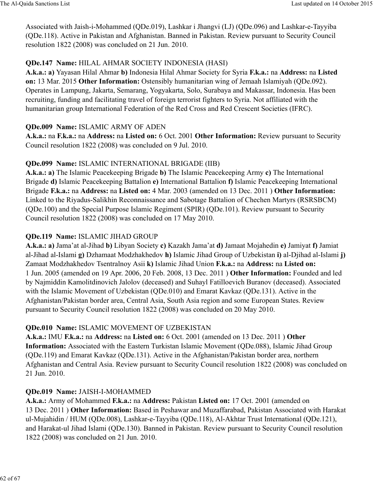Associated with Jaish-i-Mohammed (QDe.019), Lashkar i Jhangvi (LJ) (QDe.096) and Lashkar-e-Tayyiba (QDe.118). Active in Pakistan and Afghanistan. Banned in Pakistan. Review pursuant to Security Council resolution 1822 (2008) was concluded on 21 Jun. 2010.

### **QDe.147 Name:** HILAL AHMAR SOCIETY INDONESIA (HASI)

**A.k.a.: a)** Yayasan Hilal Ahmar **b)** Indonesia Hilal Ahmar Society for Syria **F.k.a.:** na **Address:** na **Listed on:** 13 Mar. 2015 **Other Information:** Ostensibly humanitarian wing of Jemaah Islamiyah (QDe.092). Operates in Lampung, Jakarta, Semarang, Yogyakarta, Solo, Surabaya and Makassar, Indonesia. Has been recruiting, funding and facilitating travel of foreign terrorist fighters to Syria. Not affiliated with the humanitarian group International Federation of the Red Cross and Red Crescent Societies (IFRC).

### **QDe.009 Name:** ISLAMIC ARMY OF ADEN

**A.k.a.:** na **F.k.a.:** na **Address:** na **Listed on:** 6 Oct. 2001 **Other Information:** Review pursuant to Security Council resolution 1822 (2008) was concluded on 9 Jul. 2010.

# **QDe.099 Name:** ISLAMIC INTERNATIONAL BRIGADE (IIB)

**A.k.a.: a)** The Islamic Peacekeeping Brigade **b)** The Islamic Peacekeeping Army **c)** The International Brigade **d)** Islamic Peacekeeping Battalion **e)** International Battalion **f)** Islamic Peacekeeping International Brigade **F.k.a.:** na **Address:** na **Listed on:** 4 Mar. 2003 (amended on 13 Dec. 2011 ) **Other Information:** Linked to the Riyadus-Salikhin Reconnaissance and Sabotage Battalion of Chechen Martyrs (RSRSBCM) (QDe.100) and the Special Purpose Islamic Regiment (SPIR) (QDe.101). Review pursuant to Security Council resolution 1822 (2008) was concluded on 17 May 2010.

### **QDe.119 Name:** ISLAMIC JIHAD GROUP

**A.k.a.: a)** Jama'at al-Jihad **b)** Libyan Society **c)** Kazakh Jama'at **d)** Jamaat Mojahedin **e)** Jamiyat **f)** Jamiat al-Jihad al-Islami **g)** Dzhamaat Modzhakhedov **h)** Islamic Jihad Group of Uzbekistan **i)** al-Djihad al-Islami **j)** Zamaat Modzhakhedov Tsentralnoy Asii **k)** Islamic Jihad Union **F.k.a.:** na **Address:** na **Listed on:** 1 Jun. 2005 (amended on 19 Apr. 2006, 20 Feb. 2008, 13 Dec. 2011 ) **Other Information:** Founded and led by Najmiddin Kamolitdinovich Jalolov (deceased) and Suhayl Fatilloevich Buranov (deceased). Associated with the Islamic Movement of Uzbekistan (QDe.010) and Emarat Kavkaz (QDe.131). Active in the Afghanistan/Pakistan border area, Central Asia, South Asia region and some European States. Review pursuant to Security Council resolution 1822 (2008) was concluded on 20 May 2010.

# **QDe.010 Name:** ISLAMIC MOVEMENT OF UZBEKISTAN

**A.k.a.:** IMU **F.k.a.:** na **Address:** na **Listed on:** 6 Oct. 2001 (amended on 13 Dec. 2011 ) **Other Information:** Associated with the Eastern Turkistan Islamic Movement (QDe.088), Islamic Jihad Group (QDe.119) and Emarat Kavkaz (QDe.131). Active in the Afghanistan/Pakistan border area, northern Afghanistan and Central Asia. Review pursuant to Security Council resolution 1822 (2008) was concluded on 21 Jun. 2010.

# **QDe.019 Name:** JAISH-I-MOHAMMED

**A.k.a.:** Army of Mohammed **F.k.a.:** na **Address:** Pakistan **Listed on:** 17 Oct. 2001 (amended on 13 Dec. 2011 ) **Other Information:** Based in Peshawar and Muzaffarabad, Pakistan Associated with Harakat ul-Mujahidin / HUM (QDe.008), Lashkar-e-Tayyiba (QDe.118), Al-Akhtar Trust International (QDe.121), and Harakat-ul Jihad Islami (QDe.130). Banned in Pakistan. Review pursuant to Security Council resolution 1822 (2008) was concluded on 21 Jun. 2010.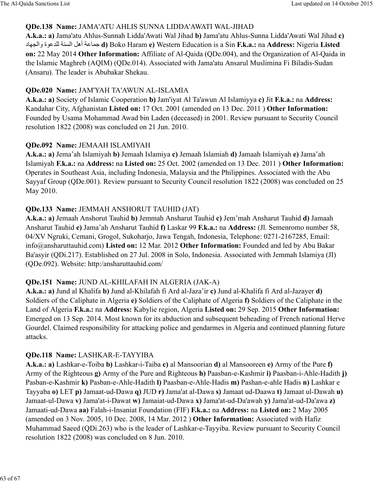#### **QDe.138 Name:** JAMA'ATU AHLIS SUNNA LIDDA'AWATI WAL-JIHAD

**A.k.a.: a)** Jama'atu Ahlus-Sunnah Lidda'Awati Wal Jihad **b)** Jama'atu Ahlus-Sunna Lidda'Awati Wal Jihad **c)** د8ò:وا ةB=<ú: óya:ا† أھ ó=8[b **d)** Boko Haram **e)** Western Education is a Sin **F.k.a.:** na **Address:** Nigeria **Listed on:** 22 May 2014 **Other Information:** Affiliate of Al-Qaida (QDe.004), and the Organization of Al-Qaida in the Islamic Maghreb (AQIM) (QDe.014). Associated with Jama'atu Ansarul Muslimina Fi Biladis-Sudan (Ansaru). The leader is Abubakar Shekau.

### **QDe.020 Name:** JAM'YAH TA'AWUN AL-ISLAMIA

**A.k.a.: a)** Society of Islamic Cooperation **b)** Jam'iyat Al Ta'awun Al Islamiyya **c)** Jit **F.k.a.:** na **Address:** Kandahar City, Afghanistan **Listed on:** 17 Oct. 2001 (amended on 13 Dec. 2011 ) **Other Information:** Founded by Usama Mohammad Awad bin Laden (deceased) in 2001. Review pursuant to Security Council resolution 1822 (2008) was concluded on 21 Jun. 2010.

### **QDe.092 Name:** JEMAAH ISLAMIYAH

**A.k.a.: a)** Jema'ah Islamiyah **b)** Jemaah Islamiya **c)** Jemaah Islamiah **d)** Jamaah Islamiyah **e)** Jama'ah Islamiyah **F.k.a.:** na **Address:** na **Listed on:** 25 Oct. 2002 (amended on 13 Dec. 2011 ) **Other Information:** Operates in Southeast Asia, including Indonesia, Malaysia and the Philippines. Associated with the Abu Sayyaf Group (QDe.001). Review pursuant to Security Council resolution 1822 (2008) was concluded on 25 May 2010.

### **QDe.133 Name:** JEMMAH ANSHORUT TAUHID (JAT)

**A.k.a.: a)** Jemaah Anshorut Tauhid **b)** Jemmah Ansharut Tauhid **c)** Jem'mah Ansharut Tauhid **d)** Jamaah Ansharut Tauhid **e)** Jama'ah Ansharut Tauhid **f)** Laskar 99 **F.k.a.:** na **Address:** (Jl. Semenromo number 58, 04/XV Ngruki, Cemani, Grogol, Sukoharjo, Jawa Tengah, Indonesia, Telephone: 0271-2167285, Email: info@ansharuttauhid.com) **Listed on:** 12 Mar. 2012 **Other Information:** Founded and led by Abu Bakar Ba'asyir (QDi.217). Established on 27 Jul. 2008 in Solo, Indonesia. Associated with Jemmah Islamiya (JI) (QDe.092). Website: http:/ansharuttauhid.com/

# **QDe.151 Name:** JUND AL-KHILAFAH IN ALGERIA (JAK-A)

**A.k.a.: a)** Jund al Khalifa **b)** Jund al-Khilafah fi Ard al-Jaza'ir **c)** Jund al-Khalifa fi Ard al-Jazayer **d)** Soldiers of the Caliphate in Algeria **e)** Soldiers of the Caliphate of Algeria **f)** Soldiers of the Caliphate in the Land of Algeria **F.k.a.:** na **Address:** Kabylie region, Algeria **Listed on:** 29 Sep. 2015 **Other Information:** Emerged on 13 Sep. 2014. Most known for its abduction and subsequent beheading of French national Herve Gourdel. Claimed responsibility for attacking police and gendarmes in Algeria and continued planning future attacks.

# **QDe.118 Name:** LASHKAR-E-TAYYIBA

**A.k.a.: a)** Lashkar-e-Toiba **b)** Lashkar-i-Taiba **c)** al Mansoorian **d)** al Mansooreen **e)** Army of the Pure **f)** Army of the Righteous **g)** Army of the Pure and Righteous **h)** Paasban-e-Kashmir **i)** Paasban-i-Ahle-Hadith **j)** Pasban-e-Kashmir **k)** Pasban-e-Ahle-Hadith **l)** Paasban-e-Ahle-Hadis **m)** Pashan-e-ahle Hadis **n)** Lashkar e Tayyaba **o)** LET **p)** Jamaat-ud-Dawa **q)** JUD **r)** Jama'at al-Dawa **s)** Jamaat ud-Daawa **t)** Jamaat ul-Dawah **u)** Jamaat-ul-Dawa **v)** Jama'at-i-Dawat **w)** Jamaiat-ud-Dawa **x)** Jama'at-ud-Da'awah **y)** Jama'at-ud-Da'awa **z)** Jamaati-ud-Dawa **aa)** Falah-i-Insaniat Foundation (FIF) **F.k.a.:** na **Address:** na **Listed on:** 2 May 2005 (amended on 3 Nov. 2005, 10 Dec. 2008, 14 Mar. 2012 ) **Other Information:** Associated with Hafiz Muhammad Saeed (QDi.263) who is the leader of Lashkar-e-Tayyiba. Review pursuant to Security Council resolution 1822 (2008) was concluded on 8 Jun. 2010.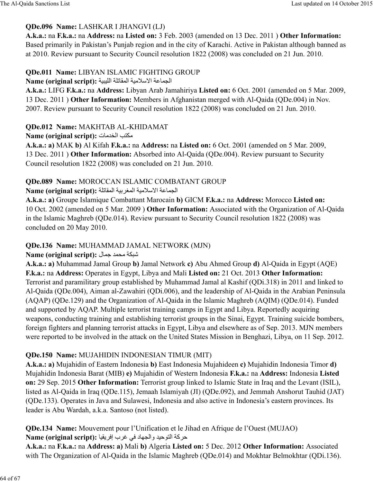### **QDe.096 Name:** LASHKAR I JHANGVI (LJ)

**A.k.a.:** na **F.k.a.:** na **Address:** na **Listed on:** 3 Feb. 2003 (amended on 13 Dec. 2011 ) **Other Information:** Based primarily in Pakistan's Punjab region and in the city of Karachi. Active in Pakistan although banned as at 2010. Review pursuant to Security Council resolution 1822 (2008) was concluded on 21 Jun. 2010.

### **QDe.011 Name:** LIBYAN ISLAMIC FIGHTING GROUP

#### الجماعة الاسلامية المقاتلة الليبية : Name (original script)

**A.k.a.:** LIFG **F.k.a.:** na **Address:** Libyan Arab Jamahiriya **Listed on:** 6 Oct. 2001 (amended on 5 Mar. 2009, 13 Dec. 2011 ) **Other Information:** Members in Afghanistan merged with Al-Qaida (QDe.004) in Nov. 2007. Review pursuant to Security Council resolution 1822 (2008) was concluded on 21 Jun. 2010.

### **QDe.012 Name:** MAKHTAB AL-KHIDAMAT

#### **Name (original script):** ت8>\Y:ا j¨õ\

**A.k.a.: a)** MAK **b)** Al Kifah **F.k.a.:** na **Address:** na **Listed on:** 6 Oct. 2001 (amended on 5 Mar. 2009, 13 Dec. 2011 ) **Other Information:** Absorbed into Al-Qaida (QDe.004). Review pursuant to Security Council resolution 1822 (2008) was concluded on 21 Jun. 2010.

# **QDe.089 Name:** MOROCCAN ISLAMIC COMBATANT GROUP

#### الجماعة الاسلامية المغربية المقاتلة : Name (original script)

**A.k.a.: a)** Groupe Islamique Combattant Marocain **b)** GICM **F.k.a.:** na **Address:** Morocco **Listed on:** 10 Oct. 2002 (amended on 5 Mar. 2009 ) **Other Information:** Associated with the Organization of Al-Qaida in the Islamic Maghreb (QDe.014). Review pursuant to Security Council resolution 1822 (2008) was concluded on 20 May 2010.

### **QDe.136 Name:** MUHAMMAD JAMAL NETWORK (MJN)

#### $\boldsymbol{\mathrm{Name}}$  (original script): شبكة محمد جمال

**A.k.a.: a)** Muhammad Jamal Group **b)** Jamal Network **c)** Abu Ahmed Group **d)** Al-Qaida in Egypt (AQE) **F.k.a.:** na **Address:** Operates in Egypt, Libya and Mali **Listed on:** 21 Oct. 2013 **Other Information:** Terrorist and paramilitary group established by Muhammad Jamal al Kashif (QDi.318) in 2011 and linked to Al-Qaida (QDe.004), Aiman al-Zawahiri (QDi.006), and the leadership of Al-Qaida in the Arabian Peninsula (AQAP) (QDe.129) and the Organization of Al-Qaida in the Islamic Maghreb (AQIM) (QDe.014). Funded and supported by AQAP. Multiple terrorist training camps in Egypt and Libya. Reportedly acquiring weapons, conducting training and establishing terrorist groups in the Sinai, Egypt. Training suicide bombers, foreign fighters and planning terrorist attacks in Egypt, Libya and elsewhere as of Sep. 2013. MJN members were reported to be involved in the attack on the United States Mission in Benghazi, Libya, on 11 Sep. 2012.

### **QDe.150 Name:** MUJAHIDIN INDONESIAN TIMUR (MIT)

**A.k.a.: a)** Mujahidin of Eastern Indonesia **b)** East Indonesia Mujahideen **c)** Mujahidin Indonesia Timor **d)** Mujahidin Indonesia Barat (MIB) **e)** Mujahidin of Western Indonesia **F.k.a.:** na **Address:** Indonesia **Listed on:** 29 Sep. 2015 **Other Information:** Terrorist group linked to Islamic State in Iraq and the Levant (ISIL), listed as Al-Qaida in Iraq (QDe.115), Jemaah Islamiyah (JI) (QDe.092), and Jemmah Anshorut Tauhid (JAT) (QDe.133). Operates in Java and Sulawesi, Indonesia and also active in Indonesia's eastern provinces. Its leader is Abu Wardah, a.k.a. Santoso (not listed).

**QDe.134 Name:** Mouvement pour l'Unification et le Jihad en Afrique de l'Ouest (MUJAO) **Name (original script):** 8cqي@Nإ ب@w 6N د8ò:وا> cحB¨:ا óñ@ح

**A.k.a.:** na **F.k.a.:** na **Address: a)** Mali **b)** Algeria **Listed on:** 5 Dec. 2012 **Other Information:** Associated with The Organization of Al-Qaida in the Islamic Maghreb (ODe.014) and Mokhtar Belmokhtar (ODi.136).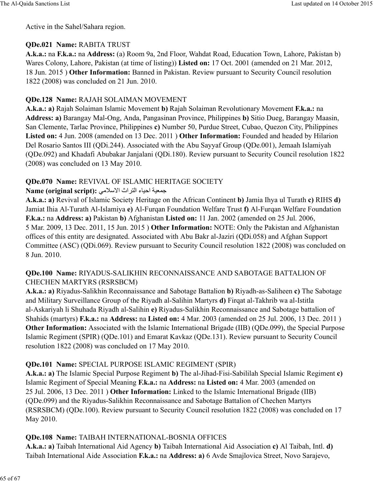Active in the Sahel/Sahara region.

### **QDe.021 Name:** RABITA TRUST

**A.k.a.:** na **F.k.a.:** na **Address:** (a) Room 9a, 2nd Floor, Wahdat Road, Education Town, Lahore, Pakistan b) Wares Colony, Lahore, Pakistan (at time of listing)) **Listed on:** 17 Oct. 2001 (amended on 21 Mar. 2012, 18 Jun. 2015 ) **Other Information:** Banned in Pakistan. Review pursuant to Security Council resolution 1822 (2008) was concluded on 21 Jun. 2010.

### **QDe.128 Name:** RAJAH SOLAIMAN MOVEMENT

**A.k.a.: a)** Rajah Solaiman Islamic Movement **b)** Rajah Solaiman Revolutionary Movement **F.k.a.:** na **Address: a)** Barangay Mal-Ong, Anda, Pangasinan Province, Philippines **b)** Sitio Dueg, Barangay Maasin, San Clemente, Tarlac Province, Philippines **c)** Number 50, Purdue Street, Cubao, Quezon City, Philippines **Listed on:** 4 Jun. 2008 (amended on 13 Dec. 2011 ) **Other Information:** Founded and headed by Hilarion Del Rosario Santos III (QDi.244). Associated with the Abu Sayyaf Group (QDe.001), Jemaah Islamiyah (QDe.092) and Khadafi Abubakar Janjalani (QDi.180). Review pursuant to Security Council resolution 1822 (2008) was concluded on 13 May 2010.

### **QDe.070 Name:** REVIVAL OF ISLAMIC HERITAGE SOCIETY

### **Name (original script):** 6\`evا اث̈@:ا ء8cاح ócd[b

**A.k.a.: a)** Revival of Islamic Society Heritage on the African Continent **b)** Jamia Ihya ul Turath **c)** RIHS **d)** Jamiat Ihia Al-Turath Al-Islamiya **e)** Al-Furqan Foundation Welfare Trust **f)** Al-Furqan Welfare Foundation **F.k.a.:** na **Address: a)** Pakistan **b)** Afghanistan **Listed on:** 11 Jan. 2002 (amended on 25 Jul. 2006, 5 Mar. 2009, 13 Dec. 2011, 15 Jun. 2015 ) **Other Information:** NOTE: Only the Pakistan and Afghanistan offices of this entity are designated. Associated with Abu Bakr al-Jaziri (QDi.058) and Afghan Support Committee (ASC) (QDi.069). Review pursuant to Security Council resolution 1822 (2008) was concluded on 8 Jun. 2010.

### **QDe.100 Name:** RIYADUS-SALIKHIN RECONNAISSANCE AND SABOTAGE BATTALION OF CHECHEN MARTYRS (RSRSBCM)

**A.k.a.: a)** Riyadus-Salikhin Reconnaissance and Sabotage Battalion **b)** Riyadh-as-Saliheen **c)** The Sabotage and Military Surveillance Group of the Riyadh al-Salihin Martyrs **d)** Firqat al-Takhrib wa al-Istitla al-Askariyah li Shuhada Riyadh al-Salihin **e)** Riyadus-Salikhin Reconnaissance and Sabotage battalion of Shahids (martyrs) **F.k.a.:** na **Address:** na **Listed on:** 4 Mar. 2003 (amended on 25 Jul. 2006, 13 Dec. 2011 ) **Other Information:** Associated with the Islamic International Brigade (IIB) (QDe.099), the Special Purpose Islamic Regiment (SPIR) (QDe.101) and Emarat Kavkaz (QDe.131). Review pursuant to Security Council resolution 1822 (2008) was concluded on 17 May 2010.

### **QDe.101 Name:** SPECIAL PURPOSE ISLAMIC REGIMENT (SPIR)

**A.k.a.: a)** The Islamic Special Purpose Regiment **b)** The al-Jihad-Fisi-Sabililah Special Islamic Regiment **c)** Islamic Regiment of Special Meaning **F.k.a.:** na **Address:** na **Listed on:** 4 Mar. 2003 (amended on 25 Jul. 2006, 13 Dec. 2011 ) **Other Information:** Linked to the Islamic International Brigade (IIB) (QDe.099) and the Riyadus-Salikhin Reconnaissance and Sabotage Battalion of Chechen Martyrs (RSRSBCM) (QDe.100). Review pursuant to Security Council resolution 1822 (2008) was concluded on 17 May 2010.

### **QDe.108 Name:** TAIBAH INTERNATIONAL-BOSNIA OFFICES

**A.k.a.: a)** Taibah International Aid Agency **b)** Taibah International Aid Association **c)** Al Taibah, Intl. **d)** Taibah International Aide Association **F.k.a.:** na **Address: a)** 6 Avde Smajlovica Street, Novo Sarajevo,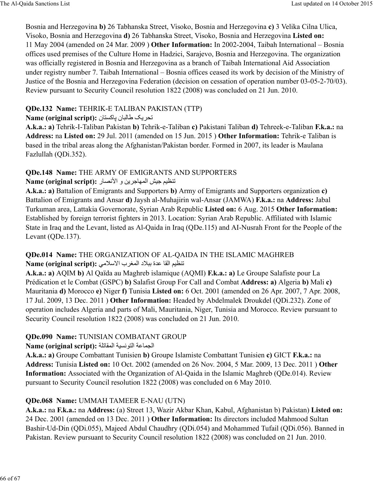Bosnia and Herzegovina **b)** 26 Tabhanska Street, Visoko, Bosnia and Herzegovina **c)** 3 Velika Cilna Ulica, Visoko, Bosnia and Herzegovina **d)** 26 Tabhanska Street, Visoko, Bosnia and Herzegovina **Listed on:** 11 May 2004 (amended on 24 Mar. 2009 ) **Other Information:** In 2002-2004, Taibah International – Bosnia offices used premises of the Culture Home in Hadzici, Sarajevo, Bosnia and Herzegovina. The organization was officially registered in Bosnia and Herzegovina as a branch of Taibah International Aid Association under registry number 7. Taibah International – Bosnia offices ceased its work by decision of the Ministry of Justice of the Bosnia and Herzegovina Federation (decision on cessation of operation number 03-05-2-70/03). Review pursuant to Security Council resolution 1822 (2008) was concluded on 21 Jun. 2010.

# **QDe.132 Name:** TEHRIK-E TALIBAN PAKISTAN (TTP)

### تحريك طالبان باكستان : Name (original script)

**A.k.a.: a)** Tehrik-I-Taliban Pakistan **b)** Tehrik-e-Taliban **c)** Pakistani Taliban **d)** Tehreek-e-Taliban **F.k.a.:** na **Address:** na **Listed on:** 29 Jul. 2011 (amended on 15 Jun. 2015 ) **Other Information:** Tehrik-e Taliban is based in the tribal areas along the Afghanistan/Pakistan border. Formed in 2007, its leader is Maulana Fazlullah (QDi.352).

# **QDe.148 Name:** THE ARMY OF EMIGRANTS AND SUPPORTERS

# **Name (original script):** ر8ºDÂا و hي@b8[:ا Ÿcb üc¬yت

**A.k.a.: a)** Battalion of Emigrants and Supporters **b)** Army of Emigrants and Supporters organization **c)** Battalion of Emigrants and Ansar **d)** Jaysh al-Muhajirin wal-Ansar (JAMWA) **F.k.a.:** na **Address:** Jabal Turkuman area, Lattakia Governorate, Syrian Arab Republic **Listed on:** 6 Aug. 2015 **Other Information:** Established by foreign terrorist fighters in 2013. Location: Syrian Arab Republic. Affiliated with Islamic State in Iraq and the Levant, listed as Al-Qaida in Iraq (QDe.115) and AI-Nusrah Front for the People of the Levant (ODe.137).

### **QDe.014 Name:** THE ORGANIZATION OF AL-QAIDA IN THE ISLAMIC MAGHREB تنظيم القا عدة ببلاد المغرب الاسلامي: Name (original script):

**A.k.a.: a)** AQIM **b)** Al Qaïda au Maghreb islamique (AQMI) **F.k.a.: a)** Le Groupe Salafiste pour La Prédication et le Combat (GSPC) **b)** Salafist Group For Call and Combat **Address: a)** Algeria **b)** Mali **c)** Mauritania **d)** Morocco **e)** Niger **f)** Tunisia **Listed on:** 6 Oct. 2001 (amended on 26 Apr. 2007, 7 Apr. 2008, 17 Jul. 2009, 13 Dec. 2011 ) **Other Information:** Headed by Abdelmalek Droukdel (QDi.232). Zone of operation includes Algeria and parts of Mali, Mauritania, Niger, Tunisia and Morocco. Review pursuant to Security Council resolution 1822 (2008) was concluded on 21 Jun. 2010.

# **QDe.090 Name:** TUNISIAN COMBATANT GROUP

# Name (original script): الجماعة التونسية المقاتلة

**A.k.a.: a)** Groupe Combattant Tunisien **b)** Groupe Islamiste Combattant Tunisien **c)** GICT **F.k.a.:** na **Address:** Tunisia **Listed on:** 10 Oct. 2002 (amended on 26 Nov. 2004, 5 Mar. 2009, 13 Dec. 2011 ) **Other Information:** Associated with the Organization of Al-Qaida in the Islamic Maghreb (QDe.014). Review pursuant to Security Council resolution 1822 (2008) was concluded on 6 May 2010.

# **QDe.068 Name:** UMMAH TAMEER E-NAU (UTN)

**A.k.a.:** na **F.k.a.:** na **Address:** (a) Street 13, Wazir Akbar Khan, Kabul, Afghanistan b) Pakistan) **Listed on:** 24 Dec. 2001 (amended on 13 Dec. 2011 ) **Other Information:** Its directors included Mahmood Sultan Bashir-Ud-Din (QDi.055), Majeed Abdul Chaudhry (QDi.054) and Mohammed Tufail (QDi.056). Banned in Pakistan. Review pursuant to Security Council resolution 1822 (2008) was concluded on 21 Jun. 2010.